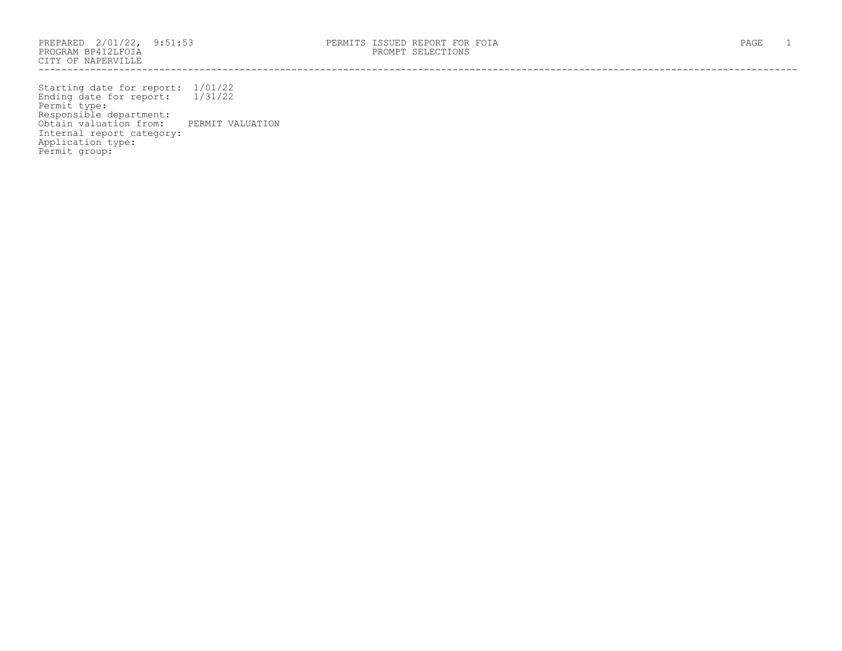PROGRAM BP412LFOIA PROMPT SELECTIONS CITY OF NAPERVILLE ------------------------------------------------------------------------------------------------------------------------------------

Starting date for report: 1/01/22 Ending date for report: 1/31/22 Permit type: Responsible department: Obtain valuation from: PERMIT VALUATION Internal report category: Application type: Permit group: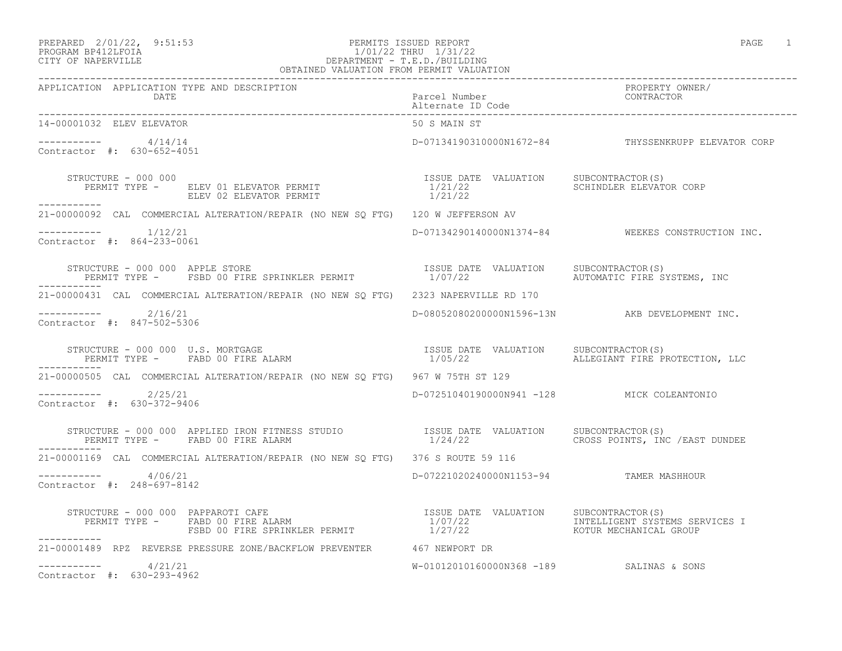### PREPARED 2/01/22, 9:51:53 PERMITS ISSUED REPORT PAGE 1 PROGRAM BP412LFOIA 1/01/22 THRU 1/31/22 CITY OF NAPERVILLE DEPARTMENT - T.E.D./BUILDING OBTAINED VALUATION FROM PERMIT VALUATION

| APPLICATION APPLICATION TYPE AND DESCRIPTION PACKERTY PURE PACE PACKER PURE PACK PACKER POSSAGE PACKER PACKERS<br>DATE Parcel Number Packer D Code Pure Post power alternate ID Code Pure Packer Pure Packer Pure Packer Pure Pur |                                            |                                                     |
|-----------------------------------------------------------------------------------------------------------------------------------------------------------------------------------------------------------------------------------|--------------------------------------------|-----------------------------------------------------|
| 14-00001032 ELEV ELEVATOR                                                                                                                                                                                                         | 50 S MAIN ST                               |                                                     |
| $--------- 4/14/14$<br>Contractor #: 630-652-4051                                                                                                                                                                                 |                                            | D-07134190310000N1672-84 THYSSENKRUPP ELEVATOR CORP |
| STRUCTURE - 000 000<br>-----------                                                                                                                                                                                                | 1/21/22 SCHINDLER ELEVATOR CORP            |                                                     |
| 21-00000092 CAL COMMERCIAL ALTERATION/REPAIR (NO NEW SQ FTG) 120 W JEFFERSON AV                                                                                                                                                   |                                            |                                                     |
| $--------- 1/12/21$<br>Contractor #: 864-233-0061                                                                                                                                                                                 |                                            | D-07134290140000N1374-84 WEEKES CONSTRUCTION INC.   |
| STRUCTURE – 000 000 APPLE STORE STORE TERMIT TESUE DATE VALUATION SUBCONTRACTOR(S)<br>PERMIT TYPE – FSBD 00 FIRE SPRINKLER PERMIT 1/07/22 AUTOMATIC FIRE SYSTEMS, INC                                                             |                                            |                                                     |
| 21-00000431 CAL COMMERCIAL ALTERATION/REPAIR (NO NEW SQ FTG) 2323 NAPERVILLE RD 170                                                                                                                                               |                                            |                                                     |
| $--------- 2/16/21$<br>Contractor #: 847-502-5306                                                                                                                                                                                 |                                            | D-08052080200000N1596-13N AKB DEVELOPMENT INC.      |
| STRUCTURE - 000 000 U.S. MORTGAGE<br>PERMIT TYPE -    FABD 00 FIRE ALARM                                   1/05/22                   ALLEGIANT FIRE PROTECTION, LLC                                                               |                                            |                                                     |
| 21-00000505 CAL COMMERCIAL ALTERATION/REPAIR (NO NEW SO FTG) 967 W 75TH ST 129                                                                                                                                                    |                                            |                                                     |
| $---------2/25/21$<br>Contractor #: 630-372-9406                                                                                                                                                                                  | D-07251040190000N941 -128 MICK COLEANTONIO |                                                     |
|                                                                                                                                                                                                                                   |                                            |                                                     |
| 21-00001169 CAL COMMERCIAL ALTERATION/REPAIR (NO NEW SQ FTG) 376 S ROUTE 59 116                                                                                                                                                   |                                            |                                                     |
| $--------- 4/06/21$<br>Contractor #: 248-697-8142                                                                                                                                                                                 | D-07221020240000N1153-94 TAMER MASHHOUR    |                                                     |
| -----------                                                                                                                                                                                                                       |                                            |                                                     |
| 21-00001489 RPZ REVERSE PRESSURE ZONE/BACKFLOW PREVENTER 467 NEWPORT DR                                                                                                                                                           |                                            |                                                     |
| $--------- 4/21/21$<br>Contractor #: 630-293-4962                                                                                                                                                                                 | W-01012010160000N368 -189 SALINAS & SONS   |                                                     |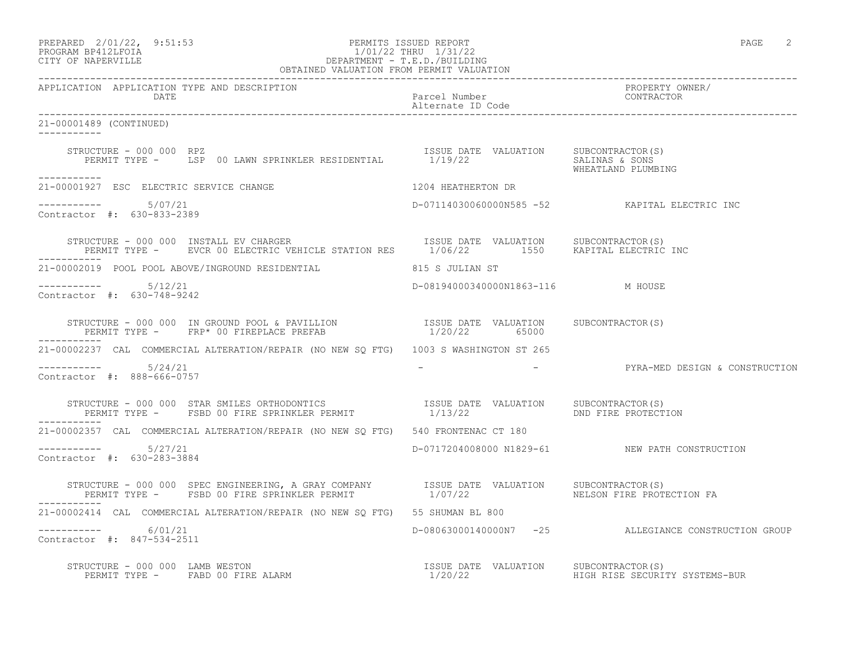|                     | PREPARED 2/01/22, 9:51:53 | PERMITS ISSUED REPORT | PAGE |  |
|---------------------|---------------------------|-----------------------|------|--|
| ------------------- |                           |                       |      |  |

### PROGRAM BP412LFOIA 1/01/22 THRU 1/31/22 CITY OF NAPERVILLE DEPARTMENT - T.E.D./BUILDING OBTAINED VALUATION FROM PERMIT VALUATION

------------------------------------------------------------------------------------------------------------------------------------ APPLICATION APPLICATION TYPE AND DESCRIPTION PROPERTY OWNER/ DATE Parcel Number Contractor Contractor Contractor Parcel Number Alternate ID Code ------------------------------------------------------------------------------------------------------------------------------------ 21-00001489 (CONTINUED) ----------- STRUCTURE - 000 000 RPZ<br>PERMIT TYPE - LSP 00 LAWN SPRINKLER RESIDENTIAL 1/19/22 SALUATION SALINAS & SONS PERMIT TYPE - LSP 00 LAWN SPRINKLER RESIDENTIAL WHEATLAND PLUMBING ----------- 21-00001927 ESC ELECTRIC SERVICE CHANGE 1204 HEATHERTON DR  $--------- 5/07/21$ ----------- 5/07/21 D-07114030060000N585 -52 KAPITAL ELECTRIC INC Contractor #: 630-833-2389 STRUCTURE - 000 000 INSTALL EV CHARGER **ISSUE DATE VALUATION** SUBCONTRACTOR(S) PERMIT TYPE - EVCR 00 ELECTRIC VEHICLE STATION RES 1/06/22 1550 KAPITAL ELECTRIC INC ----------- 21-00002019 POOL POOL ABOVE/INGROUND RESIDENTIAL 815 S JULIAN ST ----------- 5/12/21 D-08194000340000N1863-116 M HOUSE Contractor #: 630-748-9242 STRUCTURE - 000 000 IN GROUND POOL & PAVILLION ISSUE DATE VALUATION SUBCONTRACTOR(S) PERMIT TYPE - FRP\* 00 FIREPLACE PREFAB  $1/20/22$  65000 ----------- 21-00002237 CAL COMMERCIAL ALTERATION/REPAIR (NO NEW SQ FTG) 1003 S WASHINGTON ST 265 ----------- 5/24/21 - - PYRA-MED DESIGN & CONSTRUCTION Contractor #: 888-666-0757 STRUCTURE - 000 000 STAR SMILES ORTHODONTICS ISSUE DATE VALUATION SUBCONTRACTOR(S) PERMIT TYPE - FSBD 00 FIRE SPRINKLER PERMIT 1/13/22 THE DND FIRE PROTECTION ----------- 21-00002357 CAL COMMERCIAL ALTERATION/REPAIR (NO NEW SQ FTG) 540 FRONTENAC CT 180 ----------- 5/27/21 D-0717204008000 N1829-61 NEW PATH CONSTRUCTION Contractor #: 630-283-3884 STRUCTURE - 000 000 SPEC ENGINEERING, A GRAY COMPANY ISSUE DATE VALUATION SUBCONTRACTOR(S) PERMIT TYPE - FSBD 00 FIRE SPRINKLER PERMIT 1/07/22 NELSON FIRE PROTECTION FA ----------- 21-00002414 CAL COMMERCIAL ALTERATION/REPAIR (NO NEW SQ FTG) 55 SHUMAN BL 800 ----------- 6/01/21 D-08063000140000N7 -25 ALLEGIANCE CONSTRUCTION GROUP Contractor #: 847-534-2511 STRUCTURE - 000 000 LAMB WESTON<br>PERMIT TYPE - FABD 00 FIRE ALARM CONNECT SERVICE RESPONSIVE DATE VALUATION SUBCONTRACTOR(S) PERMIT TYPE - FABD 00 FIRE ALARM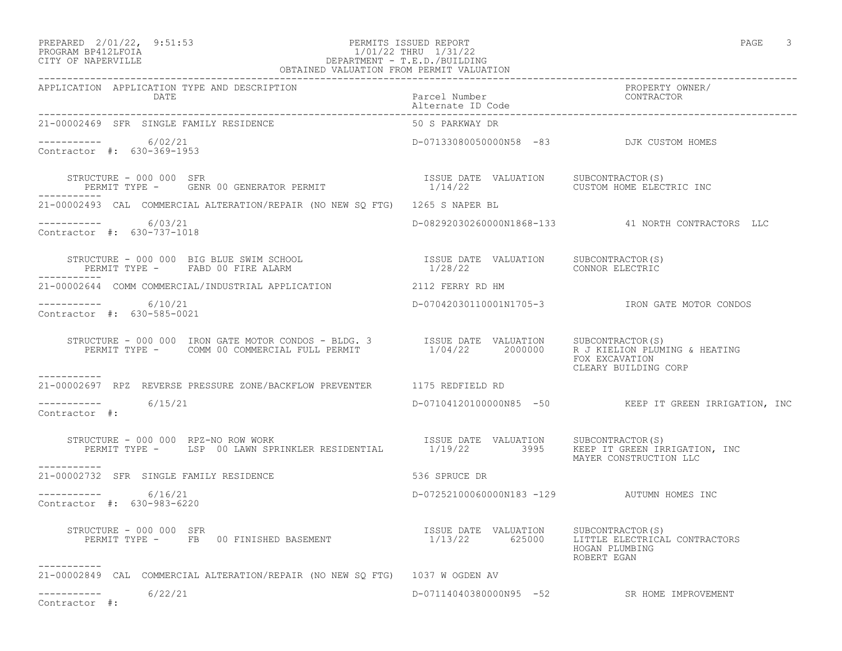## PREPARED 2/01/22, 9:51:53 PERMITS ISSUED REPORT<br>PROGRAM BP412LFOIA PAGE 3 2007 PAGE 3 2/01/22 PHRU 1/31/22 PROGRAM BP412LFOIA 1/01/22 THRU 1/31/22 CITY OF NAPERVILLE DEPARTMENT - T.E.D./BUILDING

| OBTAINED VALUATION FROM PERMIT VALUATION                                                                                                                                                                                                                                                                                                                                                                                                    |                                                                           |                                                       |  |  |
|---------------------------------------------------------------------------------------------------------------------------------------------------------------------------------------------------------------------------------------------------------------------------------------------------------------------------------------------------------------------------------------------------------------------------------------------|---------------------------------------------------------------------------|-------------------------------------------------------|--|--|
| APPLICATION APPLICATION TYPE AND DESCRIPTION<br>DATE                                                                                                                                                                                                                                                                                                                                                                                        | Parcel Number<br>Alternate ID Code                                        | PROPERTY OWNER/<br>CONTRACTOR                         |  |  |
| 21-00002469 SFR SINGLE FAMILY RESIDENCE                                                                                                                                                                                                                                                                                                                                                                                                     | 50 S PARKWAY DR                                                           |                                                       |  |  |
| $--------- 6/02/21$<br>Contractor #: 630-369-1953                                                                                                                                                                                                                                                                                                                                                                                           | D-07133080050000N58 -83 DJK CUSTOM HOMES                                  |                                                       |  |  |
| STRUCTURE - 000 000 SFR<br>PERMIT TYPE - GENR 00 GENERATOR PERMIT                                                                                                                                                                                                                                                                                                                                                                           | ISSUE DATE VALUATION SUBCONTRACTOR(S)<br>1/14/22 CUSTOM HOME ELECTRIC INC |                                                       |  |  |
| 21-00002493 CAL COMMERCIAL ALTERATION/REPAIR (NO NEW SO FTG) 1265 S NAPER BL                                                                                                                                                                                                                                                                                                                                                                |                                                                           |                                                       |  |  |
| $--------- 6/03/21$<br>Contractor #: 630-737-1018                                                                                                                                                                                                                                                                                                                                                                                           |                                                                           | D-08292030260000N1868-133 41 NORTH CONTRACTORS LLC    |  |  |
| STRUCTURE - 000 000 BIG BLUE SWIM SCHOOL (2) TSSUE DATE VALUATION SUBCONTRACTOR<br>PERMIT TYPE - FABD 00 FIRE ALARM (2) 1/28/22 (2) CONNOR ELECTRIC                                                                                                                                                                                                                                                                                         |                                                                           |                                                       |  |  |
| 21-00002644 COMM COMMERCIAL/INDUSTRIAL APPLICATION 2112 FERRY RD HM                                                                                                                                                                                                                                                                                                                                                                         |                                                                           |                                                       |  |  |
| ----------- 6/10/21<br>Contractor #: 630-585-0021                                                                                                                                                                                                                                                                                                                                                                                           |                                                                           | D-07042030110001N1705-3 IRON GATE MOTOR CONDOS        |  |  |
| $\begin{array}{cccccc} \texttt{STRUCTURE} & - & 000 & 000 & \texttt{IRON} & \texttt{GATE} & \texttt{MOTOR} & \texttt{COMDOS} & - & \texttt{BLDG} & 3 & & & & \texttt{ISSUE} & \texttt{DATE} & \texttt{VALUATION} & & & \texttt{SUBCONTRACTOR(S)}\\ & & & & & & & & \texttt{PERMIT} & \texttt{TYPE} & - & & \texttt{COMM} & 00 & \texttt{COMMERCIAL FULL} & \texttt{PERMIT} & & & & & \texttt{1/04/22} & & & \texttt{2000000} & & & \texttt$ |                                                                           | FOX EXCAVATION<br>CLEARY BUILDING CORP                |  |  |
| 21-00002697 RPZ REVERSE PRESSURE ZONE/BACKFLOW PREVENTER 1175 REDFIELD RD                                                                                                                                                                                                                                                                                                                                                                   |                                                                           |                                                       |  |  |
| $--------- 6/15/21$<br>Contractor #:                                                                                                                                                                                                                                                                                                                                                                                                        |                                                                           | D-07104120100000N85 -50 KEEP IT GREEN IRRIGATION, INC |  |  |
| TRUCTURE - 000 000 RPZ-NO ROW WORK<br>PERMIT TYPE - LSP 00 LAWN SPRINKLER RESIDENTIAL 1/19/22 3995 KEEP IT GREEN IRRIGATION, INC<br>STRUCTURE - 000 000 RPZ-NO ROW WORK                                                                                                                                                                                                                                                                     |                                                                           | MAYER CONSTRUCTION LLC                                |  |  |
| 21-00002732 SFR SINGLE FAMILY RESIDENCE                                                                                                                                                                                                                                                                                                                                                                                                     | 536 SPRUCE DR                                                             |                                                       |  |  |
| ---------- 6/16/21<br>Contractor #: 630-983-6220                                                                                                                                                                                                                                                                                                                                                                                            | D-07252100060000N183 -129 AUTUMN HOMES INC                                |                                                       |  |  |
| STRUCTURE - 000 000 SFR<br>PERMIT TYPE - FB 00 FINISHED BASEMENT 1/13/22 625000 LITTLE ELECTRICAL CONTRACTORS<br>----------                                                                                                                                                                                                                                                                                                                 |                                                                           | HOGAN PLUMBING<br>ROBERT EGAN                         |  |  |
| 21-00002849 CAL COMMERCIAL ALTERATION/REPAIR (NO NEW SQ FTG) 1037 W OGDEN AV                                                                                                                                                                                                                                                                                                                                                                |                                                                           |                                                       |  |  |
| 6/22/21<br>-----------<br>Contractor #:                                                                                                                                                                                                                                                                                                                                                                                                     |                                                                           | D-07114040380000N95 -52 SR HOME IMPROVEMENT           |  |  |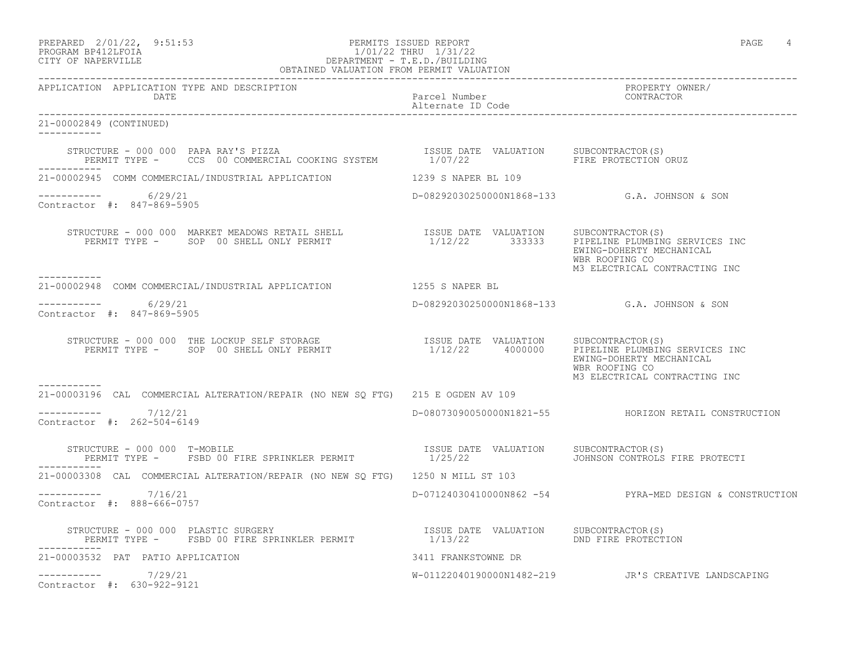PREPARED 2/01/22, 9:51:53 PERMITS ISSUED REPORT PAGE 4

### PROGRAM BP412LFOIA 1/01/22 THRU 1/31/22 CITY OF NAPERVILLE DEPARTMENT - T.E.D./BUILDING OBTAINED VALUATION FROM PERMIT VALUATION

APPLICATION APPLICATION TYPE AND DESCRIPTION PROPERTY OWNER/

DATE Parcel Number

------------------------------------------------------------------------------------------------------------------------------------

Alternate ID Code

------------------------------------------------------------------------------------------------------------------------------------ 21-00002849 (CONTINUED) ----------- STRUCTURE - 000 000 PAPA RAY'S PIZZA ISSUE DATE VALUATION SUBCONTRACTOR(S) PERMIT TYPE - CCS 00 COMMERCIAL COOKING SYSTEM  $1/07/22$  FIRE PROTECTION ORUZ ----------- 21-00002945 COMM COMMERCIAL/INDUSTRIAL APPLICATION 1239 S NAPER BL 109 ----------- 6/29/21 D-08292030250000N1868-133 G.A. JOHNSON & SON Contractor #: 847-869-5905 STRUCTURE - 000 000 MARKET MEADOWS RETAIL SHELL ISSUE DATE VALUATION SUBCONTRACTOR(S) 1/12/22 333333 PIPELINE PLUMBING SERVICES INC EWING-DOHERTY MECHANICAL WBR ROOFING CO M3 ELECTRICAL CONTRACTING INC ----------- 21-00002948 COMM COMMERCIAL/INDUSTRIAL APPLICATION 1255 S NAPER BL \_\_\_\_\_\_\_\_\_\_\_ ----------- 6/29/21 D-08292030250000N1868-133 G.A. JOHNSON & SON Contractor #: 847-869-5905 STRUCTURE - 000 000 THE LOCKUP SELF STORAGE **ISSUE DATE VALUATION** SUBCONTRACTOR(S) PERMIT TYPE - SOP 00 SHELL ONLY PERMIT 1/12/22 4000000 PIPELINE PLUMBING SERVICES INC EWING-DOHERTY MECHANICAL WBR ROOFING CO M3 ELECTRICAL CONTRACTING INC ----------- 21-00003196 CAL COMMERCIAL ALTERATION/REPAIR (NO NEW SQ FTG) 215 E OGDEN AV 109  $--------- 7/12/21$ D-08073090050000N1821-55 HORIZON RETAIL CONSTRUCTION Contractor #: 262-504-6149 STRUCTURE - 000 000 T-MOBILE<br>PERMIT TYPE - FSBD 00 FIRE SPRINKLER PERMIT - 1/25/22<br>PERMIT TYPE - FSBD 00 FIRE SPRINKLER PERMIT - 1/25/22 PERMIT TYPE - FSBD 00 FIRE SPRINKLER PERMIT ----------- 21-00003308 CAL COMMERCIAL ALTERATION/REPAIR (NO NEW SQ FTG) 1250 N MILL ST 103 ----------- 7/16/21 D-07124030410000N862 -54 PYRA-MED DESIGN & CONSTRUCTION Contractor #: 888-666-0757 STRUCTURE - 000 000 PLASTIC SURGERY ISSUE DATE VALUATION SUBCONTRACTOR(S) PERMIT TYPE - FSBD 00 FIRE SPRINKLER PERMIT 1/13/22 DND FIRE PROTECTION ----------- 21-00003532 PAT PATIO APPLICATION 3411 FRANKSTOWNE DR ----------- 7/29/21 W-01122040190000N1482-219 JR'S CREATIVE LANDSCAPING

Contractor #: 630-922-9121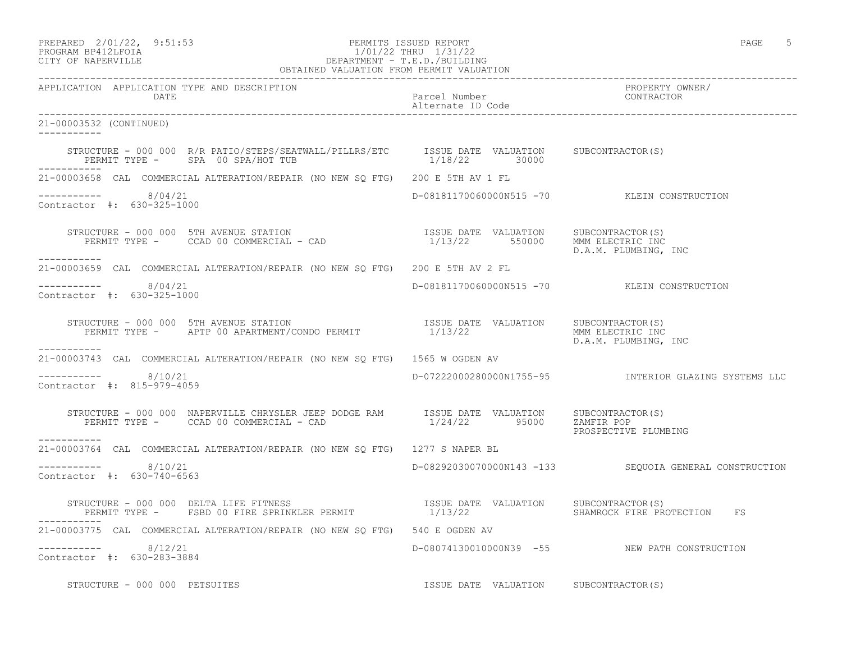| PREPARED             | $2/01/22$ ,                             | 9:51:53 |
|----------------------|-----------------------------------------|---------|
| <b><u>PPAAPS</u></b> | $\begin{array}{c}\n\hline\n\end{array}$ |         |

## PREPARED 2/01/22, 9:51:53 PERMITS ISSUED REPORT<br>PROGRAM BP412LFOIA PAGE 5 PROGRAM BP412LFOIA 1/01/22 THRU 1/31/22<br>CITY OF NAPERVILLE DEPARTMENT - T.E.D./BUILDIN CITY OF NAPERVILLE DEPARTMENT - T.E.D./BUILDING

| OBTAINED VALUATION FROM PERMIT VALUATION                                                                                                                                                                                                                                                                  |                                       |                                                                    |
|-----------------------------------------------------------------------------------------------------------------------------------------------------------------------------------------------------------------------------------------------------------------------------------------------------------|---------------------------------------|--------------------------------------------------------------------|
| APPLICATION APPLICATION TYPE AND DESCRIPTION<br>DATE                                                                                                                                                                                                                                                      | Parcel Number<br>Alternate ID Code    | PROPERTY OWNER/<br>CONTRACTOR                                      |
| 21-00003532 (CONTINUED)<br>------------                                                                                                                                                                                                                                                                   |                                       |                                                                    |
|                                                                                                                                                                                                                                                                                                           |                                       |                                                                    |
| 21-00003658 CAL COMMERCIAL ALTERATION/REPAIR (NO NEW SO FTG) 200 E 5TH AV 1 FL                                                                                                                                                                                                                            |                                       |                                                                    |
| $--------$ 8/04/21<br>Contractor #: 630-325-1000                                                                                                                                                                                                                                                          |                                       | D-08181170060000N515 -70 KLEIN CONSTRUCTION                        |
| STRUCTURE - 000 000 5TH AVENUE STATION<br>PERMIT TYPE - CCAD 00 COMMERCIAL - CAD $1/13/22$ 550000 MMM ELECTRIC INC<br>___________                                                                                                                                                                         |                                       | D.A.M. PLUMBING, INC                                               |
| 21-00003659 CAL COMMERCIAL ALTERATION/REPAIR (NO NEW SQ FTG) 200 E 5TH AV 2 FL                                                                                                                                                                                                                            |                                       |                                                                    |
| $--------- 8/04/21$<br>Contractor #: 630-325-1000                                                                                                                                                                                                                                                         |                                       | D-08181170060000N515 -70 KLEIN CONSTRUCTION                        |
| STRUCTURE - 000 000 5TH AVENUE STATION<br>PERMIT TYPE - APTP 00 APARTMENT/CONDO PERMIT                          1/13/22<br>D.A.M. PLUMBING, INC<br>-----------                                                                                                                                            |                                       |                                                                    |
| 21-00003743 CAL COMMERCIAL ALTERATION/REPAIR (NO NEW SO FTG) 1565 W OGDEN AV                                                                                                                                                                                                                              |                                       |                                                                    |
| $--------- 8/10/21$<br>Contractor #: 815-979-4059                                                                                                                                                                                                                                                         |                                       | D-07222000280000N1755-95              INTERIOR GLAZING SYSTEMS LLC |
| $\begin{tabular}{lllllllllll} \multicolumn{2}{c}{STRUCTURE} & - & 000 & 000 & NAPERVILLE CHRYSLER JEE PDODE RAM & & SSUE DATE & VALUATION & SUBCONTRACTOR(S) \\ \multicolumn{2}{c}{PERMIT TYPE} & - & CCAD & 00 COMMERCIAL & - CAD & & & 1/24/22 & & 95000 & ZAMFIR POP \\ \end{tabular}$<br>------------ |                                       | PROSPECTIVE PLUMBING                                               |
| 21-00003764 CAL COMMERCIAL ALTERATION/REPAIR (NO NEW SO FTG) 1277 S NAPER BL                                                                                                                                                                                                                              |                                       |                                                                    |
| $--------- 8/10/21$<br>Contractor #: 630-740-6563                                                                                                                                                                                                                                                         |                                       | D-08292030070000N143 -133 SEQUOIA GENERAL CONSTRUCTION             |
| STRUCTURE - 000 000 DELTA LIFE FITNESS                             ISSUE DATE VALUATION   SUBCONTRACTOR(S)<br>PERMIT TYPE -   FSBD 00 FIRE SPRINKLER PERMIT               1/13/22         SHAMROCK FIRE PROTECTION   FS                                                                                   |                                       |                                                                    |
| 21-00003775 CAL COMMERCIAL ALTERATION/REPAIR (NO NEW SQ FTG) 540 E OGDEN AV                                                                                                                                                                                                                               |                                       |                                                                    |
| -----------    8/12/21<br>Contractor #: 630-283-3884                                                                                                                                                                                                                                                      |                                       | D-08074130010000N39 -55 NEW PATH CONSTRUCTION                      |
| STRUCTURE - 000 000 PETSUITES                                                                                                                                                                                                                                                                             | ISSUE DATE VALUATION SUBCONTRACTOR(S) |                                                                    |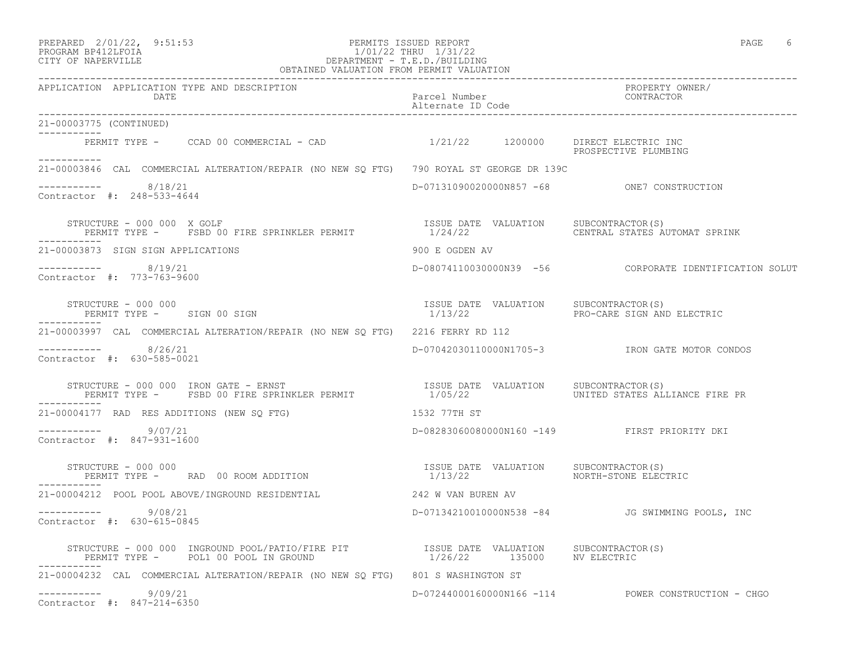PREPARED 2/01/22, 9:51:53 PERMITS ISSUED REPORT PAGE 6

### PROGRAM BP412LFOIA 1/01/22 THRU 1/31/22 CITY OF NAPERVILLE DEPARTMENT - T.E.D./BUILDING OBTAINED VALUATION FROM PERMIT VALUATION

------------------------------------------------------------------------------------------------------------------------------------ APPLICATION APPLICATION TYPE AND DESCRIPTION PROPERTY OWNER/ DATE PARTICLE IN PARTICLE IN PARTICLE IN PARTICLE IN A PARTICLE IN A PARTICLE IN A PARTICLE IN A PARTICLE IN A Alternate ID Code ------------------------------------------------------------------------------------------------------------------------------------ 21-00003775 (CONTINUED) ----------- PERMIT TYPE - CCAD 00 COMMERCIAL - CAD 1/21/22 1200000 DIRECT ELECTRIC INC PROSPECTIVE PLUMBING ----------- 21-00003846 CAL COMMERCIAL ALTERATION/REPAIR (NO NEW SQ FTG) 790 ROYAL ST GEORGE DR 139C  $--------- 8/18/21$ D-07131090020000N857 -68 ONE7 CONSTRUCTION Contractor #: 248-533-4644 STRUCTURE - 000 000 X GOLF<br>PERMIT TYPE - FSBD 00 FIRE SPRINKLER PERMIT - 1/24/22 CENTRAL STATES AUTOMAT SPRINK PERMIT TYPE - FSBD 00 FIRE SPRINKLER PERMIT ----------- 21-00003873 SIGN SIGN APPLICATIONS 900 E OGDEN AV ----------- 8/19/21 D-08074110030000N39 -56 CORPORATE IDENTIFICATION SOLUT Contractor #: 773-763-9600 STRUCTURE - 000 000 ISSUE DATE VALUATION SUBCONTRACTOR(S) PERMIT TYPE - SIGN 00 SIGN ----------- 21-00003997 CAL COMMERCIAL ALTERATION/REPAIR (NO NEW SQ FTG) 2216 FERRY RD 112 ----------- 8/26/21 D-07042030110000N1705-3 IRON GATE MOTOR CONDOS Contractor #: 630-585-0021 STRUCTURE - 000 000 IRON GATE - ERNST ISSUE DATE VALUATION SUBCONTRACTOR(S) PERMIT TYPE - FSBD 00 FIRE SPRINKLER PERMIT 1/05/22 UNITED STATES ALLIANCE FIRE PR ----------- 21-00004177 RAD RES ADDITIONS (NEW SQ FTG) 1532 77TH ST ----------- 9/07/21 D-08283060080000N160 -149 FIRST PRIORITY DKI Contractor #: 847-931-1600 STRUCTURE - 000 000 ISSUE DATE VALUATION SUBCONTRACTOR(S) PERMIT TYPE - RAD 00 ROOM ADDITION ----------- 21-00004212 POOL POOL ABOVE/INGROUND RESIDENTIAL 242 W VAN BUREN AV ----------- 9/08/21 D-07134210010000N538 -84 JG SWIMMING POOLS, INC Contractor #: 630-615-0845 STRUCTURE - 000 000 INGROUND POOL/PATIO/FIRE PIT ISSUE DATE VALUATION SUBCONTRACTOR(S) PERMIT TYPE - POL1 00 POOL IN GROUND 1/26/22 135000 NV ELECTRIC ----------- 21-00004232 CAL COMMERCIAL ALTERATION/REPAIR (NO NEW SQ FTG) 801 S WASHINGTON ST ----------- 9/09/21 D-07244000160000N166 -114 POWER CONSTRUCTION - CHGO Contractor #: 847-214-6350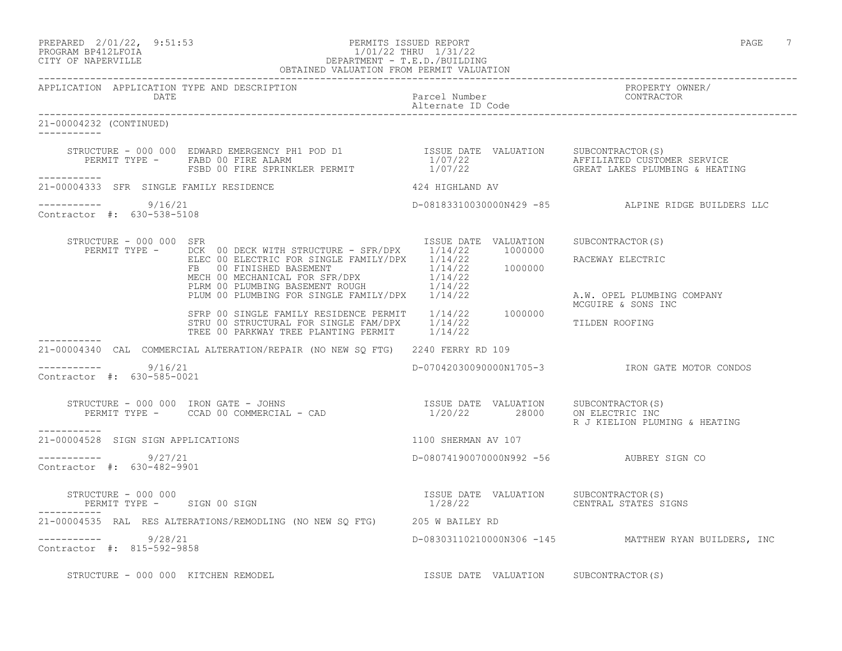| PREPARED | $2/01/22$ ,          | 9:51:53 |
|----------|----------------------|---------|
|          | גדמה זמונומה ווגמממת |         |

### PREPARED 2/01/22, 9:51:53 PERMITS ISSUED REPORT<br>PROGRAM BP412LFOIA PAGE 7 PROGRAM BP412LFOIA 1/01/22 THRU 1/31/22 CITY OF NAPERVILLE DEPARTMENT - T.E.D./BUILDING OBTAINED VALUATION FROM PERMIT VALUATION

| APPLICATION APPLICATION TYPE AND DESCRIPTION<br>DATE              |                                                                                                                                                                                                                                                                                                                                                                                                             |                                         |                                                      |
|-------------------------------------------------------------------|-------------------------------------------------------------------------------------------------------------------------------------------------------------------------------------------------------------------------------------------------------------------------------------------------------------------------------------------------------------------------------------------------------------|-----------------------------------------|------------------------------------------------------|
| 21-00004232 (CONTINUED)                                           |                                                                                                                                                                                                                                                                                                                                                                                                             |                                         |                                                      |
| -----------                                                       | $\begin{array}{cccc} \texttt{STRUCTURE} & - & 000 & 000 & \texttt{EDWARD EMERGENCY PH1 POD DI} & \texttt{IDOD} & \texttt{ISSUE DATE} & \texttt{VALUATION} & \texttt{SUBCONTRACTOR(S)} \\ \texttt{PERMIT TYPE} & - & \texttt{FABD 00 FIRE ALARM} & 1/07/22 & \texttt{AFFILIATED CUSTOMER SERVICE} \\ \texttt{FSBD 00 FIRE SPRINKLER PERMIT} & 1/07/22 & \texttt{GREAT LAKES PLUMBING & HEATING} \end{array}$ |                                         |                                                      |
| 21-00004333 SFR SINGLE FAMILY RESIDENCE                           |                                                                                                                                                                                                                                                                                                                                                                                                             | 424 HIGHLAND AV                         |                                                      |
| $--------- 9/16/21$<br>Contractor #: 630-538-5108                 |                                                                                                                                                                                                                                                                                                                                                                                                             |                                         | D-08183310030000N429 -85 ALPINE RIDGE BUILDERS LLC   |
| STRUCTURE - 000 000 SFR                                           | PERMIT TYPE - DCK 00 DECK WITH STRUCTURE - SFR/DPX 1/14/22 1000000<br>DUR UU DELECTRIC FOR SINGLE FAMILY/DPX 1/14/22<br>ELEC 00 ELECTRIC FOR SINGLE FAMILY/DPX 1/14/22 1000000<br>TE 00 FINISHED BASEMENT NOUGH 1/14/22<br>PLUM 00 PLUMBING FOR SINGLE FAMILY/DPX 1/14/22<br>PLUM 00 PLUMBING FOR SINGLE FAM                                                                                                | ISSUE DATE VALUATION SUBCONTRACTOR(S)   | RACEWAY ELECTRIC<br>A.W. OPEL PLUMBING COMPANY       |
|                                                                   | SFRP 00 SINGLE FAMILY RESIDENCE PERMIT 1/14/22 1000000<br>STRU 00 STRUCTURAL FOR SINGLE FAM/DPX 1/14/22<br>TREE 00 PARKWAY TREE PLANTING DEDMIT 1/14/22<br>TREE 00 PARKWAY TREE PLANTING PERMIT 1/14/22                                                                                                                                                                                                     |                                         | MCGUIRE & SONS INC<br>TILDEN ROOFING                 |
|                                                                   | 21-00004340 CAL COMMERCIAL ALTERATION/REPAIR (NO NEW SO FTG) 2240 FERRY RD 109                                                                                                                                                                                                                                                                                                                              |                                         |                                                      |
| $--------- 9/16/21$<br>Contractor #: 630-585-0021                 |                                                                                                                                                                                                                                                                                                                                                                                                             |                                         | D-07042030090000N1705-3 IRON GATE MOTOR CONDOS       |
| -----------                                                       | $\begin{array}{cccccc} \texttt{STRUCTURE} & - & 000 & 000 & \texttt{IRON} & \texttt{GATE} & - & \texttt{JOHNS} & & & & \\ \texttt{PERMIT TYPE} & - & \texttt{CCAD} & 00 & \texttt{COMMERCIAL} & - & \texttt{CAD} & & & & & 1/20/22 & & & 28000 & & & \\ \end{array}$                                                                                                                                        |                                         | R J KIELION PLUMING & HEATING                        |
| 21-00004528 SIGN SIGN APPLICATIONS                                |                                                                                                                                                                                                                                                                                                                                                                                                             | 1100 SHERMAN AV 107                     |                                                      |
| $--------- 9/27/21$<br>Contractor #: 630-482-9901                 |                                                                                                                                                                                                                                                                                                                                                                                                             | D-08074190070000N992 -56 AUBREY SIGN CO |                                                      |
| STRUCTURE - 000 000<br>PERMIT TYPE - SIGN 00 SIGN<br>------------ |                                                                                                                                                                                                                                                                                                                                                                                                             | ISSUE DATE VALUATION SUBCONTRACTOR(S)   |                                                      |
|                                                                   | 21-00004535 RAL RES ALTERATIONS/REMODLING (NO NEW SQ FTG) 205 W BAILEY RD                                                                                                                                                                                                                                                                                                                                   |                                         |                                                      |
| $--------- 9/28/21$<br>Contractor #: 815-592-9858                 |                                                                                                                                                                                                                                                                                                                                                                                                             |                                         | D-08303110210000N306 -145 MATTHEW RYAN BUILDERS, INC |
| STRUCTURE - 000 000 KITCHEN REMODEL                               |                                                                                                                                                                                                                                                                                                                                                                                                             | ISSUE DATE VALUATION SUBCONTRACTOR(S)   |                                                      |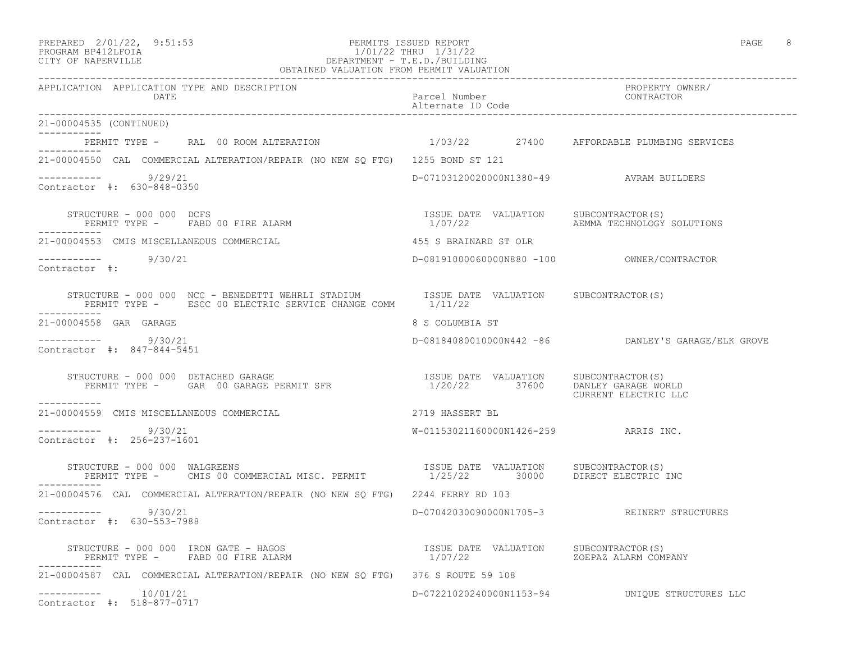| PREPARED | $2/01/22$ ,                             | 9:51:5 |
|----------|-----------------------------------------|--------|
|          | $\begin{array}{c}\n\hline\n\end{array}$ |        |

### PREPARED 2/01/22, 9:51:53 PERMITS ISSUED REPORT PAGE 8 PROGRAM BP412LFOIA 1/01/22 THRU 1/31/22 CITY OF NAPERVILLE DEPARTMENT - T.E.D./BUILDING

| OBTAINED VALUATION FROM PERMIT VALUATION                                                                                                                                     |                                         |                                                    |
|------------------------------------------------------------------------------------------------------------------------------------------------------------------------------|-----------------------------------------|----------------------------------------------------|
| APPLICATION APPLICATION TYPE AND DESCRIPTION<br>DATE                                                                                                                         | Parcel Number<br>Alternate ID Code      | PROPERTY OWNER/<br>CONTRACTOR                      |
| 21-00004535 (CONTINUED)                                                                                                                                                      |                                         |                                                    |
| PERMIT TYPE - RAL 00 ROOM ALTERATION 1/03/22 27400 AFFORDABLE PLUMBING SERVICES                                                                                              |                                         |                                                    |
| 21-00004550 CAL COMMERCIAL ALTERATION/REPAIR (NO NEW SQ FTG) 1255 BOND ST 121                                                                                                |                                         |                                                    |
| $--------$ 9/29/21<br>Contractor #: 630-848-0350                                                                                                                             | D-07103120020000N1380-49 AVRAM BUILDERS |                                                    |
| STRUCTURE - 000 000 DCFS                                                                                                                                                     |                                         | AEMMA TECHNOLOGY SOLUTIONS                         |
| 21-00004553 CMIS MISCELLANEOUS COMMERCIAL                                                                                                                                    | 455 S BRAINARD ST OLR                   |                                                    |
| $--------$ 9/30/21<br>Contractor #:                                                                                                                                          |                                         |                                                    |
| STRUCTURE - 000 000 NCC - BENEDETTI WEHRLI STADIUM <a>&gt; SISSUE DATE VALUATION <a> SUBCONTRACTOR(S)</a><br/>PERMIT TYPE - ESCC 00 ELECTRIC SERVICE CHANGE COMM 1/11/22</a> |                                         |                                                    |
| 21-00004558 GAR GARAGE                                                                                                                                                       | 8 S COLUMBIA ST                         |                                                    |
| ----------- 9/30/21<br>Contractor #: 847-844-5451                                                                                                                            |                                         | D-08184080010000N442 -86 DANLEY'S GARAGE/ELK GROVE |
| STRUCTURE – 000 000 DETACHED GARAGE<br>PERMIT TYPE – GAR 00 GARAGE PERMIT SFR                           1/20/22                        DANLEY GARAGE MO<br>-----------       | 1/20/22 37600 DANLEY GARAGE WORLD       | CURRENT ELECTRIC LLC                               |
| 21-00004559 CMIS MISCELLANEOUS COMMERCIAL                                                                                                                                    | 2719 HASSERT BL                         |                                                    |
| $--------- 9/30/21$<br>Contractor #: 256-237-1601                                                                                                                            | $W-01153021160000N1426-259$ ARRIS INC.  |                                                    |
| STRUCTURE - 000 000 WALGREENS                                                                                                                                                |                                         |                                                    |
| 21-00004576 CAL COMMERCIAL ALTERATION/REPAIR (NO NEW SQ FTG) 2244 FERRY RD 103                                                                                               |                                         |                                                    |
| $-$ ---------- $9/30/21$<br>Contractor #: 630-553-7988                                                                                                                       |                                         | D-07042030090000N1705-3 REINERT STRUCTURES         |
| STRUCTURE - 000 000 IRON GATE - HAGOS<br>PERMIT TYPE - FABD 00 FIRE ALARM                                                                                                    |                                         |                                                    |
| 21-00004587 CAL COMMERCIAL ALTERATION/REPAIR (NO NEW SQ FTG) 376 S ROUTE 59 108                                                                                              |                                         |                                                    |
| -----------    10/01/21<br>Contractor #: 518-877-0717                                                                                                                        |                                         | D-07221020240000N1153-94    UNIQUE STRUCTURES LLC  |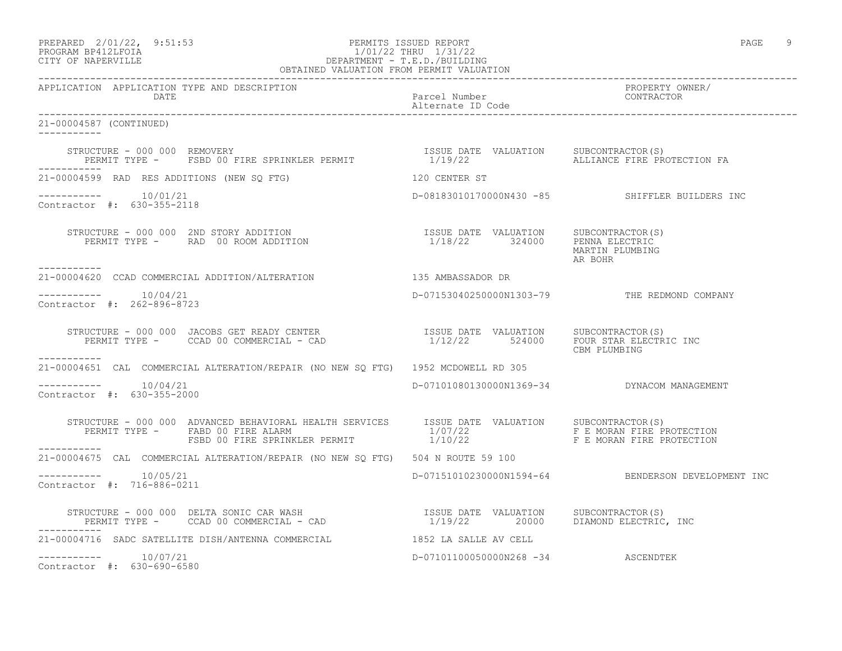|                     | PREPARED 2/01/22, 9:51:53<br>the contract of the contract of the contract of the contract of the contract of the contract of the contract of | PERMITS ISSUED REPORT |                       | PAGE |  |
|---------------------|----------------------------------------------------------------------------------------------------------------------------------------------|-----------------------|-----------------------|------|--|
| DDOCD3M DD410T DOT3 |                                                                                                                                              |                       | 1/01/00 munus 1/01/00 |      |  |

# PROGRAM BP412LFOIA 1/01/22 THRU 1/31/22 CITY OF NAPERVILLE DEPARTMENT - T.E.D./BUILDING

| OBTAINED VALUATION FROM PERMIT VALUATION                                                                                                                                                                                                                                                                                                                                                                                                                                        |                                    |                                                    |  |  |
|---------------------------------------------------------------------------------------------------------------------------------------------------------------------------------------------------------------------------------------------------------------------------------------------------------------------------------------------------------------------------------------------------------------------------------------------------------------------------------|------------------------------------|----------------------------------------------------|--|--|
| APPLICATION APPLICATION TYPE AND DESCRIPTION<br><b>DATE</b>                                                                                                                                                                                                                                                                                                                                                                                                                     | Parcel Number<br>Alternate ID Code | PROPERTY OWNER/<br>CONTRACTOR                      |  |  |
| 21-00004587 (CONTINUED)<br>-----------                                                                                                                                                                                                                                                                                                                                                                                                                                          |                                    |                                                    |  |  |
| STRUCTURE - 000 000 REMOVERY                                 ISSUE DATE VALUATION   SUBCONTRACTOR(S)<br>PERMIT TYPE -   FSBD 00 FIRE SPRINKLER PERMIT               1/19/22         ALLIANCE FIRE PROTECTION FA                                                                                                                                                                                                                                                                 |                                    |                                                    |  |  |
| 21-00004599 RAD RES ADDITIONS (NEW SQ FTG) 120 CENTER ST                                                                                                                                                                                                                                                                                                                                                                                                                        |                                    |                                                    |  |  |
| $--------- 10/01/21$<br>Contractor #: 630-355-2118                                                                                                                                                                                                                                                                                                                                                                                                                              |                                    | D-08183010170000N430 -85 SHIFFLER BUILDERS INC     |  |  |
| STRUCTURE - 000 000 2ND STORY ADDITION                                 ISSUE DATE VALUATION     SUBCONTRACTOR(S)<br>PERMIT TYPE -      RAD  00 ROOM ADDITION                                  1/18/22       324000      PENNA ELE<br>-----------                                                                                                                                                                                                                                |                                    | MARTIN PLUMBING<br>AR BOHR                         |  |  |
|                                                                                                                                                                                                                                                                                                                                                                                                                                                                                 |                                    |                                                    |  |  |
| $--------- 10/04/21$<br>Contractor $\#: 262 - 896 - 8723$                                                                                                                                                                                                                                                                                                                                                                                                                       |                                    | D-07153040250000N1303-79 THE REDMOND COMPANY       |  |  |
| $\begin{array}{cccccc} \texttt{STRUCTURE} & - & 000 & 000 & JACOBS & \texttt{GET} & \texttt{READY} & \texttt{CENTER} & & & & & & \\ \texttt{PERMIT} & \texttt{TYPE} & - & & \texttt{CCAD} & 00 & \texttt{COMMERCIAL} & - & \texttt{CAD} & & & & & \\ \end{array} \qquad \begin{array}{cccccc} \texttt{S5UE} & \texttt{DATE} & \texttt{VALUATION} & & \texttt{SUBCONTRACTOR(S)}\\ & 1/12/22 & & 524000 & & \texttt{FOUR} & \texttt{STAR} & \texttt{ELECTRIC} & \$<br>___________ |                                    | CBM PLUMBING                                       |  |  |
| 21-00004651 CAL COMMERCIAL ALTERATION/REPAIR (NO NEW SO FTG) 1952 MCDOWELL RD 305                                                                                                                                                                                                                                                                                                                                                                                               |                                    |                                                    |  |  |
| $--------- 10/04/21$<br>Contractor #: 630-355-2000                                                                                                                                                                                                                                                                                                                                                                                                                              |                                    | D-07101080130000N1369-34 DYNACOM MANAGEMENT        |  |  |
| STRUCTURE - 000 000 ADVANCED BEHAVIORAL HEALTH SERVICES ISSUE DATE VALUATION SUBCONTRACTOR(S)<br>FERMIT TYPE - FABD 00 FIRE ALARM ABOUT DERICATION AND ARRE VALUATION SUBCONTRACTOR(S)<br>FERMIT TYPE - FABD 00 FIRE ALARM 1/07/22 F E MORAN FIRE PROTECTION<br>FSBD 00 FIRE SPRINKLER PERMIT 1/10/22 F E MORAN FIRE PROTECTION                                                                                                                                                 |                                    |                                                    |  |  |
| 21-00004675 CAL COMMERCIAL ALTERATION/REPAIR (NO NEW SO FTG) 504 N ROUTE 59 100                                                                                                                                                                                                                                                                                                                                                                                                 |                                    |                                                    |  |  |
| $--------- 10/05/21$<br>Contractor #: 716-886-0211                                                                                                                                                                                                                                                                                                                                                                                                                              |                                    | D-07151010230000N1594-64 BENDERSON DEVELOPMENT INC |  |  |
| STRUCTURE - 000 000 DELTA SONIC CAR WASH                            ISSUE DATE VALUATION     SUBCONTRACTOR(S)<br>PERMIT TYPE -     CCAD 00 COMMERCIAL - CAD                           1/19/22        20000     DIAMOND ELECTRIC,                                                                                                                                                                                                                                                |                                    |                                                    |  |  |
| 21-00004716 SADC SATELLITE DISH/ANTENNA COMMERCIAL 61852 LA SALLE AV CELL                                                                                                                                                                                                                                                                                                                                                                                                       |                                    |                                                    |  |  |
| $--------- 10/07/21$<br>Contractor #: 630-690-6580                                                                                                                                                                                                                                                                                                                                                                                                                              | D-07101100050000N268 -34 ASCENDTEK |                                                    |  |  |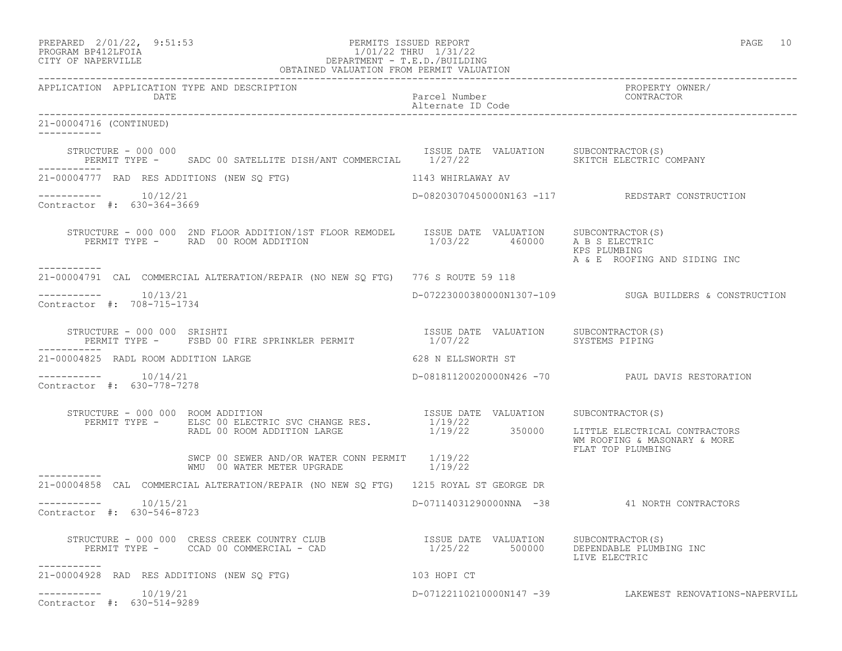|                                                      | PREPARED 2/01/22, 9:51:53<br>PERMITS ISSUED REPORT<br>PROGRAM BP412LFOIA<br>CITY OF NAPERVILLE<br>CITY OF NAPERVILLE<br>CITY OF NAPERVILLE<br>CITY OF NAPERVILLE<br>CITY OF NAPERVILLE<br>OBTAINED VALUATION FROM PERMIT VALUATION |                                           | PAGE 10                                                       |
|------------------------------------------------------|------------------------------------------------------------------------------------------------------------------------------------------------------------------------------------------------------------------------------------|-------------------------------------------|---------------------------------------------------------------|
| APPLICATION APPLICATION TYPE AND DESCRIPTION<br>DATE |                                                                                                                                                                                                                                    | Alternate ID Code                         | Parcel Number (2008) PROPERTY OWNER                           |
| 21-00004716 (CONTINUED)                              |                                                                                                                                                                                                                                    |                                           |                                                               |
| STRUCTURE - 000 000<br>------------                  | PERMIT TYPE - SADC 00 SATELLITE DISH/ANT COMMERCIAL 1/27/22 SKITCH ELECTRIC COMPANY                                                                                                                                                | ISSUE DATE VALUATION SUBCONTRACTOR(S)     |                                                               |
| 21-00004777 RAD RES ADDITIONS (NEW SO FTG)           |                                                                                                                                                                                                                                    | 1143 WHIRLAWAY AV                         |                                                               |
| $--------- 10/12/21$<br>Contractor #: 630-364-3669   |                                                                                                                                                                                                                                    |                                           | D-08203070450000N163 -117 REDSTART CONSTRUCTION               |
| -----------                                          | STRUCTURE - 000 000 2ND FLOOR ADDITION/1ST FLOOR REMODEL ISSUE DATE VALUATION SUBCONTRACTOR(S)<br>PERMIT TYPE - RAD 00 ROOM ADDITION 1/03/22 460000 A B S ELECTRIC                                                                 |                                           | KPS PLUMBING<br>A & E ROOFING AND SIDING INC                  |
|                                                      | 21-00004791 CAL COMMERCIAL ALTERATION/REPAIR (NO NEW SO FTG) 776 S ROUTE 59 118                                                                                                                                                    |                                           |                                                               |
| $--------- 10/13/21$<br>Contractor #: 708-715-1734   |                                                                                                                                                                                                                                    |                                           | D-07223000380000N1307-109 SUGA BUILDERS & CONSTRUCTION        |
|                                                      |                                                                                                                                                                                                                                    |                                           |                                                               |
| 21-00004825 RADL ROOM ADDITION LARGE                 |                                                                                                                                                                                                                                    | 628 N ELLSWORTH ST                        |                                                               |
| $--------- 10/14/21$<br>Contractor #: 630-778-7278   |                                                                                                                                                                                                                                    |                                           | D-08181120020000N426 -70 PAUL DAVIS RESTORATION               |
| STRUCTURE - 000 000 ROOM ADDITION                    | RUCTURE - 000 000 ROOM ADDITION<br>PERMIT TYPE - ELSC 00 ELECTRIC SVC CHANGE RES. [1/19/22<br>RADL 00 ROOM ADDITION LARGE 1/19/22 350000 LITTLE ELECTRICAN                                                                         |                                           | LITTLE ELECTRICAL CONTRACTORS<br>WM ROOFING & MASONARY & MORE |
|                                                      | SWCP 00 SEWER AND/OR WATER CONN PERMIT 1/19/22<br>WMU 00 WATER METER UPGRADE 1/19/22                                                                                                                                               |                                           | FLAT TOP PLUMBING                                             |
|                                                      | 21-00004858 CAL COMMERCIAL ALTERATION/REPAIR (NO NEW SO FTG) 1215 ROYAL ST GEORGE DR                                                                                                                                               |                                           |                                                               |
| $--------- 10/15/21$<br>Contractor #: 630-546-8723   |                                                                                                                                                                                                                                    |                                           | D-07114031290000NNA -38 41 NORTH CONTRACTORS                  |
| ----------                                           | STRUCTURE - 000 000 CRESS CREEK COUNTRY CLUB<br>PERMIT TYPE - CCAD 00 COMMERCIAL - CAD                                                                                                                                             | ISSUE DATE VALUATION<br>1/25/22<br>500000 | SUBCONTRACTOR(S)<br>DEPENDABLE PLUMBING INC<br>LIVE ELECTRIC  |
| 21-00004928 RAD RES ADDITIONS (NEW SQ FTG)           |                                                                                                                                                                                                                                    | 103 HOPI CT                               |                                                               |
| ----------    10/19/21<br>Contractor #: 630-514-9289 |                                                                                                                                                                                                                                    |                                           | D-07122110210000N147 -39 LAKEWEST RENOVATIONS-NAPERVILL       |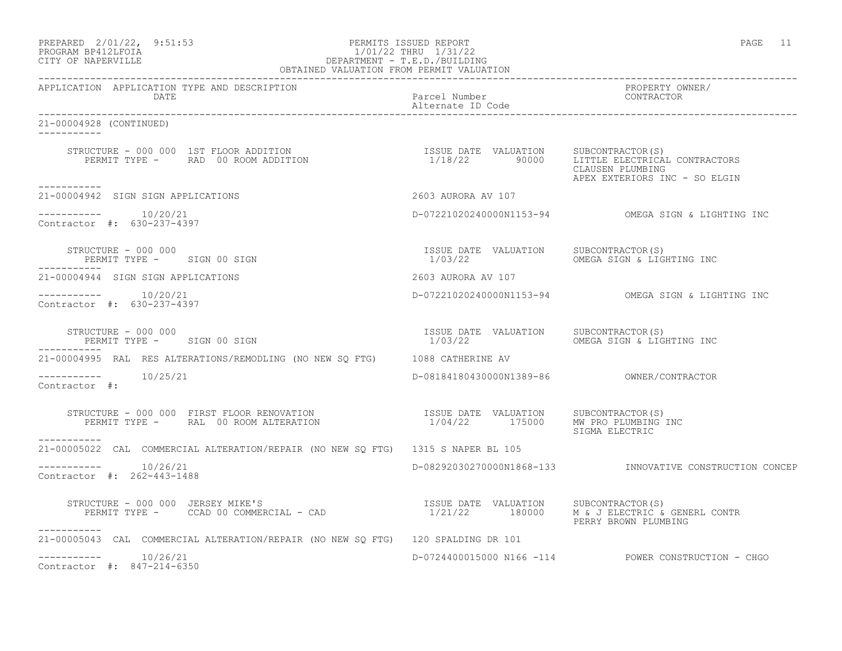| PREPARED           | $2/01/22$ , | 9:51:5 |
|--------------------|-------------|--------|
| PROCRAM RP412LFOIA |             |        |

## PREPARED 2/01/22, 9:51:53 PERMITS ISSUED REPORT PAGE 11 PROGRAM BP412LFOIA 1/01/22 THRU 1/31/22 CITY OF NAPERVILLE DEPARTMENT - T.E.D./BUILDING

| OBTAINED VALUATION FROM PERMIT VALUATION                                                                                                                                                                                                              |                                                  |                                                          |
|-------------------------------------------------------------------------------------------------------------------------------------------------------------------------------------------------------------------------------------------------------|--------------------------------------------------|----------------------------------------------------------|
| APPLICATION APPLICATION TYPE AND DESCRIPTION<br><b>DATE</b>                                                                                                                                                                                           | Parcel Number<br>Alternate ID Code               | PROPERTY OWNER/<br>CONTRACTOR                            |
| 21-00004928 (CONTINUED)<br>___________                                                                                                                                                                                                                |                                                  |                                                          |
|                                                                                                                                                                                                                                                       |                                                  | CLAUSEN PLUMBING<br>APEX EXTERIORS INC - SO ELGIN        |
| ----------<br>21-00004942 SIGN SIGN APPLICATIONS                                                                                                                                                                                                      | 2603 AURORA AV 107                               |                                                          |
| ----------    10/20/21<br>Contractor #: 630-237-4397                                                                                                                                                                                                  |                                                  | D-07221020240000N1153-94 OMEGA SIGN & LIGHTING INC       |
| KUCTURE - 000 000<br>-PERMIT TYPE -      SIGN 00 SIGN<br>----<br>STRUCTURE - 000 000                                                                                                                                                                  | ISSUE DATE VALUATION                             | SUBCONTRACTOR (S)<br>1/03/22 CMEGA SIGN & LIGHTING INC   |
| 21-00004944 SIGN SIGN APPLICATIONS                                                                                                                                                                                                                    | 2603 AURORA AV 107                               |                                                          |
| Contractor #: 630-237-4397                                                                                                                                                                                                                            |                                                  | D-07221020240000N1153-94 OMEGA SIGN & LIGHTING INC       |
| STRUCTURE - 000 000<br>PERMIT TYPE - SIGN 00 SIGN                                                                                                                                                                                                     | ISSUE DATE VALUATION SUBCONTRACTOR(S)<br>1/03/22 | OMEGA SIGN & LIGHTING INC                                |
| 21-00004995 RAL RES ALTERATIONS/REMODLING (NO NEW SQ FTG) 1088 CATHERINE AV                                                                                                                                                                           |                                                  |                                                          |
| -----------    10/25/21<br>Contractor #:                                                                                                                                                                                                              |                                                  |                                                          |
| $\begin{array}{cccc} \texttt{STRUCTURE} & - & 000 & 000 & \texttt{FIRST FLOOR RENOVATION} \\ \texttt{PERMIT TYPE} & - & \texttt{RAL} & 00\texttt{ ROM ALTERATION} & \texttt{SUSUEN OF} & 1/04/22 & 175000 & \texttt{MW PRO PLUMBING INC} \end{array}$ |                                                  | SIGMA ELECTRIC                                           |
| 21-00005022 CAL COMMERCIAL ALTERATION/REPAIR (NO NEW SQ FTG) 1315 S NAPER BL 105                                                                                                                                                                      |                                                  |                                                          |
| $--------- 10/26/21$<br>Contractor #: 262-443-1488                                                                                                                                                                                                    |                                                  | D-08292030270000N1868-133 INNOVATIVE CONSTRUCTION CONCEP |
| STRUCTURE - 000 000 JERSEY MIKE'S<br>PERMIT TYPE - CCAD 00 COMMERCIAL - CAD (2000) SUBCONTRACTOR M & JOURNAL CONTR<br>PERMIT TYPE - CCAD 00 COMMERCIAL - CAD (2000) SUBCORD 1/21/22 180000 M & TERRY REGINE NUMBERE CONTR<br>-----------              |                                                  | PERRY BROWN PLUMBING                                     |
| 21-00005043 CAL COMMERCIAL ALTERATION/REPAIR (NO NEW SQ FTG) 120 SPALDING DR 101                                                                                                                                                                      |                                                  |                                                          |
| $--------- 10/26/21$<br>Contractor #: 847-214-6350                                                                                                                                                                                                    |                                                  | D-0724400015000 N166 -114 POWER CONSTRUCTION - CHGO      |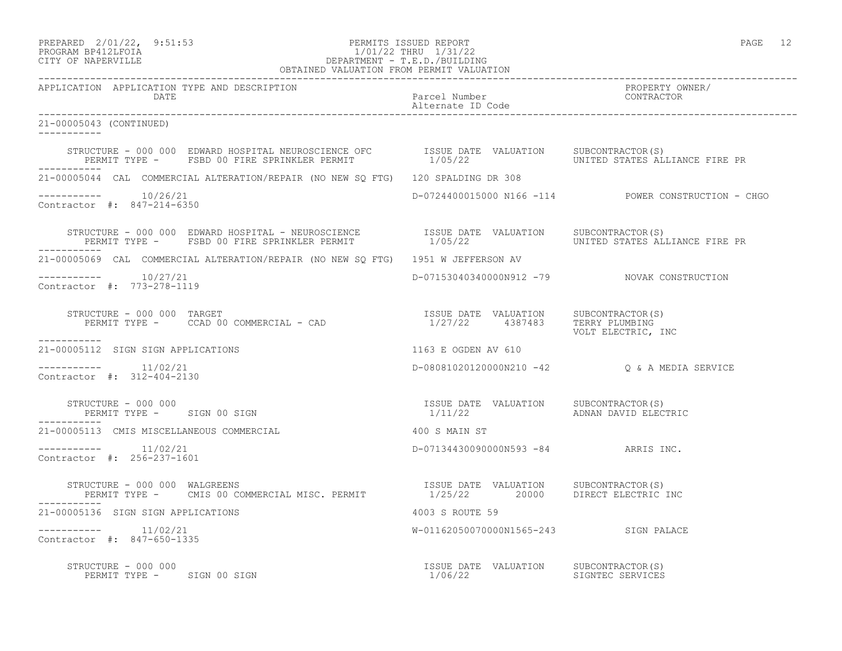## PREPARED 2/01/22, 9:51:53 PERMITS ISSUED REPORT PAGE 12 PROGRAM BP412LFOIA 1/01/22 THRU 1/31/22 CITY OF NAPERVILLE DEPARTMENT - T.E.D./BUILDING

| OBTAINED VALUATION FROM PERMIT VALUATION                                                                                                                                                                                                         |                                       |                                                     |  |
|--------------------------------------------------------------------------------------------------------------------------------------------------------------------------------------------------------------------------------------------------|---------------------------------------|-----------------------------------------------------|--|
| APPLICATION APPLICATION TYPE AND DESCRIPTION<br>DATE                                                                                                                                                                                             | Parcel Number<br>Alternate ID Code    | PROPERTY OWNER/<br>CONTRACTOR                       |  |
| 21-00005043 (CONTINUED)                                                                                                                                                                                                                          |                                       |                                                     |  |
| STRUCTURE - 000 000 EDWARD HOSPITAL NEUROSCIENCE OFC        ISSUE DATE VALUATION    SUBCONTRACTOR(S)<br>PERMIT TYPE -    FSBD 00 FIRE SPRINKLER PERMIT              1/05/22                     UNITED STATES ALLIANCE FIRE PR                   |                                       |                                                     |  |
| 21-00005044 CAL COMMERCIAL ALTERATION/REPAIR (NO NEW SQ FTG) 120 SPALDING DR 308                                                                                                                                                                 |                                       |                                                     |  |
| $--------$ 10/26/21<br>Contractor #: 847-214-6350                                                                                                                                                                                                |                                       | D-0724400015000 N166 -114 POWER CONSTRUCTION - CHGO |  |
| STRUCTURE – 000 000 EDWARD HOSPITAL – NEUROSCIENCE           ISSUE DATE VALUATION    SUBCONTRACTOR(S)<br>PERMIT TYPE –    FSBD 00 FIRE SPRINKLER PERMIT                1/05/22                       UNITED STATES ALLIANCE FIRE<br>------------ |                                       |                                                     |  |
| 21-00005069 CAL COMMERCIAL ALTERATION/REPAIR (NO NEW SQ FTG) 1951 W JEFFERSON AV                                                                                                                                                                 |                                       |                                                     |  |
| $--------- 10/27/21$<br>Contractor #: 773-278-1119                                                                                                                                                                                               |                                       | D-07153040340000N912 -79 NOVAK CONSTRUCTION         |  |
| STRUCTURE - 000 000 TARGET<br>PERMIT TYPE - CCAD 00 COMMERCIAL - CAD $1/27/22$ 4387483 TERRY PLUMBING<br>___________                                                                                                                             |                                       | VOLT ELECTRIC, INC                                  |  |
| 21-00005112 SIGN SIGN APPLICATIONS                                                                                                                                                                                                               | 1163 E OGDEN AV 610                   |                                                     |  |
| Contractor #: 312-404-2130                                                                                                                                                                                                                       |                                       | D-08081020120000N210 -42 Q & A MEDIA SERVICE        |  |
| 1933 SUBCONTRACTOR (STERN 1997) ADNAN SUBCONTRACTOR (STERN 1997) ADNAN DAVID ELECTRIC<br>STRUCTURE - 000 000<br>PERMIT TYPE - SIGN 00 SIGN                                                                                                       |                                       |                                                     |  |
| 21-00005113 CMIS MISCELLANEOUS COMMERCIAL                                                                                                                                                                                                        | 400 S MAIN ST                         |                                                     |  |
| $------- 11/02/21$<br>Contractor #: 256-237-1601                                                                                                                                                                                                 | D-07134430090000N593 -84 ARRIS INC.   |                                                     |  |
| STRUCTURE - 000 000 WALGREENS<br>PERMIT TYPE - CMIS 00 COMMERCIAL MISC. PERMIT 1/25/22 20000 DIRECT ELECTRIC INC                                                                                                                                 | ISSUE DATE VALUATION SUBCONTRACTOR(S) |                                                     |  |
| 21-00005136 SIGN SIGN APPLICATIONS                                                                                                                                                                                                               | 4003 S ROUTE 59                       |                                                     |  |
| $------- 11/02/21$<br>Contractor #: 847-650-1335                                                                                                                                                                                                 | W-01162050070000N1565-243 SIGN PALACE |                                                     |  |
| STRUCTURE – 000 000<br>PERMIT TYPE – SIGN 00 SIGN CONSTRACTOR SUBCONTRACTOR(S) SIGNTEC SERVICES<br>STRUCTURE - 000 000                                                                                                                           |                                       |                                                     |  |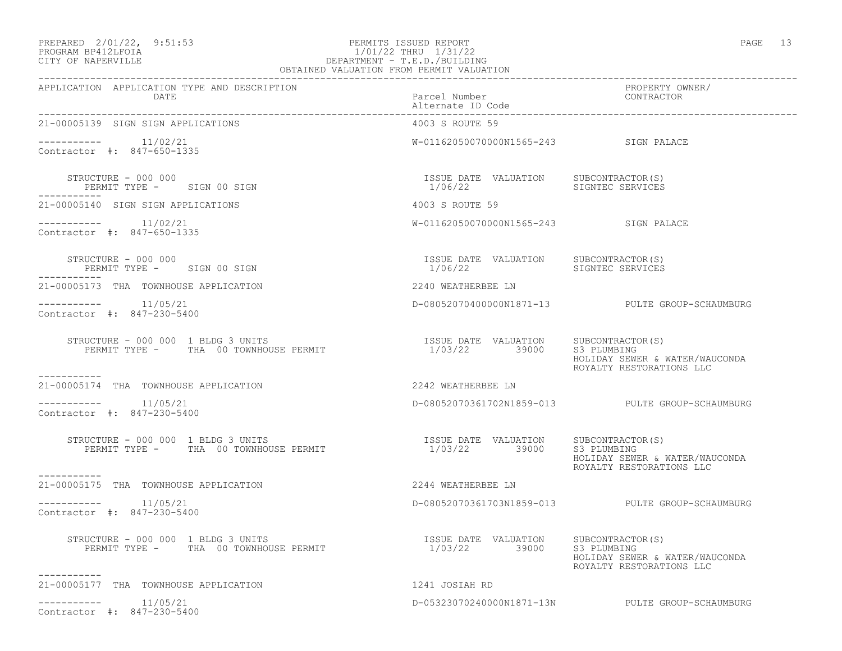## PREPARED 2/01/22, 9:51:53 PERMITS ISSUED REPORT PAGE 13 PROGRAM BP412LFOIA 1/01/22 THRU 1/31/22 CITY OF NAPERVILLE DEPARTMENT - T.E.D./BUILDING

| PAGE |  |
|------|--|
|------|--|

| OBTAINED VALUATION FROM PERMIT VALUATION                                    |                                                                    |                                                            |
|-----------------------------------------------------------------------------|--------------------------------------------------------------------|------------------------------------------------------------|
| APPLICATION APPLICATION TYPE AND DESCRIPTION<br>DATE                        | Parcel Number<br>Alternate ID Code                                 | PROPERTY OWNER/<br>CONTRACTOR                              |
| 21-00005139 SIGN SIGN APPLICATIONS                                          | 4003 S ROUTE 59                                                    |                                                            |
| $--------- 11/02/21$<br>Contractor #: 847-650-1335                          | W-01162050070000N1565-243 SIGN PALACE                              |                                                            |
| STRUCTURE - 000 000<br>PERMIT TYPE - SIGN 00 SIGN                           | ISSUE DATE VALUATION SUBCONTRACTOR(S)<br>1/06/22                   | SIGNTEC SERVICES                                           |
| 21-00005140 SIGN SIGN APPLICATIONS                                          | 4003 S ROUTE 59                                                    |                                                            |
| $--------- 11/02/21$<br>Contractor #: 847-650-1335                          | W-01162050070000N1565-243 SIGN PALACE                              |                                                            |
| STRUCTURE - 000 000<br>PERMIT TYPE - SIGN 00 SIGN                           | ISSUE DATE VALUATION SUBCONTRACTOR(S)<br>1/06/22                   | SIGNTEC SERVICES                                           |
| 21-00005173 THA TOWNHOUSE APPLICATION                                       | 2240 WEATHERBEE LN                                                 |                                                            |
| $--------- 11/05/21$<br>Contractor #: 847-230-5400                          |                                                                    | D-08052070400000N1871-13 PULTE GROUP-SCHAUMBURG            |
| STRUCTURE - 000 000 1 BLDG 3 UNITS<br>PERMIT TYPE - THA 00 TOWNHOUSE PERMIT | ISSUE DATE VALUATION SUBCONTRACTOR(S)<br>1/03/22 39000 S3 PLUMBING | HOLIDAY SEWER & WATER/WAUCONDA<br>ROYALTY RESTORATIONS LLC |
| -----------<br>21-00005174 THA TOWNHOUSE APPLICATION                        | 2242 WEATHERBEE LN                                                 |                                                            |
| Contractor #: 847-230-5400                                                  |                                                                    | D-08052070361702N1859-013 PULTE GROUP-SCHAUMBURG           |
| STRUCTURE - 000 000 1 BLDG 3 UNITS<br>PERMIT TYPE - THA 00 TOWNHOUSE PERMIT | ISSUE DATE VALUATION SUBCONTRACTOR(S)<br>1/03/22 39000 S3 PLUMBING | HOLIDAY SEWER & WATER/WAUCONDA<br>ROYALTY RESTORATIONS LLC |
| ----------<br>21-00005175 THA TOWNHOUSE APPLICATION                         | 2244 WEATHERBEE LN                                                 |                                                            |
| $--------$ 11/05/21<br>Contractor #: 847-230-5400                           |                                                                    | D-08052070361703N1859-013 PULTE GROUP-SCHAUMBURG           |
| STRUCTURE - 000 000 1 BLDG 3 UNITS                                          |                                                                    | HOLIDAY SEWER & WATER/WAUCONDA<br>ROYALTY RESTORATIONS LLC |
| -----------<br>21-00005177 THA TOWNHOUSE APPLICATION                        | 1241 JOSIAH RD                                                     |                                                            |
| 11/05/21<br>____________<br>Contractor #: 847-230-5400                      |                                                                    | D-05323070240000N1871-13N PULTE GROUP-SCHAUMBURG           |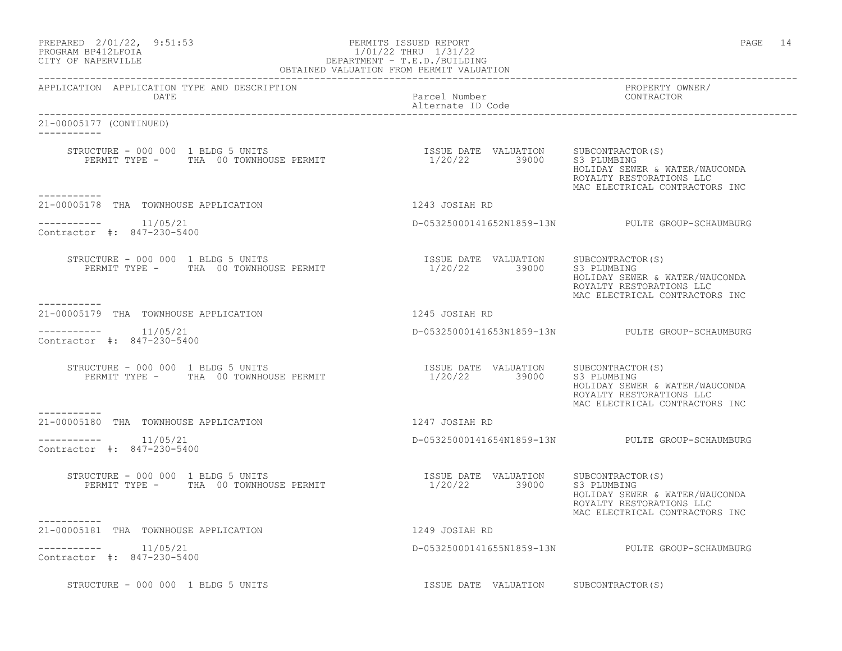| PREPARED 2/01/22, 9:51:53<br>PROGRAM BP412LFOIA<br>CITY OF NAPERVILLE                      | PERMITS ISSUED REPORT<br>1/01/22 THRU 1/31/22<br>DEPARTMENT - T.E.D./BUILDING<br>OBTAINED VALUATION FROM PERMIT VALUATION | PAGE 14                                                                                                                         |
|--------------------------------------------------------------------------------------------|---------------------------------------------------------------------------------------------------------------------------|---------------------------------------------------------------------------------------------------------------------------------|
| APPLICATION APPLICATION TYPE AND DESCRIPTION<br>DATE                                       | Parcel Number<br>Alternate ID Code                                                                                        | PROPERTY OWNER/<br>CONTRACTOR                                                                                                   |
| 21-00005177 (CONTINUED)                                                                    |                                                                                                                           |                                                                                                                                 |
| STRUCTURE - 000 000 1 BLDG 5 UNITS<br>PERMIT TYPE - THA 00 TOWNHOUSE PERMIT<br>----------- | ISSUE DATE VALUATION SUBCONTRACTOR(S)<br>1/20/22 39000 S3 PLUMBING                                                        | HOLIDAY SEWER & WATER/WAUCONDA<br>ROYALTY RESTORATIONS LLC<br>MAC ELECTRICAL CONTRACTORS INC                                    |
| 21-00005178 THA TOWNHOUSE APPLICATION                                                      | 1243 JOSIAH RD                                                                                                            |                                                                                                                                 |
| $---------$ 11/05/21<br>Contractor #: 847-230-5400                                         |                                                                                                                           | D-05325000141652N1859-13N PULTE GROUP-SCHAUMBURG                                                                                |
| STRUCTURE - 000 000 1 BLDG 5 UNITS<br>PERMIT TYPE - THA 00 TOWNHOUSE PERMIT<br>----------- | ISSUE DATE VALUATION SUBCONTRACTOR(S)<br>1/20/22 39000 S3 PLUMBING<br>$1/20/22$ 39000                                     | HOLIDAY SEWER & WATER/WAUCONDA<br>ROYALTY RESTORATIONS LLC<br>MAC ELECTRICAL CONTRACTORS INC                                    |
| 21-00005179 THA TOWNHOUSE APPLICATION                                                      | 1245 JOSIAH RD                                                                                                            |                                                                                                                                 |
| $--------- 11/05/21$<br>Contractor #: 847-230-5400                                         |                                                                                                                           | D-05325000141653N1859-13N PULTE GROUP-SCHAUMBURG                                                                                |
| STRUCTURE - 000 000 1 BLDG 5 UNITS<br>PERMIT TYPE - THA 00 TOWNHOUSE PERMIT                | ISSUE DATE VALUATION<br>1/20/22 39000                                                                                     | SUBCONTRACTOR(S)<br>S3 PLUMBING<br>HOLIDAY SEWER & WATER/WAUCONDA<br>ROYALTY RESTORATIONS LLC<br>MAC ELECTRICAL CONTRACTORS INC |
| -----------<br>21-00005180 THA TOWNHOUSE APPLICATION                                       | 1247 JOSIAH RD                                                                                                            |                                                                                                                                 |
| $--------- 11/05/21$<br>Contractor #: 847-230-5400                                         |                                                                                                                           | D-05325000141654N1859-13N PULTE GROUP-SCHAUMBURG                                                                                |
| STRUCTURE - 000 000 1 BLDG 5 UNITS<br>PERMIT TYPE - THA 00 TOWNHOUSE PERMIT                | ISSUE DATE VALUATION SUBCONTRACTOR(S)<br>1/20/22 39000                                                                    | S3 PLUMBING<br>HOLIDAY SEWER & WATER/WAUCONDA<br>ROYALTY RESTORATIONS LLC<br>MAC ELECTRICAL CONTRACTORS INC                     |
| -----------<br>21-00005181 THA TOWNHOUSE APPLICATION                                       | 1249 JOSIAH RD                                                                                                            |                                                                                                                                 |
| Contractor #: 847-230-5400                                                                 |                                                                                                                           | D-05325000141655N1859-13N PULTE GROUP-SCHAUMBURG                                                                                |
| STRUCTURE - 000 000 1 BLDG 5 UNITS                                                         | ISSUE DATE VALUATION SUBCONTRACTOR(S)                                                                                     |                                                                                                                                 |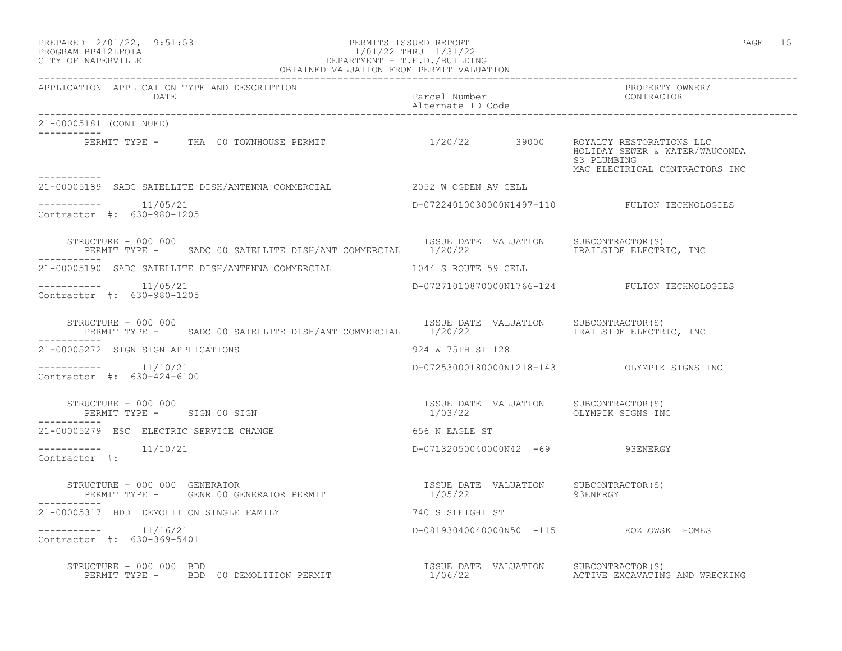### PREPARED 2/01/22, 9:51:53 PERMITS ISSUED REPORT PAGE 15 PROGRAM BP412LFOIA 1/01/22 THRU 1/31/22 CITY OF NAPERVILLE DEPARTMENT - T.E.D./BUILDING OBTAINED VALUATION FROM PERMIT VALUATION

| APPLICATION APPLICATION TYPE AND DESCRIPTION<br>LICATION APPLICATION TYPE AND DESCRIPTION PACKERTY PARCEL Number Parcel Number Percel CONTRACTOR PROPERTY OWNER<br>DATE Parcel Number Parcel D Code Percel CONTRACTOR PERPENDENT DATE |                                                                     |                                                                                 |
|---------------------------------------------------------------------------------------------------------------------------------------------------------------------------------------------------------------------------------------|---------------------------------------------------------------------|---------------------------------------------------------------------------------|
| 21-00005181 (CONTINUED)                                                                                                                                                                                                               |                                                                     |                                                                                 |
| PERMIT TYPE - THA 00 TOWNHOUSE PERMIT $1/20/22$ 39000 ROYALTY RESTORATIONS LLC                                                                                                                                                        |                                                                     | HOLIDAY SEWER & WATER/WAUCONDA<br>S3 PLUMBING<br>MAC ELECTRICAL CONTRACTORS INC |
| 21-00005189 SADC SATELLITE DISH/ANTENNA COMMERCIAL 2052 W OGDEN AV CELL                                                                                                                                                               |                                                                     |                                                                                 |
| $--------- 11/05/21$<br>Contractor #: 630-980-1205                                                                                                                                                                                    |                                                                     | D-07224010030000N1497-110 FULTON TECHNOLOGIES                                   |
| STRUCTURE - 000 000<br>PERMIT TYPE - SADC 00 SATELLITE DISH/ANT COMMERCIAL 1/20/22 TRAILSIDE ELECTRIC, INC                                                                                                                            | ISSUE DATE VALUATION SUBCONTRACTOR(S)                               |                                                                                 |
|                                                                                                                                                                                                                                       |                                                                     |                                                                                 |
| $--------- 11/05/21$<br>Contractor #: 630-980-1205                                                                                                                                                                                    |                                                                     | D-07271010870000N1766-124 FULTON TECHNOLOGIES                                   |
| STRUCTURE - 000 000<br>PERMIT TYPE - SADC 00 SATELLITE DISH/ANT COMMERCIAL 1/20/22 TRAILATION TRAILSIDE ELECTRIC, INC<br>STRUCTURE - 000 000                                                                                          |                                                                     |                                                                                 |
| 21-00005272 SIGN SIGN APPLICATIONS                                                                                                                                                                                                    | 924 W 75TH ST 128                                                   |                                                                                 |
| $--------- 11/10/21$<br>Contractor #: 630-424-6100                                                                                                                                                                                    |                                                                     | D-07253000180000N1218-143 OLYMPIK SIGNS INC                                     |
| STRUCTURE - 000 000<br>PERMIT TYPE - SIGN 00 SIGN                                                                                                                                                                                     | ISSUE DATE VALUATION SUBCONTRACTOR (S)<br>1/03/22 OLYMPIK SIGNS INC |                                                                                 |
| 21-00005279 ESC ELECTRIC SERVICE CHANGE                                                                                                                                                                                               | 656 N EAGLE ST                                                      |                                                                                 |
| $--------- 11/10/21$<br>Contractor #:                                                                                                                                                                                                 | D-07132050040000N42 -69 93ENERGY                                    |                                                                                 |
| STRUCTURE - 000 000 GENERATOR                                                                                                                                                                                                         |                                                                     |                                                                                 |
| 21-00005317 BDD DEMOLITION SINGLE FAMILY TANDER AND THE 740 S SLEIGHT ST                                                                                                                                                              |                                                                     |                                                                                 |
| $---------$ 11/16/21<br>Contractor #: 630-369-5401                                                                                                                                                                                    | D-08193040040000N50 -115 KOZLOWSKI HOMES                            |                                                                                 |
| STRUCTURE - 000 000 BDD<br>PERMIT TYPE -   BDD 00 DEMOLITION PERMIT                   1/06/22     ACTIVE EXCAVATING AND WRECKING                                                                                                      |                                                                     |                                                                                 |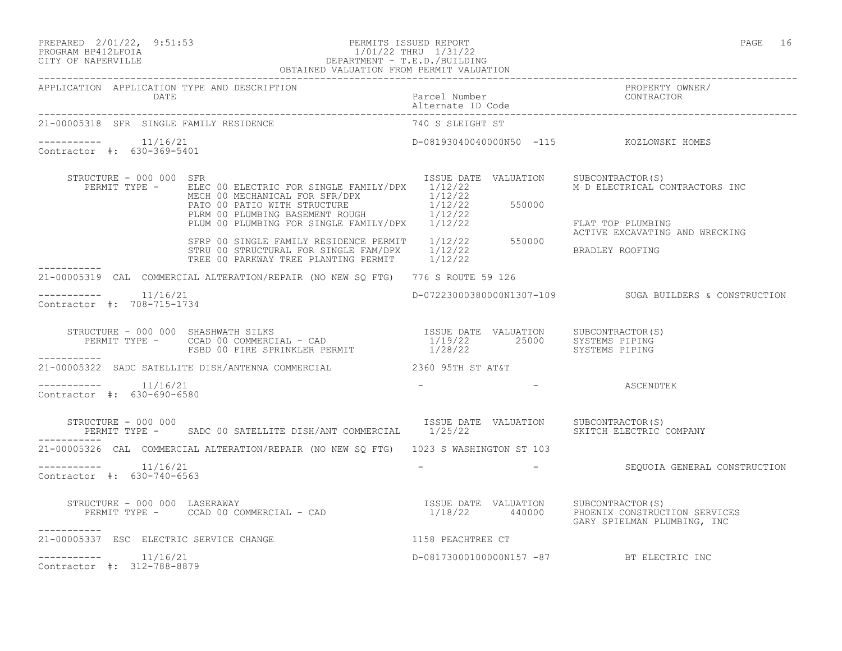PREPARED 2/01/22, 9:51:53 PERMITS ISSUED REPORT PAGE 16

## PROGRAM BP412LFOIA 1/01/22 THRU 1/31/22 CITY OF NAPERVILLE DEPARTMENT - T.E.D./BUILDING OBTAINED VALUATION FROM PERMIT VALUATION

| APPLICATION APPLICATION TYPE AND DESCRIPTION       |                                                                                                                                                                                                                                                                                                        |                  | APPLICATION APPLICATION TYPE AND DESCRIPTION PACKERTY POWER PROPERTY OWNER (DATE<br>DATE Parcel Number Parcel D Code enterproper particular contractor and the contractor of the contractor of the contractor of the contractor o |
|----------------------------------------------------|--------------------------------------------------------------------------------------------------------------------------------------------------------------------------------------------------------------------------------------------------------------------------------------------------------|------------------|-----------------------------------------------------------------------------------------------------------------------------------------------------------------------------------------------------------------------------------|
| 21-00005318 SFR SINGLE FAMILY RESIDENCE            |                                                                                                                                                                                                                                                                                                        | 740 S SLEIGHT ST |                                                                                                                                                                                                                                   |
| Contractor #: 630-369-5401                         |                                                                                                                                                                                                                                                                                                        |                  | D-08193040040000N50 -115 KOZLOWSKI HOMES                                                                                                                                                                                          |
| STRUCTURE - 000 000 SFR                            | PERMIT TYPE - ELEC 00 ELECTRIC FOR SINGLE FAMILY/DPX 1/12/22<br>MECTRICAL CONSTRUCTION IN ELECTRICAL CONSTRUCTION METHOD MECHANICAL FOR SPRIOR 1/12/22<br>PATO O PATIO WITH STRUCTURE 1/12/22<br>PLEM 00 PLUMBING BASEMENT ROUGH 1/12/22<br>FLAT TOP PLUMBING FOR SINGLE FAMILY/DPX 1/12/22<br>STRP 00 |                  | ISSUE DATE VALUATION SUBCONTRACTOR(S)<br>M D ELECTRICAL CONTRACTORS INC                                                                                                                                                           |
|                                                    |                                                                                                                                                                                                                                                                                                        |                  | ACTIVE EXCAVATING AND WRECKING                                                                                                                                                                                                    |
| ____________                                       | 21-00005319 CAL COMMERCIAL ALTERATION/REPAIR (NO NEW SQ FTG) 776 S ROUTE 59 126                                                                                                                                                                                                                        |                  |                                                                                                                                                                                                                                   |
| $--------- 11/16/21$<br>Contractor #: 708-715-1734 |                                                                                                                                                                                                                                                                                                        |                  | D-07223000380000N1307-109 SUGA BUILDERS & CONSTRUCTION                                                                                                                                                                            |
|                                                    |                                                                                                                                                                                                                                                                                                        |                  |                                                                                                                                                                                                                                   |
|                                                    | 21-00005322 SADC SATELLITE DISH/ANTENNA COMMERCIAL 2360 95TH ST AT&T                                                                                                                                                                                                                                   |                  |                                                                                                                                                                                                                                   |
| $--------- 11/16/21$<br>Contractor #: 630-690-6580 |                                                                                                                                                                                                                                                                                                        | <b>Service</b>   | - ASCENDTEK                                                                                                                                                                                                                       |
| STRUCTURE - 000 000                                | PERMIT TYPE - SADC 00 SATELLITE DISH/ANT COMMERCIAL 1/25/22                                                                                                                                                                                                                                            |                  | ISSUE DATE VALUATION SUBCONTRACTOR(S)<br>SKITCH ELECTRIC COMPANY                                                                                                                                                                  |
|                                                    | 21-00005326 CAL COMMERCIAL ALTERATION/REPAIR (NO NEW SO FTG) 1023 S WASHINGTON ST 103                                                                                                                                                                                                                  |                  |                                                                                                                                                                                                                                   |
| $--------- 11/16/21$<br>Contractor #: 630-740-6563 |                                                                                                                                                                                                                                                                                                        |                  | - SEOUOIA GENERAL CONSTRUCTION                                                                                                                                                                                                    |
| -----------                                        | STRUCTURE - 000 000 LASERAWAY<br>PERMIT TYPE - CCAD 00 COMMERCIAL - CAD                              1/18/22     440000     PHOENNIX CONSTRUCTION SERVICES                                                                                                                                             |                  | GARY SPIELMAN PLUMBING, INC                                                                                                                                                                                                       |
| 21-00005337 ESC ELECTRIC SERVICE CHANGE            | 1158 PEACHTREE CT                                                                                                                                                                                                                                                                                      |                  |                                                                                                                                                                                                                                   |
| $--------- 11/16/21$<br>Contractor #: 312-788-8879 |                                                                                                                                                                                                                                                                                                        |                  | D-08173000100000N157 -87 BT ELECTRIC INC                                                                                                                                                                                          |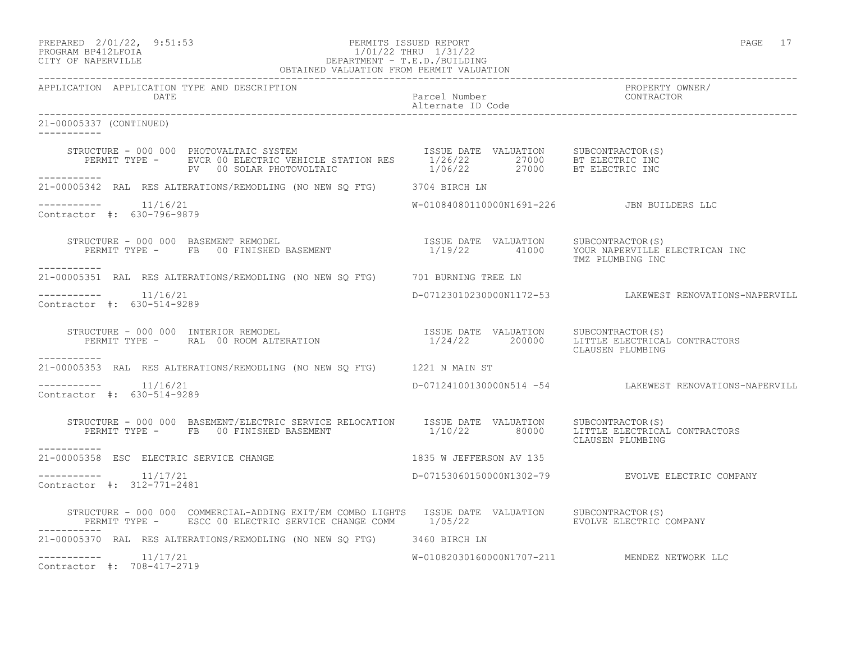# PREPARED 2/01/22, 9:51:53 PERMITS ISSUED REPORT<br>PROGRAM BP412LFOIA PAGE 17 1/01/22 THRU 1/31/22 PROGRAM BP412LFOIA 1/01/22 THRU 1/31/22 CITY OF NAPERVILLE DEPARTMENT - T.E.D./BUILDING

| OBTAINED VALUATION FROM PERMIT VALUATION                                                                                                                                                                                             |                                            |                                                         |
|--------------------------------------------------------------------------------------------------------------------------------------------------------------------------------------------------------------------------------------|--------------------------------------------|---------------------------------------------------------|
| APPLICATION APPLICATION TYPE AND DESCRIPTION                                                                                                                                                                                         |                                            | PROPERTY OWNER/                                         |
| 21-00005337 (CONTINUED)<br>------------                                                                                                                                                                                              |                                            |                                                         |
| STRUCTURE - 000 000 PHOTOVALTAIC SYSTEM [57ATION ISSUE DATE VALUATION SUBCONTRACTOR(S)<br>PERMIT TYPE - EVCR 00 ELECTRIC VEHICLE STATION RES [1/26/22 27000 BT ELECTRIC INC<br>PV 00 SOLAR PHOTOVOLTAIC [1/06/22 27000 BT ELECTRIC I |                                            |                                                         |
| 21-00005342 RAL RES ALTERATIONS/REMODLING (NO NEW SQ FTG) 3704 BIRCH LN                                                                                                                                                              |                                            |                                                         |
| $--------- 11/16/21$<br>Contractor #: 630-796-9879                                                                                                                                                                                   | W-01084080110000N1691-226 JBN BUILDERS LLC |                                                         |
| STRUCTURE - 000 000 BASEMENT REMODEL<br>PERMIT TYPE - FB 00 FINISHED BASEMENT - 1/19/22 41000 YOUR NAPERVILLE ELECTRICAN INC<br>----------                                                                                           |                                            | TMZ PLUMBING INC                                        |
| 21-00005351 RAL RES ALTERATIONS/REMODLING (NO NEW SQ FTG) 701 BURNING TREE LN                                                                                                                                                        |                                            |                                                         |
| -----------    11/16/21<br>Contractor $\#: 630 - 514 - 9289$                                                                                                                                                                         |                                            | D-07123010230000N1172-53 LAKEWEST RENOVATIONS-NAPERVILL |
| STRUCTURE - 000 000 INTERIOR REMODEL<br>PERMIT TYPE - RAL 00 ROOM ALTERATION<br>PERMIT TYPE - RAL 00 ROOM ALTERATION<br>200000 LITTLE ELECTRICAL CONTRACTORS<br>------------                                                         |                                            | CLAUSEN PLUMBING                                        |
| 21-00005353 RAL RES ALTERATIONS/REMODLING (NO NEW SQ FTG) 1221 N MAIN ST                                                                                                                                                             |                                            |                                                         |
| $--------- 11/16/21$<br>Contractor #: 630-514-9289                                                                                                                                                                                   |                                            | D-07124100130000N514 -54 LAKEWEST RENOVATIONS-NAPERVILL |
| STRUCTURE - 000 000 BASEMENT/ELECTRIC SERVICE RELOCATION ISSUE DATE VALUATION SUBCONTRACTOR(S)<br>PERMIT TYPE - FB 00 FINISHED BASEMENT 1/10/22 80000 LITTLE ELECTRICAL CONTRACTORS<br>-----------                                   |                                            | CLAUSEN PLUMBING                                        |
| 21-00005358 ESC ELECTRIC SERVICE CHANGE 600 1835 W JEFFERSON AV 135                                                                                                                                                                  |                                            |                                                         |
| $------- 11/17/21$<br>Contractor #: 312-771-2481                                                                                                                                                                                     |                                            | D-07153060150000N1302-79 EVOLVE ELECTRIC COMPANY        |
| STRUCTURE - 000 000 COMMERCIAL-ADDING EXIT/EM COMBO LIGHTS ISSUE DATE VALUATION SUBCONTRACTOR(S)<br>PERMIT TYPE - ESCC 00 ELECTRIC SERVICE CHANGE COMM 1/05/22 EVOLVE ELECTRIC COMPANY                                               |                                            |                                                         |
| 21-00005370 RAL RES ALTERATIONS/REMODLING (NO NEW SQ FTG) 3460 BIRCH LN                                                                                                                                                              |                                            |                                                         |
| $--------- 11/17/21$<br>Contractor #: 708-417-2719                                                                                                                                                                                   |                                            | W-01082030160000N1707-211 MENDEZ NETWORK LLC            |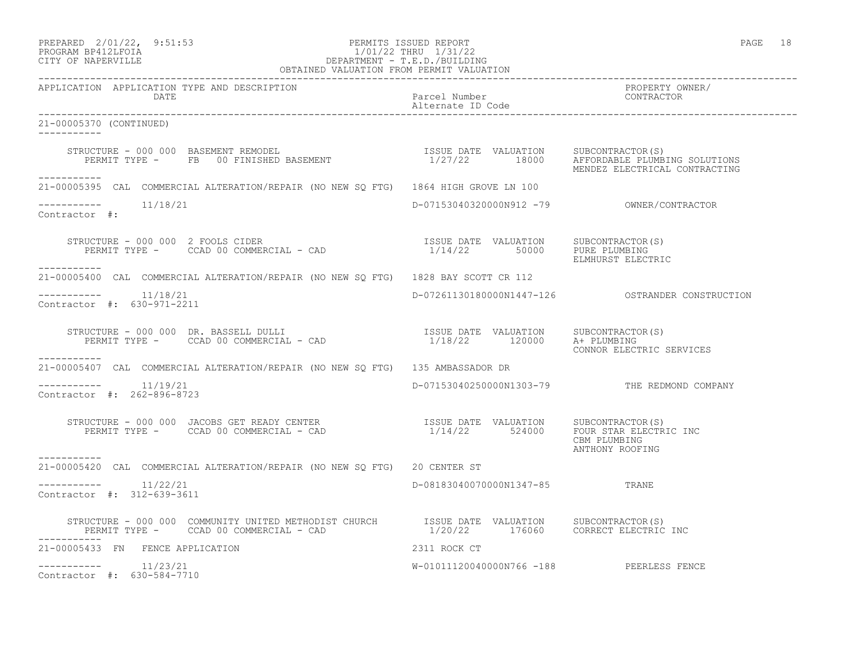| PREPARED            | $2/01/22$ , | 9:51:53 |
|---------------------|-------------|---------|
| DDOOD3M DD410T DOT3 |             |         |

### PREPARED 2/01/22, 9:51:53 PERMITS ISSUED REPORT PAGE 18 PROGRAM BP412LFOIA 1/01/22 THRU 1/31/22 CITY OF NAPERVILLE DEPARTMENT - T.E.D./BUILDING

| OBTAINED VALUATION FROM PERMIT VALUATION                                                                                                                                                 |                                                                                                                                                                                                                                  |                                                      |
|------------------------------------------------------------------------------------------------------------------------------------------------------------------------------------------|----------------------------------------------------------------------------------------------------------------------------------------------------------------------------------------------------------------------------------|------------------------------------------------------|
| APPLICATION APPLICATION TYPE AND DESCRIPTION<br>DATE                                                                                                                                     | and the state of the state of the state of the state of the state of the state of the state of the state of th<br>The state of the state of the state of the state of the state of the state of the state of the state of the st | PROPERTY OWNER/<br>TROIBRIT OW<br>CONTRACTOR         |
| 21-00005370 (CONTINUED)<br>___________                                                                                                                                                   |                                                                                                                                                                                                                                  |                                                      |
| STRUCTURE - 000 000 BASEMENT REMODEL STRUCTURE - 000 000 BASEMENT REMODEL SUSCONTRACTOR (S)<br>PERMIT TYPE - FB 00 FINISHED BASEMENT 1/27/22 18000 AFFORDABLE PLUMBING SOLUTIONS         |                                                                                                                                                                                                                                  | MENDEZ ELECTRICAL CONTRACTING                        |
| -----------<br>21-00005395 CAL COMMERCIAL ALTERATION/REPAIR (NO NEW SQ FTG) 1864 HIGH GROVE LN 100                                                                                       |                                                                                                                                                                                                                                  |                                                      |
| Contractor #:                                                                                                                                                                            |                                                                                                                                                                                                                                  |                                                      |
| STRUCTURE – 000 000 2 FOOLS CIDER<br>PERMIT TYPE – CCAD 00 COMMERCIAL – CAD (2) TERMIT TYPE – CCAD 00 COMMERCIAL – CAD (2) THE PLUMBING 1/14/22 50000<br>___________                     |                                                                                                                                                                                                                                  | ELMHURST ELECTRIC                                    |
| 21-00005400 CAL COMMERCIAL ALTERATION/REPAIR (NO NEW SO FTG) 1828 BAY SCOTT CR 112                                                                                                       |                                                                                                                                                                                                                                  |                                                      |
| $--------- 11/18/21$<br>Contractor #: 630-971-2211                                                                                                                                       |                                                                                                                                                                                                                                  | D-07261130180000N1447-126    COSTRANDER CONSTRUCTION |
| STRUCTURE - 000 000 DR. BASSELL DULLI<br>PERMIT TYPE - CCAD 00 COMMERCIAL - CAD (2000) 2000 DR. ERNIT TYPE - CCAD 00 COMMERCIAL - CAD (2000) 2011 2000                                   |                                                                                                                                                                                                                                  | CONNOR ELECTRIC SERVICES                             |
| -----------<br>21-00005407 CAL COMMERCIAL ALTERATION/REPAIR (NO NEW SQ FTG) 135 AMBASSADOR DR                                                                                            |                                                                                                                                                                                                                                  |                                                      |
| $--------- 11/19/21$<br>Contractor #: 262-896-8723                                                                                                                                       |                                                                                                                                                                                                                                  | D-07153040250000N1303-79 THE REDMOND COMPANY         |
| STRUCTURE - 000 000 JACOBS GET READY CENTER<br>PERMIT TYPE - CCAD 00 COMMERCIAL - CAD $1/14/22$ 524000 FOUR STAR ELECTRIC INC                                                            |                                                                                                                                                                                                                                  | CBM PLUMBING<br>ANTHONY ROOFING                      |
| -----------<br>21-00005420 CAL COMMERCIAL ALTERATION/REPAIR (NO NEW SO FTG) 20 CENTER ST                                                                                                 |                                                                                                                                                                                                                                  |                                                      |
| $--------- 11/22/21$<br>Contractor #: 312-639-3611                                                                                                                                       | D-08183040070000N1347-85 TRANE                                                                                                                                                                                                   |                                                      |
| STRUCTURE - 000 000 COMMUNITY UNITED METHODIST CHURCH TSSUE DATE VALUATION SUBCONTRACTOR(S)<br>PERMIT TYPE - CCAD 00 COMMERCIAL - CAD 1/20/22 176060 CORRECT ELECTRIC INC<br>----------- |                                                                                                                                                                                                                                  |                                                      |
| 21-00005433 FN FENCE APPLICATION                                                                                                                                                         | 2311 ROCK CT                                                                                                                                                                                                                     |                                                      |
| $--------- 11/23/21$<br>Contractor #: 630-584-7710                                                                                                                                       | W-01011120040000N766 -188 PEERLESS FENCE                                                                                                                                                                                         |                                                      |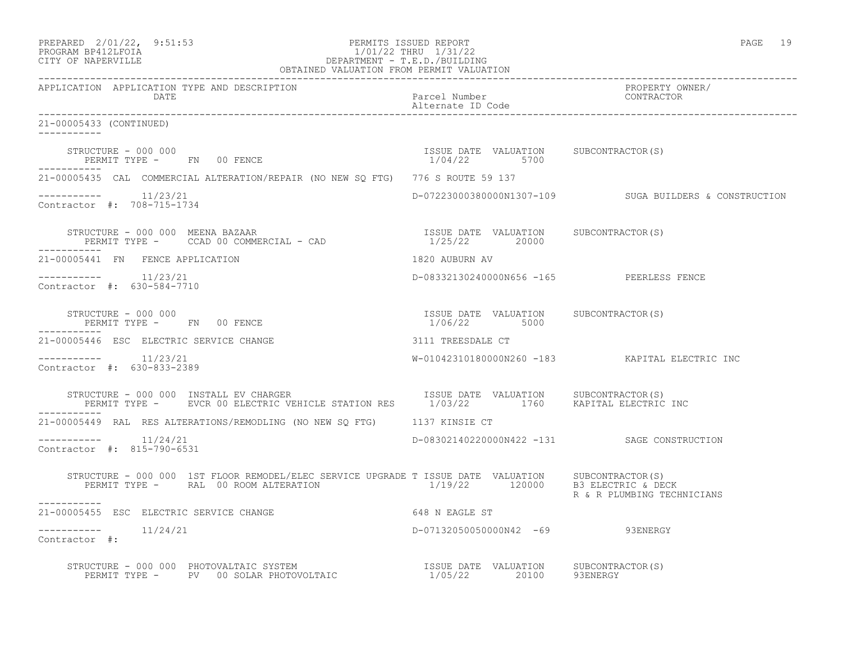| PREPARED 2/01/22, 9:51:53<br>1/01/22 THRU 1/31/22<br>DEPARTMENT - T.E.D./BUILDING<br>OBTAINED VALUATION FROM PERMIT VALUATION<br>PROGRAM BP412LFOIA<br>CITY OF NAPERVILLE                                                          |                                                        | PAGE 19                                                |
|------------------------------------------------------------------------------------------------------------------------------------------------------------------------------------------------------------------------------------|--------------------------------------------------------|--------------------------------------------------------|
| APPLICATION APPLICATION TYPE AND DESCRIPTION<br><b>DATE</b>                                                                                                                                                                        | Parcel Number<br>Alternate ID Code                     | PROPERTY OWNER/<br>CONTRACTOR                          |
| 21-00005433 (CONTINUED)                                                                                                                                                                                                            |                                                        |                                                        |
| STRUCTURE - 000 000<br>PERMIT TYPE - FN 00 FENCE                                                                                                                                                                                   | ISSUE DATE VALUATION SUBCONTRACTOR(S)<br>1/04/22 5700  |                                                        |
| 21-00005435 CAL COMMERCIAL ALTERATION/REPAIR (NO NEW SQ FTG) 776 S ROUTE 59 137                                                                                                                                                    |                                                        |                                                        |
| $--------- 11/23/21$<br>Contractor #: 708-715-1734                                                                                                                                                                                 |                                                        | D-07223000380000N1307-109 SUGA BUILDERS & CONSTRUCTION |
| STRUCTURE - 000 000 MEENA BAZAAR<br>PERMIT TYPE - CCAD 00 COMMERCIAL - CAD                                                                                                                                                         | ISSUE DATE VALUATION SUBCONTRACTOR(S)<br>1/25/22 20000 |                                                        |
| 21-00005441 FN FENCE APPLICATION                                                                                                                                                                                                   | 1820 AUBURN AV                                         |                                                        |
| $--------- 11/23/21$<br>Contractor #: 630-584-7710                                                                                                                                                                                 | D-08332130240000N656 -165 PEERLESS FENCE               |                                                        |
| STRUCTURE - 000 000<br>PERMIT TYPE - FN 00 FENCE<br>-----------                                                                                                                                                                    | ISSUE DATE VALUATION SUBCONTRACTOR(S)<br>1/06/22 5000  |                                                        |
| 21-00005446 ESC ELECTRIC SERVICE CHANGE                                                                                                                                                                                            | 3111 TREESDALE CT                                      |                                                        |
| $--------- 11/23/21$<br>Contractor #: 630-833-2389                                                                                                                                                                                 |                                                        | W-01042310180000N260 -183 KAPITAL ELECTRIC INC         |
| STRUCTURE - 000 000 INSTALL EV CHARGER<br>PERMIT TYPE - EVCR 00 ELECTRIC VEHICLE STATION RES 1/03/22 1760 KAPITAL ELECTRIC INC                                                                                                     | ISSUE DATE VALUATION SUBCONTRACTOR(S)                  |                                                        |
| 21-00005449 RAL RES ALTERATIONS/REMODLING (NO NEW SO FTG) 1137 KINSIE CT                                                                                                                                                           |                                                        |                                                        |
| $--------- 11/24/21$<br>Contractor #: 815-790-6531                                                                                                                                                                                 |                                                        | D-08302140220000N422 -131 SAGE CONSTRUCTION            |
| STRUCTURE - 000 000 1ST FLOOR REMODEL/ELEC SERVICE UPGRADE T ISSUE DATE VALUATION SUBCONTRACTOR(S)<br>PERMIT TYPE -     RAL 00 ROOM ALTERATION                          1/19/22        120000    B3 ELECTRIC & DECK<br>----------- |                                                        | R & R PLUMBING TECHNICIANS                             |
| 21-00005455 ESC ELECTRIC SERVICE CHANGE                                                                                                                                                                                            | 648 N EAGLE ST                                         |                                                        |
| -----------    11/24/21<br>Contractor #:                                                                                                                                                                                           | D-07132050050000N42 -69 93ENERGY                       |                                                        |
| STRUCTURE - 000 000 PHOTOVALTAIC SYSTEM TSSUE DATE VALUATION<br>PERMIT TYPE - PV 00 SOLAR PHOTOVOLTAIC 1/05/22 20100                                                                                                               | ISSUE DATE VALUATION SUBCONTRACTOR (S)                 | 93ENERGY                                               |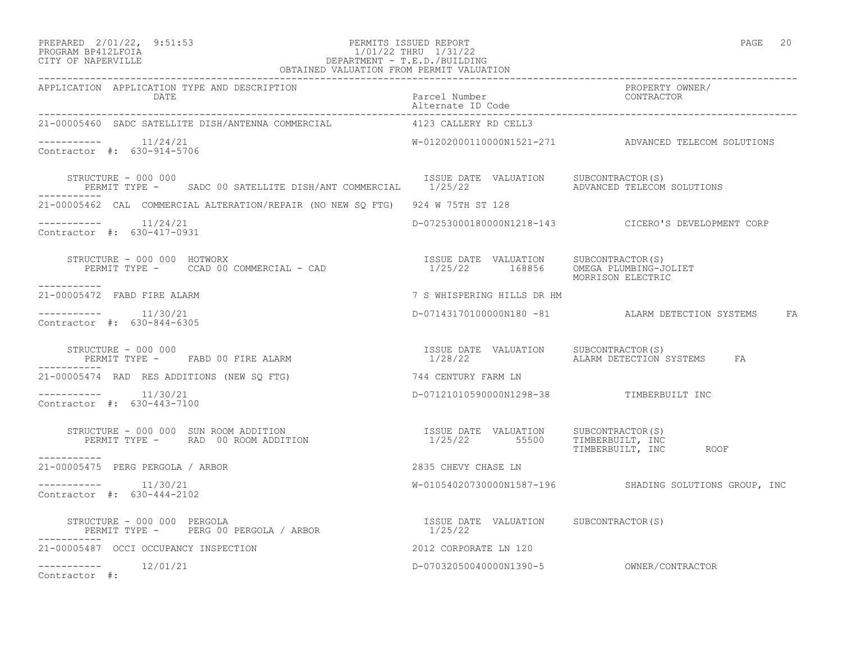### PREPARED 2/01/22, 9:51:53 PERMITS ISSUED REPORT PAGE 20 PROGRAM BP412LFOIA 1/01/22 THRU 1/31/22 CITY OF NAPERVILLE DEPARTMENT - T.E.D./BUILDING

| OBTAINED VALUATION FROM PERMIT VALUATION                                                                                                                           |                                          |                                                        |
|--------------------------------------------------------------------------------------------------------------------------------------------------------------------|------------------------------------------|--------------------------------------------------------|
| APPLICATION APPLICATION TYPE AND DESCRIPTION<br>DATE                                                                                                               | Parcel Number<br>Alternate ID Code       | PROPERTY OWNER/<br>CONTRACTOR                          |
| 21-00005460 SADC SATELLITE DISH/ANTENNA COMMERCIAL 4123 CALLERY RD CELL3                                                                                           |                                          |                                                        |
| -----------    11/24/21<br>Contractor #: 630-914-5706                                                                                                              |                                          | W-01202000110000N1521-271 ADVANCED TELECOM SOLUTIONS   |
| STRUCTURE - 000 000<br>PERMIT TYPE - SADC 00 SATELLITE DISH/ANT COMMERCIAL 1/25/22 ADVANCED TELECOM SOLUTIONS                                                      | ISSUE DATE VALUATION SUBCONTRACTOR(S)    |                                                        |
| 21-00005462 CAL COMMERCIAL ALTERATION/REPAIR (NO NEW SO FTG) 924 W 75TH ST 128                                                                                     |                                          |                                                        |
| -----------    11/24/21<br>Contractor #: 630-417-0931                                                                                                              |                                          | D-07253000180000N1218-143 CICERO'S DEVELOPMENT CORP    |
| STRUCTURE – 000 000 HOTWORX<br>PERMIT TYPE – CCAD 00 COMMERCIAL – CAD                                  1/25/22     168856    OMEGA PLUMBING-JOLIET<br>------------ |                                          | MORRISON ELECTRIC                                      |
| 21-00005472 FABD FIRE ALARM                                                                                                                                        | 7 S WHISPERING HILLS DR HM               |                                                        |
| Contractor #: 630-844-6305                                                                                                                                         |                                          | D-07143170100000N180 -81 ALARM DETECTION SYSTEMS FA    |
| STRUCTURE - 000 000<br>PERMIT TYPE - FABD 00 FIRE ALARM                                                                                                            |                                          | FA                                                     |
| 21-00005474 RAD RES ADDITIONS (NEW SO FTG)                                                                                                                         | 744 CENTURY FARM LN                      |                                                        |
| Contractor #: 630-443-7100                                                                                                                                         | D-07121010590000N1298-38 TIMBERBUILT INC |                                                        |
| -----------                                                                                                                                                        |                                          |                                                        |
| 21-00005475 PERG PERGOLA / ARBOR                                                                                                                                   | 2835 CHEVY CHASE LN                      |                                                        |
| Contractor #: 630-444-2102                                                                                                                                         |                                          | W-01054020730000N1587-196 SHADING SOLUTIONS GROUP, INC |
|                                                                                                                                                                    |                                          |                                                        |
| 2012 CORPORATE LN 120<br>21-00005487 OCCI OCCUPANCY INSPECTION                                                                                                     |                                          |                                                        |
| $--------$ 12/01/21<br>Contractor #:                                                                                                                               |                                          |                                                        |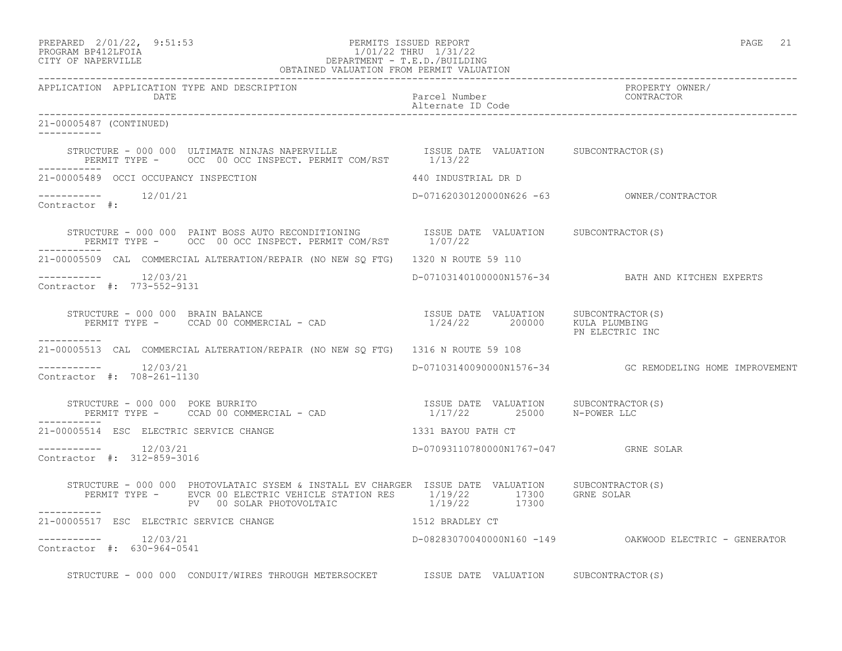# PREPARED 2/01/22, 9:51:53 PERMITS ISSUED REPORT<br>PROGRAM BP412LFOIA PAGE 21 1/01/22 THRU 1/31/22 PROGRAM BP412LFOIA 1/01/22 THRU 1/31/22<br>CITY OF NAPERVILLE DEPARTMENT - T.E.D./BUILDIN CITY OF NAPERVILLE DEPARTMENT - T.E.D./BUILDING

|                                                                                                                                                                                                              | OBTAINED VALUATION FROM PERMIT VALUATION |                                                         |
|--------------------------------------------------------------------------------------------------------------------------------------------------------------------------------------------------------------|------------------------------------------|---------------------------------------------------------|
| APPLICATION APPLICATION TYPE AND DESCRIPTION<br>DATE                                                                                                                                                         | Parcel Number<br>Alternate ID Code       | PROPERTY OWNER/<br>PROPERTY OW<br>CONTRACTOR            |
| 21-00005487 (CONTINUED)<br>___________                                                                                                                                                                       |                                          |                                                         |
| STRUCTURE - 000 000 ULTIMATE NINJAS NAPERVILLE                ISSUE DATE VALUATION      SUBCONTRACTOR(S)<br>PERMIT TYPE -      OCC  00 OCC INSPECT. PERMIT COM/RST        1/13/22<br>------------            |                                          |                                                         |
| 21-00005489 OCCI OCCUPANCY INSPECTION 440 INDUSTRIAL DR D                                                                                                                                                    |                                          |                                                         |
| $12/01/21$<br>Contractor #:                                                                                                                                                                                  |                                          |                                                         |
| STRUCTURE - 000 000 PAINT BOSS AUTO RECONDITIONING ISSUE DATE VALUATION SUBCONTRACTOR(S) PERMIT TYPE - OCC 00 OCC INSPECT. PERMIT COM/RST $1/07/22$<br>-----------                                           |                                          |                                                         |
| 21-00005509 CAL COMMERCIAL ALTERATION/REPAIR (NO NEW SQ FTG) 1320 N ROUTE 59 110                                                                                                                             |                                          |                                                         |
| $--------- 12/03/21$<br>Contractor #: 773-552-9131                                                                                                                                                           |                                          | D-07103140100000N1576-34 BATH AND KITCHEN EXPERTS       |
| STRUCTURE – 000 000 BRAIN BALANCE<br>PERMIT TYPE – CCAD 00 COMMERCIAL – CAD                                   1/24/22       200000    KULA PLUMBING<br>___________                                           |                                          | PN ELECTRIC INC                                         |
| 21-00005513 CAL COMMERCIAL ALTERATION/REPAIR (NO NEW SQ FTG) 1316 N ROUTE 59 108                                                                                                                             |                                          |                                                         |
| Contractor #: 708-261-1130                                                                                                                                                                                   |                                          | D-07103140090000N1576-34 GC REMODELING HOME IMPROVEMENT |
| STRUCTURE – 000 000 POKE BURRITO<br>PERMIT TYPE – CCAD 00 COMMERCIAL – CAD (2500 R-POWER LLC<br>___________                                                                                                  |                                          |                                                         |
| 21-00005514 ESC ELECTRIC SERVICE CHANGE <b>And SERVICE SERVICE SERVICE</b> STATE 1331 BAYOU PATH CT                                                                                                          |                                          |                                                         |
| $--------$ 12/03/21<br>Contractor #: 312-859-3016                                                                                                                                                            | D-07093110780000N1767-047 GRNE SOLAR     |                                                         |
| STRUCTURE - 000 000 PHOTOVLATAIC SYSEM & INSTALL EV CHARGER ISSUE DATE VALUATION SUBCONTRACTOR(S)<br>PERMIT TYPE - EVCR 00 ELECTRIC VEHICLE STATION RES<br>PV 00 SOLAR PHOTOVOLTAIC 1/19/22 17300 GRNE SOLAR |                                          |                                                         |
| 21-00005517 ESC ELECTRIC SERVICE CHANGE                                                                                                                                                                      | 1512 BRADLEY CT                          |                                                         |
| Contractor #: 630-964-0541                                                                                                                                                                                   |                                          | D-08283070040000N160 -149 OAKWOOD ELECTRIC - GENERATOR  |
| STRUCTURE - 000 000 CONDUIT/WIRES THROUGH METERSOCKET TSSUE DATE VALUATION SUBCONTRACTOR(S)                                                                                                                  |                                          |                                                         |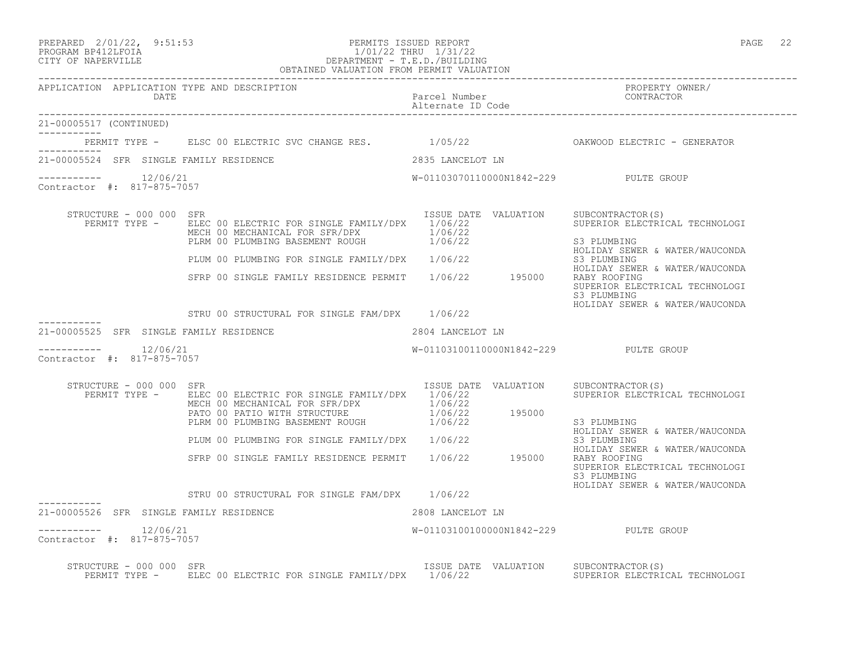| PREPARED | $2/01/22$ , | 9:51:5 |
|----------|-------------|--------|
| -------- | ----------  |        |

### PREPARED 2/01/22, 9:51:53 PERMITS ISSUED REPORT PAGE 22 PROGRAM BP412LFOIA 1/01/22 THRU 1/31/22 CITY OF NAPERVILLE DEPARTMENT - T.E.D./BUILDING OBTAINED VALUATION FROM PERMIT VALUATION

| APPLICATION APPLICATION TYPE AND DESCRIPTION<br>DATE  |                                                                                                                                                                                                                                                                                                                                                                                          | Parcel Number<br>Alternate ID Code    | PROPERTY OWNER/<br>FNUEBILLE U.                                                                                                                                                                                     |
|-------------------------------------------------------|------------------------------------------------------------------------------------------------------------------------------------------------------------------------------------------------------------------------------------------------------------------------------------------------------------------------------------------------------------------------------------------|---------------------------------------|---------------------------------------------------------------------------------------------------------------------------------------------------------------------------------------------------------------------|
| 21-00005517 (CONTINUED)<br>___________                |                                                                                                                                                                                                                                                                                                                                                                                          |                                       |                                                                                                                                                                                                                     |
|                                                       | PERMIT TYPE - ELSC 00 ELECTRIC SVC CHANGE RES. 1/05/22 CAKWOOD ELECTRIC - GENERATOR                                                                                                                                                                                                                                                                                                      |                                       |                                                                                                                                                                                                                     |
| 21-00005524 SFR SINGLE FAMILY RESIDENCE               |                                                                                                                                                                                                                                                                                                                                                                                          | 2835 LANCELOT LN                      |                                                                                                                                                                                                                     |
| $--------$ 12/06/21<br>Contractor #: 817-875-7057     |                                                                                                                                                                                                                                                                                                                                                                                          | W-01103070110000N1842-229 PULTE GROUP |                                                                                                                                                                                                                     |
| STRUCTURE - 000 000 SFR                               | PERMIT TYPE - ELEC 00 ELECTRIC FOR SINGLE FAMILY/DPX 1/06/22<br>MECH 00 MECHANICAL FOR SFR/DPX $1/06/22$<br>PLRM 00 PLUMBING BASEMENT ROUGH $1/06/22$<br>FINIT 55 FISHING SEWER<br>PLUM 00 PLUMBING FOR SINGLE FAMILY/DPX 1/06/22 53 PLUMBING<br>SFRP 00 SINGLE FAMILY RESIDENCE PERMIT 1/06/22 195000 RABY ROLIDAY<br>SFRP 00 SINGLE FAMILY RESIDENCE PERMIT 1/06/22 195000 RABY ROFING | ISSUE DATE VALUATION SUBCONTRACTOR(S) | SUPERIOR ELECTRICAL TECHNOLOGI<br>S3 PLUMBING<br>HOLIDAY SEWER & WATER/WAUCONDA<br>HOLIDAY SEWER & WATER/WAUCONDA<br>SUPERIOR ELECTRICAL TECHNOLOGI<br>S3 PLUMBING<br>HOLIDAY SEWER & WATER/WAUCONDA                |
|                                                       | STRU 00 STRUCTURAL FOR SINGLE FAM/DPX 1/06/22                                                                                                                                                                                                                                                                                                                                            |                                       |                                                                                                                                                                                                                     |
| 21-00005525 SFR SINGLE FAMILY RESIDENCE               |                                                                                                                                                                                                                                                                                                                                                                                          | 2804 LANCELOT LN                      |                                                                                                                                                                                                                     |
| $--------- 12/06/21$<br>Contractor #: 817-875-7057    |                                                                                                                                                                                                                                                                                                                                                                                          | W-01103100110000N1842-229 PULTE GROUP |                                                                                                                                                                                                                     |
| STRUCTURE - 000 000 SFR                               | PERMIT TYPE - ELEC 00 ELECTRIC FOR SINGLE FAMILY/DPX 1/06/22<br>MECH 00 MECHANICAL FOR SFR/DPX $1/06/22$<br>PATO 00 PATIO WITH STRUCTURE $1/06/22$ 195000<br>PLRM 00 PLUMBING BASEMENT ROUGH $1/06/22$ 195000<br>PLUM 00 PLUMBING FOR SINGLE FAMILY/DPX 1/06/22<br>SFRP 00 SINGLE FAMILY RESIDENCE PERMIT 1/06/22 195000 RABY ROOFING<br>STRU 00 STRUCTURAL FOR SINGLE FAM/DPX 1/06/22   | ISSUE DATE VALUATION SUBCONTRACTOR(S) | SUPERIOR ELECTRICAL TECHNOLOGI<br>S3 PLUMBING<br>HOLIDAY SEWER & WATER/WAUCONDA<br>S3 PLUMBING<br>HOLIDAY SEWER & WATER/WAUCONDA<br>SUPERIOR ELECTRICAL TECHNOLOGI<br>S3 PLUMBING<br>HOLIDAY SEWER & WATER/WAUCONDA |
| 21-00005526 SFR SINGLE FAMILY RESIDENCE               |                                                                                                                                                                                                                                                                                                                                                                                          | 2808 LANCELOT LN                      |                                                                                                                                                                                                                     |
| -----------    12/06/21<br>Contractor #: 817-875-7057 |                                                                                                                                                                                                                                                                                                                                                                                          | W-01103100100000N1842-229 PULTE GROUP |                                                                                                                                                                                                                     |
| STRUCTURE - 000 000 SFR                               | PERMIT TYPE - ELEC 00 ELECTRIC FOR SINGLE FAMILY/DPX 1/06/22                                                                                                                                                                                                                                                                                                                             | ISSUE DATE VALUATION SUBCONTRACTOR(S) | SUPERIOR ELECTRICAL TECHNOLOGI                                                                                                                                                                                      |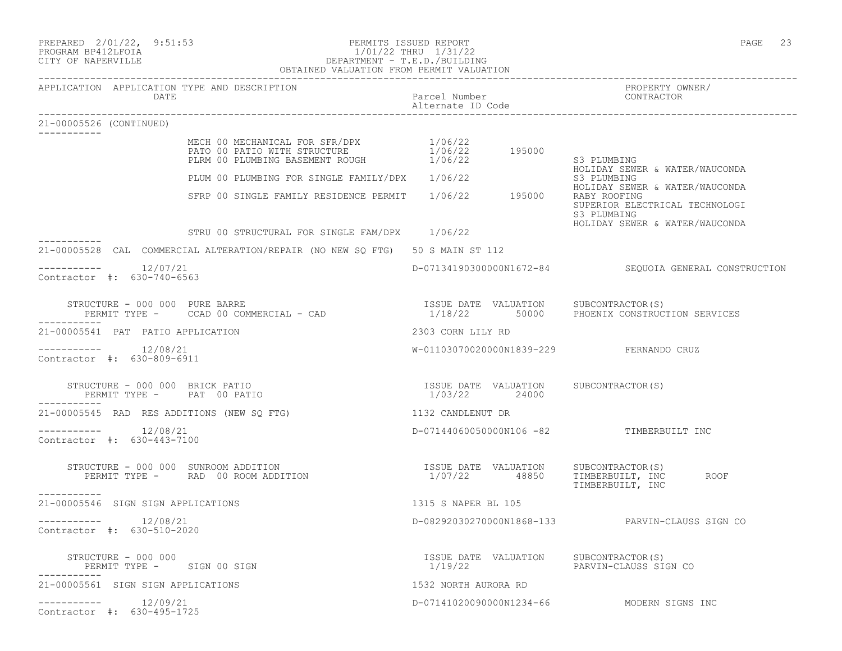| PREPARED 2/01/22, 9:51:53<br>PERMITS ISSUED REPORT<br>1/01/22 THRU 1/31/22<br>DEPARTMENT - T.E.D./BUILDING<br>OBTAINED VALUATION FROM PERMIT VALUATION<br>PROGRAM BP412LFOIA<br>CITY OF NAPERVILLE | PERMITS ISSUED REPORT                                                   | 23<br>PAGE                                                                                      |
|----------------------------------------------------------------------------------------------------------------------------------------------------------------------------------------------------|-------------------------------------------------------------------------|-------------------------------------------------------------------------------------------------|
| APPLICATION APPLICATION TYPE AND DESCRIPTION<br>DATE                                                                                                                                               | Parcel Number<br>Alternate ID Code                                      | PROPERTY OWNER/<br>CONTRACTOR                                                                   |
| 21-00005526 (CONTINUED)                                                                                                                                                                            |                                                                         |                                                                                                 |
| MECH 00 MECHANICAL FOR SFR/DPX $1/06/22$<br>PATO 00 PATIO WITH STRUCTURE $1/06/22$ 195000<br>PLRM 00 PLUMBING BASEMENT ROUGH 1/06/22                                                               |                                                                         | S3 PLUMBING<br>HOLIDAY SEWER & WATER/WAUCONDA                                                   |
| PLUM 00 PLUMBING FOR SINGLE FAMILY/DPX 1/06/22                                                                                                                                                     |                                                                         | S3 PLUMBING                                                                                     |
| SFRP 00 SINGLE FAMILY RESIDENCE PERMIT 1/06/22 195000                                                                                                                                              |                                                                         | HOLIDAY SEWER & WATER/WAUCONDA<br>RABY ROOFING<br>SUPERIOR ELECTRICAL TECHNOLOGI<br>S3 PLUMBING |
| STRU 00 STRUCTURAL FOR SINGLE FAM/DPX 1/06/22                                                                                                                                                      |                                                                         | HOLIDAY SEWER & WATER/WAUCONDA                                                                  |
| 21-00005528 CAL COMMERCIAL ALTERATION/REPAIR (NO NEW SQ FTG) 50 S MAIN ST 112                                                                                                                      |                                                                         |                                                                                                 |
| -----------    12/07/21<br>Contractor #: 630-740-6563                                                                                                                                              |                                                                         | D-07134190300000N1672-84 SEQUOIA GENERAL CONSTRUCTION                                           |
| STRUCTURE - 000 000 PURE BARRE<br>PERMIT TYPE - CCAD 00 COMMERCIAL - CAD                                                                                                                           |                                                                         | ISSUE DATE VALUATION SUBCONTRACTOR(S)<br>1/18/22 50000 PHOENIX CONSTRUCTION SERVICES            |
| 21-00005541 PAT PATIO APPLICATION                                                                                                                                                                  | 2303 CORN LILY RD                                                       |                                                                                                 |
| $--------- 12/08/21$<br>Contractor #: 630-809-6911                                                                                                                                                 | W-01103070020000N1839-229 FERNANDO CRUZ                                 |                                                                                                 |
| STRUCTURE - 000 000 BRICK PATIO<br>PERMIT TYPE - PAT 00 PATIO                                                                                                                                      | ISSUE DATE VALUATION SUBCONTRACTOR(S)<br>1/03/22 24000                  |                                                                                                 |
| 21-00005545 RAD RES ADDITIONS (NEW SQ FTG)                                                                                                                                                         | 1132 CANDLENUT DR                                                       |                                                                                                 |
| Contractor #: 630-443-7100                                                                                                                                                                         | D-07144060050000N106 -82 TIMBERBUILT INC                                |                                                                                                 |
| STRUCTURE - 000 000 SUNROOM ADDITION<br>PERMIT TYPE - RAD 00 ROOM ADDITION                                                                                                                         | ISSUE DATE VALUATION SUBCONTRACTOR(S)<br>1/07/22 48850 TIMBERBUILT, INC | TIMBERBUILT, INC ROOF<br>TIMBERBUILT, INC                                                       |
| -----------<br>21-00005546 SIGN SIGN APPLICATIONS                                                                                                                                                  | 1315 S NAPER BL 105                                                     |                                                                                                 |
| 12/08/21<br>Contractor #: 630-510-2020                                                                                                                                                             | D-08292030270000N1868-133                                               | PARVIN-CLAUSS SIGN CO                                                                           |
| STRUCTURE - 000 000<br>PERMIT TYPE - SIGN 00 SIGN                                                                                                                                                  | ISSUE DATE VALUATION<br>1/19/22                                         | SUBCONTRACTOR(S)<br>PARVIN-CLAUSS SIGN CO                                                       |
| 21-00005561 SIGN SIGN APPLICATIONS                                                                                                                                                                 | 1532 NORTH AURORA RD                                                    |                                                                                                 |
| $--------$ 12/09/21<br>Contractor #: 630-495-1725                                                                                                                                                  |                                                                         | D-07141020090000N1234-66 MODERN SIGNS INC                                                       |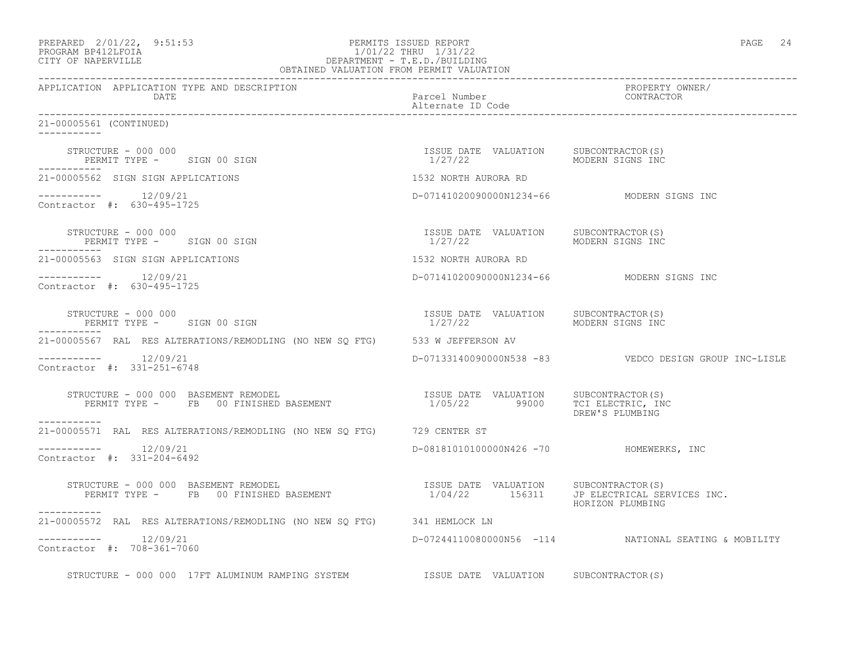| PREPARED 2/01/22, 9:51:53<br>1/01/22<br>DEPARTMENT - T.E.D./BUILDING<br>OBTAINED VALUATION FROM PERMIT VALUATION<br>PROGRAM BP412LFOIA<br>CITY OF NAPERVILLE                             | PERMITS ISSUED REPORT                                                    | PAGE 24                                                |
|------------------------------------------------------------------------------------------------------------------------------------------------------------------------------------------|--------------------------------------------------------------------------|--------------------------------------------------------|
| APPLICATION APPLICATION TYPE AND DESCRIPTION<br>DATE                                                                                                                                     | Parcel Number<br>Alternate ID Code                                       | PROPERTY OWNER/<br>CONTRACTOR                          |
| 21-00005561 (CONTINUED)                                                                                                                                                                  |                                                                          |                                                        |
| STRUCTURE - 000 000<br>PERMIT TYPE - SIGN 00 SIGN                                                                                                                                        | ISSUE DATE VALUATION SUBCONTRACTOR(S)<br>1/27/22 MODERN SIGNS INC        |                                                        |
| 21-00005562 SIGN SIGN APPLICATIONS                                                                                                                                                       | 1532 NORTH AURORA RD                                                     |                                                        |
| Contractor #: 630-495-1725                                                                                                                                                               | D-07141020090000N1234-66 MODERN SIGNS INC                                |                                                        |
| STRUCTURE - 000 000<br>PERMIT TYPE - SIGN 00 SIGN                                                                                                                                        | ISSUE DATE VALUATION<br>1/27/22                                          | SUBCONTRACTOR(S)<br>MODERN SIGNS INC                   |
| 21-00005563 SIGN SIGN APPLICATIONS                                                                                                                                                       | 1532 NORTH AURORA RD                                                     |                                                        |
| $--------- 12/09/21$<br>Contractor #: 630-495-1725                                                                                                                                       | D-07141020090000N1234-66 MODERN SIGNS INC                                |                                                        |
| STRUCTURE - 000 000<br>PERMIT TYPE - SIGN 00 SIGN                                                                                                                                        | ISSUE DATE VALUATION SUBCONTRACTOR(S)<br>1/27/22 MODERN SIGNS INC        |                                                        |
| 21-00005567 RAL RES ALTERATIONS/REMODLING (NO NEW SQ FTG) 533 W JEFFERSON AV                                                                                                             |                                                                          |                                                        |
| $--------- 12/09/21$<br>Contractor #: 331-251-6748                                                                                                                                       |                                                                          | D-07133140090000N538 -83  VEDCO DESIGN GROUP INC-LISLE |
| STRUCTURE - 000 000 BASEMENT REMODEL<br>-----------                                                                                                                                      | ISSUE DATE VALUATION SUBCONTRACTOR(S)<br>1/05/22 99000 TCI ELECTRIC, INC | DREW'S PLUMBING                                        |
| 21-00005571 RAL RES ALTERATIONS/REMODLING (NO NEW SO FTG) 729 CENTER ST                                                                                                                  |                                                                          |                                                        |
| 12/09/21<br>Contractor #: 331-204-6492                                                                                                                                                   | D-08181010100000N426 -70 HOMEWERKS, INC                                  |                                                        |
| STRUCTURE - 000 000 BASEMENT REMODEL<br>RUCTURE - 000 000 BASEMENT REMODEL<br>PERMIT TYPE - FB 00 FINISHED BASEMENT                       1/04/22     156311 JP ELECTRICAL SERVICES INC. |                                                                          | HORIZON PLUMBING                                       |
| 21-00005572 RAL RES ALTERATIONS/REMODLING (NO NEW SQ FTG) 341 HEMLOCK LN                                                                                                                 |                                                                          |                                                        |
| -----------    12/09/21<br>Contractor #: 708-361-7060                                                                                                                                    |                                                                          | D-07244110080000N56 -114 NATIONAL SEATING & MOBILITY   |
| STRUCTURE - 000 000 17FT ALUMINUM RAMPING SYSTEM TSSUE DATE VALUATION SUBCONTRACTOR(S)                                                                                                   |                                                                          |                                                        |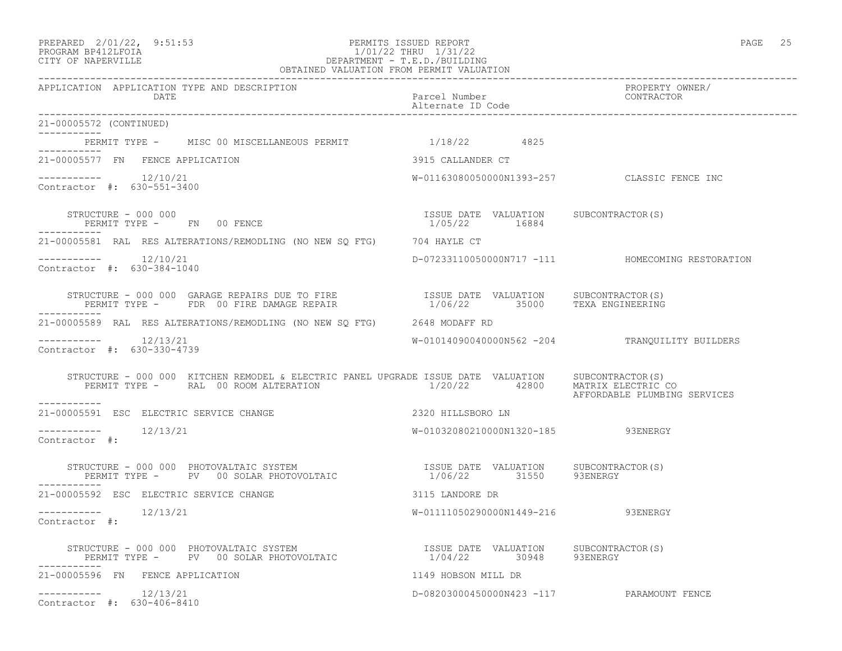### PREPARED 2/01/22, 9:51:53 PERMITS ISSUED REPORT PAGE 25 PROGRAM BP412LFOIA 1/01/22 THRU 1/31/22 CITY OF NAPERVILLE DEPARTMENT - T.E.D./BUILDING OBTAINED VALUATION FROM PERMIT VALUATION

| APPLICATION APPLICATION TYPE AND DESCRIPTION<br>DATE                                                                                                                                                                                           | Parcel Number<br>Alternate ID Code                     | PROPERTY OWNER/<br>CONTRACTOR                    |
|------------------------------------------------------------------------------------------------------------------------------------------------------------------------------------------------------------------------------------------------|--------------------------------------------------------|--------------------------------------------------|
| 21-00005572 (CONTINUED)                                                                                                                                                                                                                        |                                                        |                                                  |
| PERMIT TYPE - MISC 00 MISCELLANEOUS PERMIT 4/18/22 4825<br>-----------                                                                                                                                                                         |                                                        |                                                  |
| 21-00005577 FN FENCE APPLICATION                                                                                                                                                                                                               | 3915 CALLANDER CT                                      |                                                  |
| $--------- 12/10/21$<br>Contractor #: 630-551-3400                                                                                                                                                                                             | W-01163080050000N1393-257 CLASSIC FENCE INC            |                                                  |
| STRUCTURE - 000 000<br>PERMIT TYPE - FN 00 FENCE                                                                                                                                                                                               | ISSUE DATE VALUATION SUBCONTRACTOR(S)<br>1/05/22 16884 |                                                  |
| 21-00005581 RAL RES ALTERATIONS/REMODLING (NO NEW SO FTG) 704 HAYLE CT                                                                                                                                                                         |                                                        |                                                  |
| -----------    12/10/21<br>Contractor #: 630-384-1040                                                                                                                                                                                          |                                                        | D-07233110050000N717 -111 HOMECOMING RESTORATION |
|                                                                                                                                                                                                                                                |                                                        |                                                  |
| 21-00005589 RAL RES ALTERATIONS/REMODLING (NO NEW SQ FTG) 2648 MODAFF RD                                                                                                                                                                       |                                                        |                                                  |
| $--------$ 12/13/21<br>Contractor #: 630-330-4739                                                                                                                                                                                              |                                                        | W-01014090040000N562 -204 TRANQUILITY BUILDERS   |
| STRUCTURE - 000 000 KITCHEN REMODEL & ELECTRIC PANEL UPGRADE ISSUE DATE VALUATION SUBCONTRACTOR(S)<br>PERMIT TYPE - RAL 00 ROOM ALTERATION 1/20/22 42800 MATRIX ELECTRIC CO<br>-----------                                                     |                                                        | AFFORDABLE PLUMBING SERVICES                     |
| 21-00005591 ESC ELECTRIC SERVICE CHANGE                                                                                                                                                                                                        | 2320 HILLSBORO LN                                      |                                                  |
| -----------    12/13/21<br>Contractor #:                                                                                                                                                                                                       | W-01032080210000N1320-185 93ENERGY                     |                                                  |
| $\begin{array}{cccccc} \texttt{STRUCTURE} & - & 000 & 000 & \texttt{PHOTOVALTAIC} & \texttt{SYSTEM} & & & & & \\ \texttt{PERMIT TYPE} & - & \texttt{PV} & 00 & \texttt{SOLAR PHOTOVOLTAIC} & & & & & 1/06/22 & & 31550 & 93ENERGY \end{array}$ |                                                        |                                                  |
| 21-00005592 ESC ELECTRIC SERVICE CHANGE                                                                                                                                                                                                        | 3115 LANDORE DR                                        |                                                  |
| Contractor #:                                                                                                                                                                                                                                  | W-01111050290000N1449-216 93ENERGY                     |                                                  |
| STRUCTURE - 000 000 PHOTOVALTAIC SYSTEM                               ISSUE DATE VALUATION     SUBCONTRACTOR(S)<br>PERMIT TYPE -      PV   00 SOLAR PHOTOVOLTAIC                       1/04/22       30948      93ENERGY                       |                                                        |                                                  |
| 21-00005596 FN FENCE APPLICATION                                                                                                                                                                                                               | 1149 HOBSON MILL DR                                    |                                                  |
| -----------    12/13/21<br>Contractor #: 630-406-8410                                                                                                                                                                                          | D-08203000450000N423 -117 PARAMOUNT FENCE              |                                                  |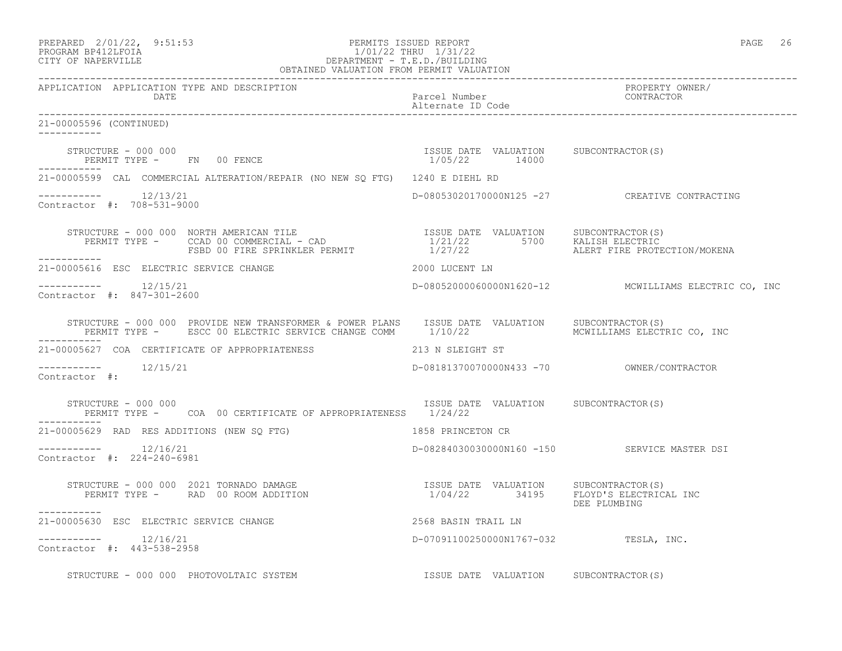| PREPARED 2/01/22, 9:51:53<br>PROGRAM BP412LFOIA DEPARTMENT - T.E.D./BUILDING<br>OBTAINED VALUATION FROM PERMIT VALUATION<br>OBTAINED VALUATION FROM PERMIT VALUATION                                                                            |                                                        | PAGE 26                                               |
|-------------------------------------------------------------------------------------------------------------------------------------------------------------------------------------------------------------------------------------------------|--------------------------------------------------------|-------------------------------------------------------|
| APPLICATION APPLICATION TYPE AND DESCRIPTION<br>DATE                                                                                                                                                                                            | Parcel Number<br>Alternate ID Code                     | PROPERTY OWNER/<br>CONTRACTOR                         |
| 21-00005596 (CONTINUED)                                                                                                                                                                                                                         |                                                        |                                                       |
| STRUCTURE - 000 000<br>STRUCTURE - UUU UUU<br>PERMIT TYPE -     FN   00 FENCE                                                                                                                                                                   | ISSUE DATE VALUATION SUBCONTRACTOR(S)<br>1/05/22 14000 |                                                       |
| 21-00005599 CAL COMMERCIAL ALTERATION/REPAIR (NO NEW SQ FTG) 1240 E DIEHL RD                                                                                                                                                                    |                                                        |                                                       |
| Contractor #: 708-531-9000                                                                                                                                                                                                                      |                                                        | D-08053020170000N125 -27 CREATIVE CONTRACTING         |
| STRUCTURE - 000 000 NORTH AMERICAN TILE TIME TIME ISSUE DATE VALUATION SUBCONTRACTOR(S)<br>PERMIT TYPE - CCAD 00 COMMERCIAL - CAD 1/21/22 5700 KALISH ELECTRIC<br>------- FSBD 00 FIRE SPRINKLER PERMIT 1/27/22 ALERT FIRE PROTE<br>----------- |                                                        | ALERT FIRE PROTECTION/MOKENA                          |
| 21-00005616 ESC ELECTRIC SERVICE CHANGE                                                                                                                                                                                                         | 2000 LUCENT LN                                         |                                                       |
| $------- 12/15/21$<br>Contractor #: 847-301-2600                                                                                                                                                                                                |                                                        | D-080520000600000N1620-12 MCWILLIAMS ELECTRIC CO, INC |
| STRUCTURE - 000 000 PROVIDE NEW TRANSFORMER & POWER PLANS ISSUE DATE VALUATION SUBCONTRACTOR(S)<br>PERMIT TYPE - ESCC 00 ELECTRIC SERVICE CHANGE COMM 1/10/22 SERMIT MONILLIAMS ELECTRIC CO, INC                                                |                                                        |                                                       |
| 21-00005627 COA CERTIFICATE OF APPROPRIATENESS 213 N SLEIGHT ST                                                                                                                                                                                 |                                                        |                                                       |
| -----------    12/15/21<br>Contractor #:                                                                                                                                                                                                        |                                                        |                                                       |
| STRUCTURE - 000 000<br>PERMIT TYPE - COA 00 CERTIFICATE OF APPROPRIATENESS 1/24/22                                                                                                                                                              | ISSUE DATE VALUATION SUBCONTRACTOR(S)                  |                                                       |
| 21-00005629 RAD RES ADDITIONS (NEW SQ FTG)                                                                                                                                                                                                      | 1858 PRINCETON CR                                      |                                                       |
| -----------    12/16/21<br>Contractor #: 224-240-6981                                                                                                                                                                                           |                                                        | D-08284030030000N160 -150 SERVICE MASTER DSI          |
| STRUCTURE – 000 000 2021 TORNADO DAMAGE                              ISSUE DATE VALUATION     SUBCONTRACTOR(S)<br>PERMIT TYPE –      RAD  00 ROOM ADDITION                                1/04/22         34195      FLOYD'S ELEC               |                                                        | DEE PLUMBING                                          |
| 21-00005630 ESC ELECTRIC SERVICE CHANGE                                                                                                                                                                                                         | 2568 BASIN TRAIL LN                                    |                                                       |
| $--------$ 12/16/21<br>Contractor #: 443-538-2958                                                                                                                                                                                               | D-07091100250000N1767-032 TESLA, INC.                  |                                                       |
| STRUCTURE - 000 000 PHOTOVOLTAIC SYSTEM                                                                                                                                                                                                         | ISSUE DATE VALUATION SUBCONTRACTOR(S)                  |                                                       |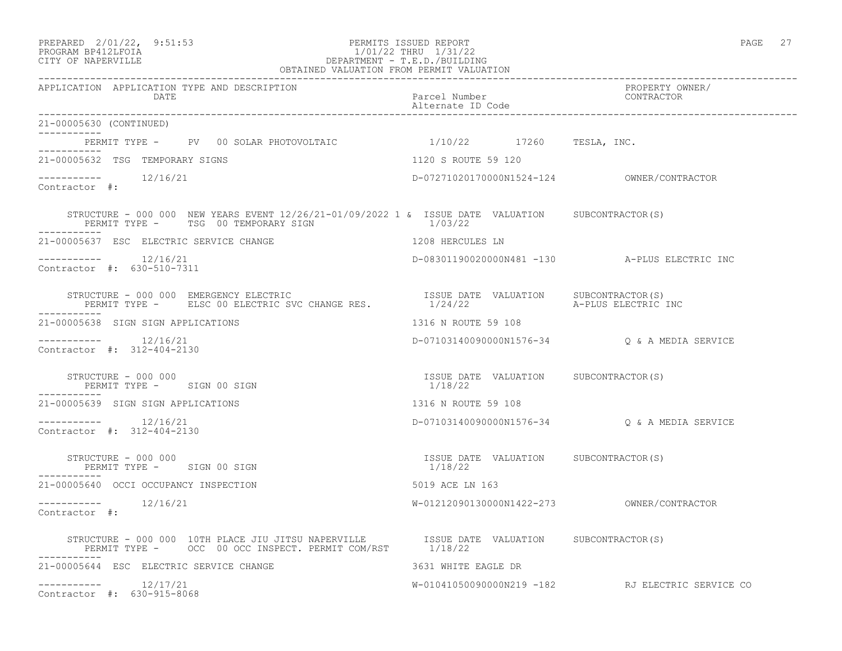### PREPARED 2/01/22, 9:51:53 PERMITS ISSUED REPORT PAGE 27 PROGRAM BP412LFOIA 1/01/22 THRU 1/31/22 CITY OF NAPERVILLE DEPARTMENT - T.E.D./BUILDING OBTAINED VALUATION FROM PERMIT VALUATION

| APPLICATION APPLICATION TYPE AND DESCRIPTION<br>DATE                                                                                                                                                                                                                                                                                                    | Parcel Number<br>Alternate ID Code               | PROPERTY OWNER/<br>CONTRACTOR                    |
|---------------------------------------------------------------------------------------------------------------------------------------------------------------------------------------------------------------------------------------------------------------------------------------------------------------------------------------------------------|--------------------------------------------------|--------------------------------------------------|
| 21-00005630 (CONTINUED)<br>___________                                                                                                                                                                                                                                                                                                                  |                                                  |                                                  |
| PERMIT TYPE - PV 00 SOLAR PHOTOVOLTAIC 1/10/22 17260 TESLA, INC.                                                                                                                                                                                                                                                                                        |                                                  |                                                  |
| 21-00005632 TSG TEMPORARY SIGNS                                                                                                                                                                                                                                                                                                                         | 1120 S ROUTE 59 120                              |                                                  |
| $--------$ 12/16/21<br>Contractor #:                                                                                                                                                                                                                                                                                                                    |                                                  |                                                  |
| STRUCTURE - 000 000 NEW YEARS EVENT $12/26/21-01/09/2022$ 1 & ISSUE DATE VALUATION SUBCONTRACTOR(S)<br>PERMIT TYPE - TSG 00 TEMPORARY SIGN                                                                                                                                                                                                              | 1/03/22                                          |                                                  |
| 21-00005637 ESC ELECTRIC SERVICE CHANGE                                                                                                                                                                                                                                                                                                                 | 1208 HERCULES LN                                 |                                                  |
| $--------- 12/16/21$<br>Contractor #: 630-510-7311                                                                                                                                                                                                                                                                                                      |                                                  | D-08301190020000N481 -130  A-PLUS ELECTRIC INC   |
| $\begin{tabular}{lllllllll} \texttt{STRUCTURE} & 000 000 & \texttt{EMENTGNE} & \texttt{ELECTRIC} & \texttt{CCHANGE} & \texttt{RES} & \texttt{SSUE} & \texttt{DATE} & \texttt{VALUATION} & \texttt{SUBCONTRACTOR(S)} \\ \texttt{PERMIT TYPE} & - & \texttt{EISC 00 ELECTRIC SVC CHANGE RES} & & & & 1/24/22 & & & A-PLUS ELECTRIC INC} \\ \end{tabular}$ |                                                  |                                                  |
| 21-00005638 SIGN SIGN APPLICATIONS                                                                                                                                                                                                                                                                                                                      | 1316 N ROUTE 59 108                              |                                                  |
| Contractor #: 312-404-2130                                                                                                                                                                                                                                                                                                                              |                                                  | D-07103140090000N1576-34 Q & A MEDIA SERVICE     |
| STRUCTURE - 000 000<br>PERMIT TYPE - SIGN 00 SIGN                                                                                                                                                                                                                                                                                                       | ISSUE DATE VALUATION SUBCONTRACTOR(S)<br>1/18/22 |                                                  |
| 21-00005639 SIGN SIGN APPLICATIONS                                                                                                                                                                                                                                                                                                                      | 1316 N ROUTE 59 108                              |                                                  |
| $--------- 12/16/21$<br>Contractor #: 312-404-2130                                                                                                                                                                                                                                                                                                      |                                                  | D-07103140090000N1576-34 Q & A MEDIA SERVICE     |
| STRUCTURE - 000 000<br>PERMIT TYPE - SIGN 00 SIGN                                                                                                                                                                                                                                                                                                       | ISSUE DATE VALUATION SUBCONTRACTOR(S)<br>1/18/22 |                                                  |
| 21-00005640 OCCI OCCUPANCY INSPECTION                                                                                                                                                                                                                                                                                                                   | 5019 ACE LN 163                                  |                                                  |
| -----------    12/16/21<br>Contractor #:                                                                                                                                                                                                                                                                                                                |                                                  |                                                  |
|                                                                                                                                                                                                                                                                                                                                                         |                                                  |                                                  |
| 21-00005644 ESC ELECTRIC SERVICE CHANGE                                                                                                                                                                                                                                                                                                                 | 3631 WHITE EAGLE DR                              |                                                  |
| $--------$ 12/17/21<br>Contractor #: 630-915-8068                                                                                                                                                                                                                                                                                                       |                                                  | W-01041050090000N219 -182 RJ ELECTRIC SERVICE CO |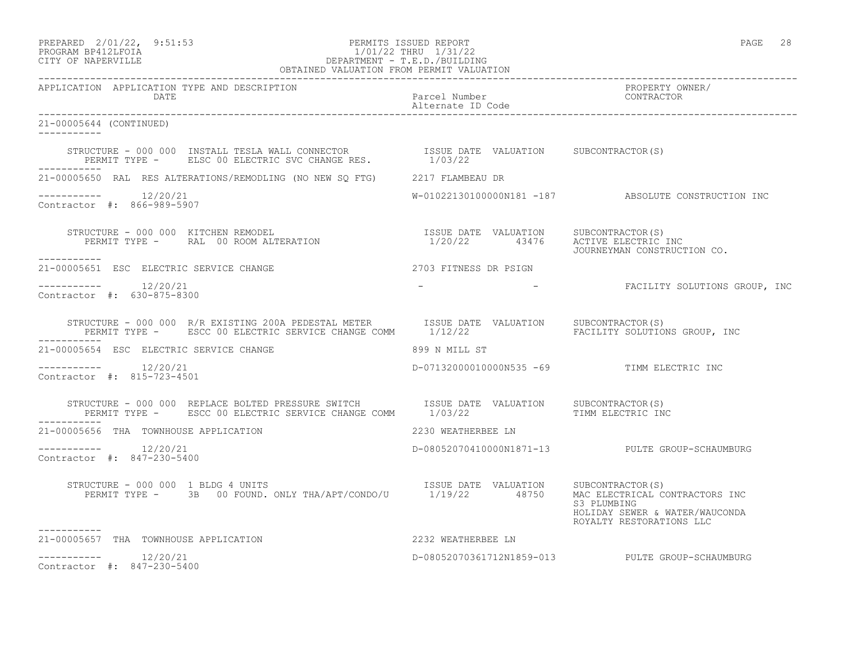PREPARED 2/01/22, 9:51:53 PERMITS ISSUED REPORT PAGE 28

# PROGRAM BP412LFOIA 1/01/22 THRU 1/31/22 CITY OF NAPERVILLE DEPARTMENT - T.E.D./BUILDING

| OBTAINED VALUATION FROM PERMIT VALUATION                                                                                                                                                                                                   |                                            |                                                                           |  |
|--------------------------------------------------------------------------------------------------------------------------------------------------------------------------------------------------------------------------------------------|--------------------------------------------|---------------------------------------------------------------------------|--|
| APPLICATION APPLICATION TYPE AND DESCRIPTION<br>DATE DATE<br>DATE DEL Number Parcel Number<br>OOS644 (CONTRACTOR) DELETTING DEL Alternate ID Code<br>DOS644 (CONTINUED)                                                                    |                                            | PROPERTY OWNER/                                                           |  |
| 21-00005644 (CONTINUED)                                                                                                                                                                                                                    |                                            |                                                                           |  |
| STRUCTURE - 000 000 INSTALL TESLA WALL CONNECTOR              ISSUE DATE VALUATION     SUBCONTRACTOR(S)<br>PERMIT TYPE -     ELSC 00 ELECTRIC SVC CHANGE RES.             1/03/22                                                          |                                            |                                                                           |  |
| 21-00005650 RAL RES ALTERATIONS/REMODLING (NO NEW SQ FTG) 2217 FLAMBEAU DR                                                                                                                                                                 |                                            |                                                                           |  |
| Contractor #: 866-989-5907                                                                                                                                                                                                                 |                                            | W-01022130100000N181 -187 ABSOLUTE CONSTRUCTION INC                       |  |
| STRUCTURE - 000 000 KITCHEN REMODEL (SPORT PRESSUS DATE VALUATION SUBCONTRACTOR)<br>PERMIT TYPE - RAL 00 ROOM ALTERATION (SPORT 2002) 22 13476 ACTIVE ELECTRIC INC<br>JOURNEYMAN CONSTRUCTION CO.<br>-----------                           |                                            |                                                                           |  |
| 21-00005651 ESC ELECTRIC SERVICE CHANGE                                                                                                                                                                                                    | 2703 FITNESS DR PSIGN                      |                                                                           |  |
| $--------- 12/20/21$<br>Contractor #: 630-875-8300                                                                                                                                                                                         |                                            | - THE FACILITY SOLUTIONS GROUP, INC                                       |  |
| STRUCTURE - 000 000 R/R EXISTING 200A PEDESTAL METER ISSUE DATE VALUATION SUBCONTRACTOR(S)<br>PERMIT TYPE - ESCC 00 ELECTRIC SERVICE CHANGE COMM 1/12/22 FACILITY SOLUTIONS GROUP, INC                                                     |                                            |                                                                           |  |
| 21-00005654 ESC ELECTRIC SERVICE CHANGE 699 N MILL ST                                                                                                                                                                                      |                                            |                                                                           |  |
| $--------- 12/20/21$<br>Contractor #: 815-723-4501                                                                                                                                                                                         | D-07132000010000N535 -69 TIMM ELECTRIC INC |                                                                           |  |
| STRUCTURE – 000 000 REPLACE BOLTED PRESSURE SWITCH         ISSUE DATE VALUATION      SUBCONTRACTOR(S)<br>PERMIT TYPE –      ESCC 00 ELECTRIC SERVICE CHANGE COMM       1/03/22                            TIMM ELECTRIC INC<br>----------- |                                            |                                                                           |  |
| 2230 WEATHERBEE LN<br>21-00005656 THA TOWNHOUSE APPLICATION                                                                                                                                                                                |                                            |                                                                           |  |
| $--------- 12/20/21$<br>Contractor #: 847-230-5400                                                                                                                                                                                         |                                            | D-08052070410000N1871-13 PULTE GROUP-SCHAUMBURG                           |  |
| STRUCTURE - 000 000 1 BLDG 4 UNITS<br>PERMIT TYPE - 3B 00 FOUND. ONLY THA/APT/CONDO/U 1/19/22 48750 MAC ELECTRICAL CONTRACTORS INC                                                                                                         |                                            | S3 PLUMBING<br>HOLIDAY SEWER & WATER/WAUCONDA<br>ROYALTY RESTORATIONS LLC |  |
| 2232 WEATHERBEE LN<br>21-00005657 THA TOWNHOUSE APPLICATION                                                                                                                                                                                |                                            |                                                                           |  |
| $--------$ 12/20/21<br>Contractor #: 847-230-5400                                                                                                                                                                                          |                                            | D-08052070361712N1859-013 PULTE GROUP-SCHAUMBURG                          |  |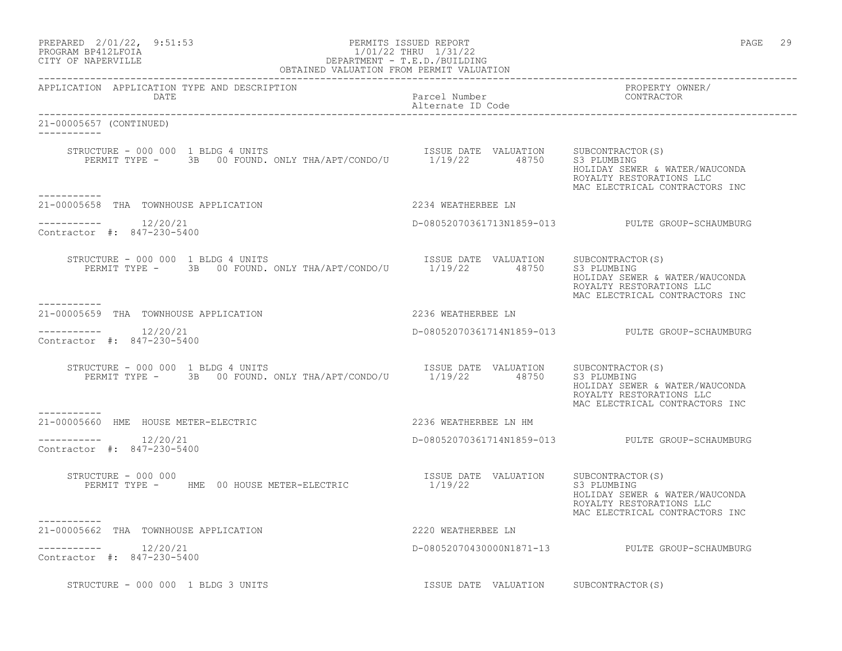| PREPARED 2/01/22, 9:51:53<br>1/01/22<br>DEPARTMENT - T.E.D./BUILDING<br>OBTAINED VALUATION FROM PERMIT VALUATION<br>PROGRAM BP412LFOIA<br>CITY OF NAPERVILLE       | PERMITS ISSUED REPORT                 | 29<br>PAGE                                                                                                                      |
|--------------------------------------------------------------------------------------------------------------------------------------------------------------------|---------------------------------------|---------------------------------------------------------------------------------------------------------------------------------|
| APPLICATION APPLICATION TYPE AND DESCRIPTION<br>DATE                                                                                                               | Parcel Number<br>Alternate ID Code    | PROPERTY OWNER/<br>CONTRACTOR                                                                                                   |
| 21-00005657 (CONTINUED)                                                                                                                                            |                                       |                                                                                                                                 |
| STRUCTURE - 000 000 1 BLDG 4 UNITS<br>XUCTURE - UUU UUU 1 BLDG 4 UNITS<br>PERMIT TYPE - 3B 00 FOUND. ONLY THA/APT/CONDO/U 1/19/22 48750 S3 PLUMBING<br>----------- |                                       | HOLIDAY SEWER & WATER/WAUCONDA<br>ROYALTY RESTORATIONS LLC<br>MAC ELECTRICAL CONTRACTORS INC                                    |
| 21-00005658 THA TOWNHOUSE APPLICATION                                                                                                                              | 2234 WEATHERBEE LN                    |                                                                                                                                 |
| $--------- 12/20/21$<br>Contractor #: 847-230-5400                                                                                                                 |                                       | D-08052070361713N1859-013 PULTE GROUP-SCHAUMBURG                                                                                |
| RUCTURE – 000 000 1 BLDG 4 UNITS<br>PERMIT TYPE – 3B 00 FOUND. ONLY THA/APT/CONDO/U 1/19/22 48750 S3 PLUMBING<br>STRUCTURE - 000 000 1 BLDG 4 UNITS<br>----------- |                                       | HOLIDAY SEWER & WATER/WAUCONDA<br>ROYALTY RESTORATIONS LLC<br>MAC ELECTRICAL CONTRACTORS INC                                    |
| 21-00005659 THA TOWNHOUSE APPLICATION                                                                                                                              | 2236 WEATHERBEE LN                    |                                                                                                                                 |
| $--------- 12/20/21$<br>Contractor #: 847-230-5400                                                                                                                 |                                       | D-08052070361714N1859-013 PULTE GROUP-SCHAUMBURG                                                                                |
| STRUCTURE - 000 000 1 BLDG 4 UNITS<br>PERMIT TYPE - 3B 00 FOUND. ONLY THA/APT/CONDO/U 1/19/22 48750                                                                | ISSUE DATE VALUATION SUBCONTRACTOR(S) | S3 PLUMBING<br>HOLIDAY SEWER & WATER/WAUCONDA<br>ROYALTY RESTORATIONS LLC<br>MAC ELECTRICAL CONTRACTORS INC                     |
| -----------<br>21-00005660 HME HOUSE METER-ELECTRIC                                                                                                                | 2236 WEATHERBEE LN HM                 |                                                                                                                                 |
| $--------- 12/20/21$<br>Contractor #: 847-230-5400                                                                                                                 |                                       | D-08052070361714N1859-013 PULTE GROUP-SCHAUMBURG                                                                                |
| STRUCTURE - 000 000<br>PERMIT TYPE - HME 00 HOUSE METER-ELECTRIC                                                                                                   | ISSUE DATE VALUATION<br>1/19/22       | SUBCONTRACTOR(S)<br>S3 PLUMBING<br>HOLIDAY SEWER & WATER/WAUCONDA<br>ROYALTY RESTORATIONS LLC<br>MAC ELECTRICAL CONTRACTORS INC |
| -----------<br>21-00005662 THA TOWNHOUSE APPLICATION                                                                                                               | 2220 WEATHERBEE LN                    |                                                                                                                                 |
| Contractor #: 847-230-5400                                                                                                                                         |                                       | D-08052070430000N1871-13 PULTE GROUP-SCHAUMBURG                                                                                 |
| STRUCTURE - 000 000 1 BLDG 3 UNITS                                                                                                                                 | ISSUE DATE VALUATION                  | SUBCONTRACTOR (S)                                                                                                               |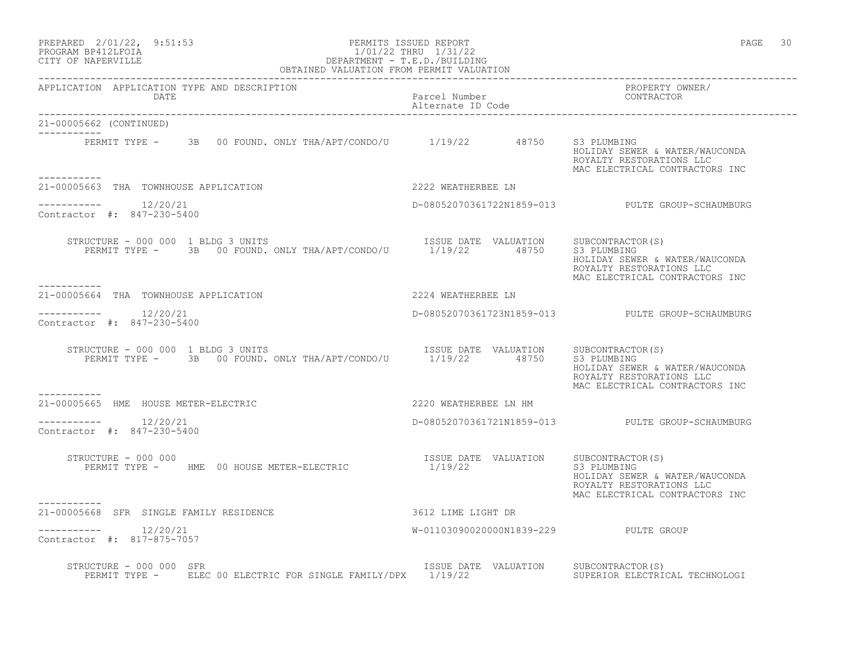| PREPARED | $2/01/22$ , | 9:51:53 |
|----------|-------------|---------|
|          |             |         |

### PREPARED 2/01/22, 9:51:53 PERMITS ISSUED REPORT<br>PROGRAM BP412LFOIA PAGE 30 1/01/22 THRU 1/31/22 PROGRAM BP412LFOIA 1/01/22 THRU 1/31/22<br>CITY OF NAPERVILLE DEPARTMENT - T.E.D./BUILDIN CITY OF NAPERVILLE DEPARTMENT - T.E.D./BUILDING OBTAINED VALUATION FROM PERMIT VALUATION

| APPLICATION APPLICATION TYPE AND DESCRIPTION<br>DATE                                                                                                                                                                                                                                                                                                                                                                                                                      | Parcel Number<br>Alternate ID Code               | PROPERTY OWNER/<br>CONTRACTOR                                                                               |
|---------------------------------------------------------------------------------------------------------------------------------------------------------------------------------------------------------------------------------------------------------------------------------------------------------------------------------------------------------------------------------------------------------------------------------------------------------------------------|--------------------------------------------------|-------------------------------------------------------------------------------------------------------------|
| 21-00005662 (CONTINUED)                                                                                                                                                                                                                                                                                                                                                                                                                                                   |                                                  |                                                                                                             |
| ------------<br>PERMIT TYPE - 3B 00 FOUND. ONLY THA/APT/CONDO/U 1/19/22 48750 S3 PLUMBING                                                                                                                                                                                                                                                                                                                                                                                 |                                                  | HOLIDAY SEWER & WATER/WAUCONDA<br>ROYALTY RESTORATIONS LLC<br>MAC ELECTRICAL CONTRACTORS INC                |
| 21-00005663 THA TOWNHOUSE APPLICATION                                                                                                                                                                                                                                                                                                                                                                                                                                     | 2222 WEATHERBEE LN                               |                                                                                                             |
| $--------$ 12/20/21<br>Contractor #: 847-230-5400                                                                                                                                                                                                                                                                                                                                                                                                                         |                                                  | D-08052070361722N1859-013 PULTE GROUP-SCHAUMBURG                                                            |
| $\begin{tabular}{llllll} \texttt{STRUCTURE} & 000 000 1 BLDG 3 UNITS & \texttt{INIST} & \texttt{ISSUE} \texttt{DATE} & \texttt{VALUATION} & \texttt{SUBCONTRACTOR(S)} \\ \texttt{PERMIT TYPE} & - & 3B & 00 FOUND. \texttt{ONLY THA/APT/CONDO/U} & 1/19/22 & 48750 & S3 PLUMBING \\ \end{tabular}$<br>----------                                                                                                                                                          |                                                  | HOLIDAY SEWER & WATER/WAUCONDA<br>ROYALTY RESTORATIONS LLC<br>MAC ELECTRICAL CONTRACTORS INC                |
| 21-00005664 THA TOWNHOUSE APPLICATION                                                                                                                                                                                                                                                                                                                                                                                                                                     | 2224 WEATHERBEE LN                               |                                                                                                             |
| $--------- 12/20/21$<br>Contractor #: 847-230-5400                                                                                                                                                                                                                                                                                                                                                                                                                        |                                                  | D-08052070361723N1859-013 PULTE GROUP-SCHAUMBURG                                                            |
| $\begin{tabular}{lcccccc} \texttt{STRUCTURE} & - & 000 & 000 & 1 & \texttt{BLDG} & 3 & \texttt{UNITS} & & & & & & & & & \texttt{ISSUE} & \texttt{DATE} & \texttt{VALUATION} & & & & & & \texttt{SUBCONTRACTOR(S)}\\ & & & & & & & & & & & \texttt{ISSUE} & \texttt{DATE} & \texttt{VALUATION} & & & & & \texttt{SUBCONTRACTOR(S)}\\ & & & & & & & & \texttt{PERMIT} & \texttt{TYPE} & - & & 3B & 00 & \texttt{FOUNDI} & \texttt{ONLY} & \texttt{THA/APT/$<br>. <u>.</u> . |                                                  | HOLIDAY SEWER & WATER/WAUCONDA<br>ROYALTY RESTORATIONS LLC<br>MAC ELECTRICAL CONTRACTORS INC                |
| 21-00005665 HME HOUSE METER-ELECTRIC                                                                                                                                                                                                                                                                                                                                                                                                                                      | 2220 WEATHERBEE LN HM                            |                                                                                                             |
| $--------$ 12/20/21<br>Contractor #: 847-230-5400                                                                                                                                                                                                                                                                                                                                                                                                                         |                                                  | D-08052070361721N1859-013 PULTE GROUP-SCHAUMBURG                                                            |
| STRUCTURE - 000 000<br>PERMIT TYPE - HME 00 HOUSE METER-ELECTRIC                                                                                                                                                                                                                                                                                                                                                                                                          | ISSUE DATE VALUATION SUBCONTRACTOR(S)<br>1/19/22 | S3 PLUMBING<br>HOLIDAY SEWER & WATER/WAUCONDA<br>ROYALTY RESTORATIONS LLC<br>MAC ELECTRICAL CONTRACTORS INC |
| 21-00005668 SFR SINGLE FAMILY RESIDENCE                                                                                                                                                                                                                                                                                                                                                                                                                                   | 3612 LIME LIGHT DR                               |                                                                                                             |
| $--------$ 12/20/21<br>Contractor #: 817-875-7057                                                                                                                                                                                                                                                                                                                                                                                                                         | W-01103090020000N1839-229 PULTE GROUP            |                                                                                                             |
| STRUCTURE - 000 000 SFR<br>PERMIT TYPE - ELEC 00 ELECTRIC FOR SINGLE FAMILY/DPX 1/19/22                                                                                                                                                                                                                                                                                                                                                                                   | ISSUE DATE VALUATION SUBCONTRACTOR(S)            | SUPERIOR ELECTRICAL TECHNOLOGI                                                                              |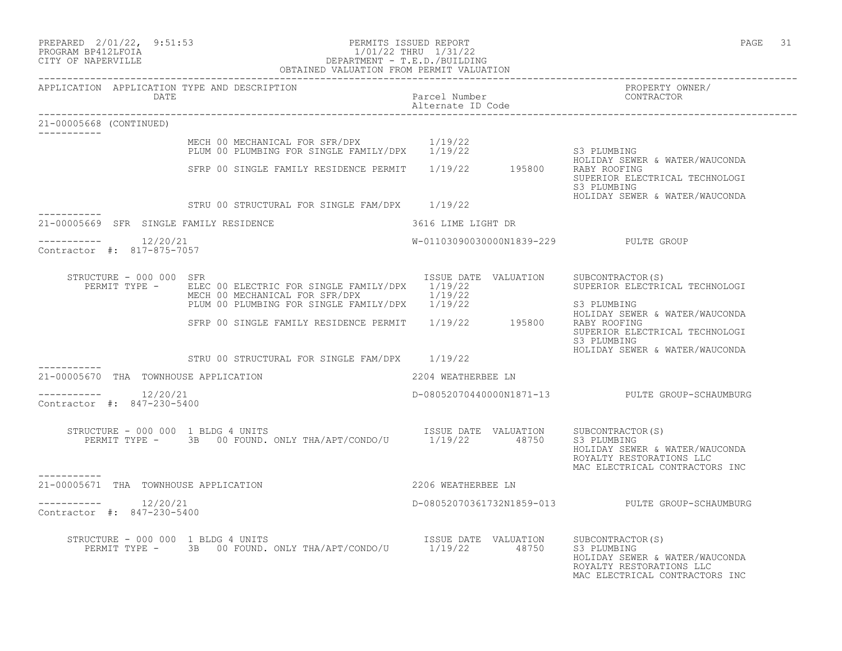| PREPARED 2/01/22, 9:51:53<br>PROGRAM BP412LFOIA<br>CITY OF NAPERVILLE | $1/01/22\begin{array}{l}1\text{THRU} & 1/31/22\\ \text{DEPARTMENT} - \text{T.E.D.}/\text{BULIDING}\\ \text{OBTAINED VALUATION FROM PERMIT VALUATION} \end{array}$              | PERMITS ISSUED REPORT              | 31<br>PAGE                                                                                                                        |
|-----------------------------------------------------------------------|--------------------------------------------------------------------------------------------------------------------------------------------------------------------------------|------------------------------------|-----------------------------------------------------------------------------------------------------------------------------------|
| APPLICATION APPLICATION TYPE AND DESCRIPTION<br>DATE                  |                                                                                                                                                                                | Parcel Number<br>Alternate ID Code | PROPERTY OWNER/<br>CONTRACTOR                                                                                                     |
| 21-00005668 (CONTINUED)                                               |                                                                                                                                                                                |                                    |                                                                                                                                   |
|                                                                       | MECH 00 MECHANICAL FOR SFR/DPX 1/19/22<br>MECH OU MECHANICAL FOR SINGLE FAMILY/DPX 1/19/22                                                                                     |                                    | S3 PLUMBING<br>HOLIDAY SEWER & WATER/WAUCONDA                                                                                     |
|                                                                       | SFRP 00 SINGLE FAMILY RESIDENCE PERMIT 1/19/22 195800                                                                                                                          |                                    | RABY ROOFING<br>SUPERIOR ELECTRICAL TECHNOLOGI<br>S3 PLUMBING                                                                     |
| -----------                                                           | STRU 00 STRUCTURAL FOR SINGLE FAM/DPX 1/19/22                                                                                                                                  |                                    | HOLIDAY SEWER & WATER/WAUCONDA                                                                                                    |
| 21-00005669 SFR SINGLE FAMILY RESIDENCE                               |                                                                                                                                                                                | 3616 LIME LIGHT DR                 |                                                                                                                                   |
| $--------- 12/20/21$<br>Contractor #: 817-875-7057                    |                                                                                                                                                                                |                                    | W-01103090030000N1839-229 PULTE GROUP                                                                                             |
| STRUCTURE - 000 000 SFR<br>PERMIT TYPE -                              | ELEC 00 ELECTRIC FOR SINGLE FAMILY/DPX 1/19/22<br>MECH 00 MECHANICAL FOR SFR/DPX<br>MECH 00 MECHANICAL FOR SFR/DPX $1/13/22$<br>PLUM 00 PLUMBING FOR SINGLE FAMILY/DPX 1/19/22 | ISSUE DATE VALUATION<br>1/19/22    | SUBCONTRACTOR(S)<br>SUPERIOR ELECTRICAL TECHNOLOGI<br>S3 PLUMBING                                                                 |
|                                                                       | SFRP 00 SINGLE FAMILY RESIDENCE PERMIT 1/19/22 195800                                                                                                                          |                                    | HOLIDAY SEWER & WATER/WAUCONDA<br>RABY ROOFING<br>SUPERIOR ELECTRICAL TECHNOLOGI<br>S3 PLUMBING<br>HOLIDAY SEWER & WATER/WAUCONDA |
|                                                                       | STRU 00 STRUCTURAL FOR SINGLE FAM/DPX 1/19/22                                                                                                                                  |                                    |                                                                                                                                   |
| 21-00005670 THA TOWNHOUSE APPLICATION                                 |                                                                                                                                                                                | 2204 WEATHERBEE LN                 |                                                                                                                                   |
| $--------- 12/20/21$<br>Contractor #: 847-230-5400                    |                                                                                                                                                                                |                                    | D-08052070440000N1871-13 PULTE GROUP-SCHAUMBURG                                                                                   |
| STRUCTURE - 000 000 1 BLDG 4 UNITS                                    | RUCTURE - 000 000 1 BLDG 4 UNITS<br>PERMIT TYPE - 3B 00 FOUND. ONLY THA/APT/CONDO/U 1/19/22 48750                                                                              |                                    | SUBCONTRACTOR(S)<br>S3 PLUMBING<br>HOLIDAY SEWER & WATER/WAUCONDA<br>ROYALTY RESTORATIONS LLC<br>MAC ELECTRICAL CONTRACTORS INC   |
| 21-00005671 THA TOWNHOUSE APPLICATION                                 |                                                                                                                                                                                | 2206 WEATHERBEE LN                 |                                                                                                                                   |
| $--------- 12/20/21$<br>Contractor #: 847-230-5400                    |                                                                                                                                                                                |                                    | D-08052070361732N1859-013 PULTE GROUP-SCHAUMBURG                                                                                  |
| STRUCTURE - 000 000 1 BLDG 4 UNITS                                    | UCTURE - 000 000 1 BLDG 4 UNITS<br>PERMIT TYPE - 3B 00 FOUND. ONLY THA/APT/CONDO/U 1/19/22 48750                                                                               |                                    | SUBCONTRACTOR (S)<br>S3 PLUMBING<br>HOLIDAY SEWER & WATER/WAUCONDA<br>ROYALTY RESTORATIONS LLC<br>MAC ELECTRICAL CONTRACTORS INC  |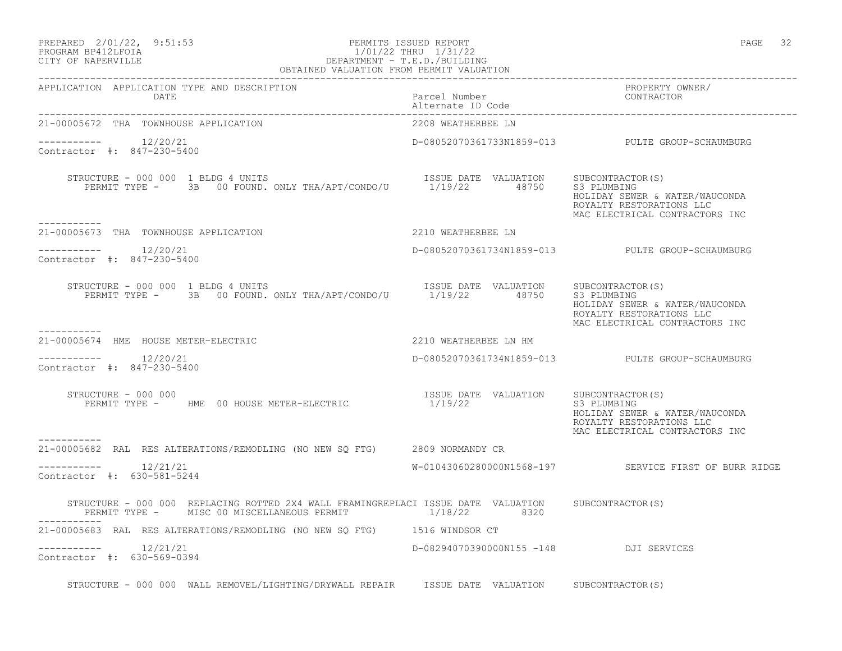# PREPARED 2/01/22, 9:51:53 PERMITS ISSUED REPORT PAGE 32 PROGRAM BP412LFOIA 1/01/22 THRU 1/31/22<br>CITY OF NAPERVILLE DEPARTMENT - T.E.D./BUILDIN CITY OF NAPERVILLE DEPARTMENT - T.E.D./BUILDING

| OBTAINED VALUATION FROM PERMIT VALUATION                                                                                                                        |                                        |                                                                                                             |
|-----------------------------------------------------------------------------------------------------------------------------------------------------------------|----------------------------------------|-------------------------------------------------------------------------------------------------------------|
| APPLICATION APPLICATION TYPE AND DESCRIPTION<br>DATE                                                                                                            | Parcel Number<br>Alternate ID Code     | PROPERTY OWNER/<br>CONTRACTOR                                                                               |
| 21-00005672 THA TOWNHOUSE APPLICATION                                                                                                                           | 2208 WEATHERBEE LN                     |                                                                                                             |
| Contractor #: 847-230-5400                                                                                                                                      |                                        | D-08052070361733N1859-013 PULTE GROUP-SCHAUMBURG                                                            |
| STRUCTURE – 000 000 1 BLDG 4 UNITS<br>PERMIT TYPE – 3B 00 FOUND. ONLY THA/APT/CONDO/U 1/19/22 48750 S3 PLUMBING                                                 |                                        | HOLIDAY SEWER & WATER/WAUCONDA<br>ROYALTY RESTORATIONS LLC<br>MAC ELECTRICAL CONTRACTORS INC                |
| -----------<br>21-00005673 THA TOWNHOUSE APPLICATION                                                                                                            | 2210 WEATHERBEE LN                     |                                                                                                             |
| $--------- 12/20/21$<br>Contractor #: 847-230-5400                                                                                                              |                                        | D-08052070361734N1859-013 PULTE GROUP-SCHAUMBURG                                                            |
| RUCTURE - 000 000 1 BLDG 4 UNITS<br>PERMIT TYPE - 3B 00 FOUND. ONLY THA/APT/CONDO/U 1/19/22 48750 S3 PLUMBING CONDA<br>STRUCTURE - 000 000 1 BLDG 4 UNITS       |                                        | HOLIDAY SEWER & WATER/WAUCONDA<br>ROYALTY RESTORATIONS LLC<br>MAC ELECTRICAL CONTRACTORS INC                |
| ------------<br>21-00005674 HME HOUSE METER-ELECTRIC 2210 WEATHERBEE LN HM                                                                                      |                                        |                                                                                                             |
| $--------$ 12/20/21<br>Contractor #: 847-230-5400                                                                                                               |                                        | D-08052070361734N1859-013 PULTE GROUP-SCHAUMBURG                                                            |
| RUCTURE - 000 000<br>PERMIT TYPE -     HME  00 HOUSE METER-ELECTRIC                       1/19/22<br>STRUCTURE - 000 000                                        | ISSUE DATE VALUATION SUBCONTRACTOR(S)  | S3 PLUMBING<br>HOLIDAY SEWER & WATER/WAUCONDA<br>ROYALTY RESTORATIONS LLC<br>MAC ELECTRICAL CONTRACTORS INC |
| ------------<br>21-00005682 RAL RES ALTERATIONS/REMODLING (NO NEW SQ FTG) 2809 NORMANDY CR                                                                      |                                        |                                                                                                             |
| $--------$ 12/21/21<br>Contractor #: 630-581-5244                                                                                                               |                                        | W-01043060280000N1568-197 SERVICE FIRST OF BURR RIDGE                                                       |
| STRUCTURE - 000 000 REPLACING ROTTED 2X4 WALL FRAMINGREPLACI ISSUE DATE VALUATION SUBCONTRACTOR(S)<br>PERMIT TYPE - MISC 00 MISCELLANEOUS PERMIT 4 1/18/22 8320 |                                        |                                                                                                             |
| 21-00005683 RAL RES ALTERATIONS/REMODLING (NO NEW SQ FTG) 1516 WINDSOR CT                                                                                       |                                        |                                                                                                             |
| $--------- 12/21/21$<br>Contractor #: 630-569-0394                                                                                                              | D-08294070390000N155 -148 DJI SERVICES |                                                                                                             |
| STRUCTURE - 000 000 WALL REMOVEL/LIGHTING/DRYWALL REPAIR ISSUE DATE VALUATION SUBCONTRACTOR(S)                                                                  |                                        |                                                                                                             |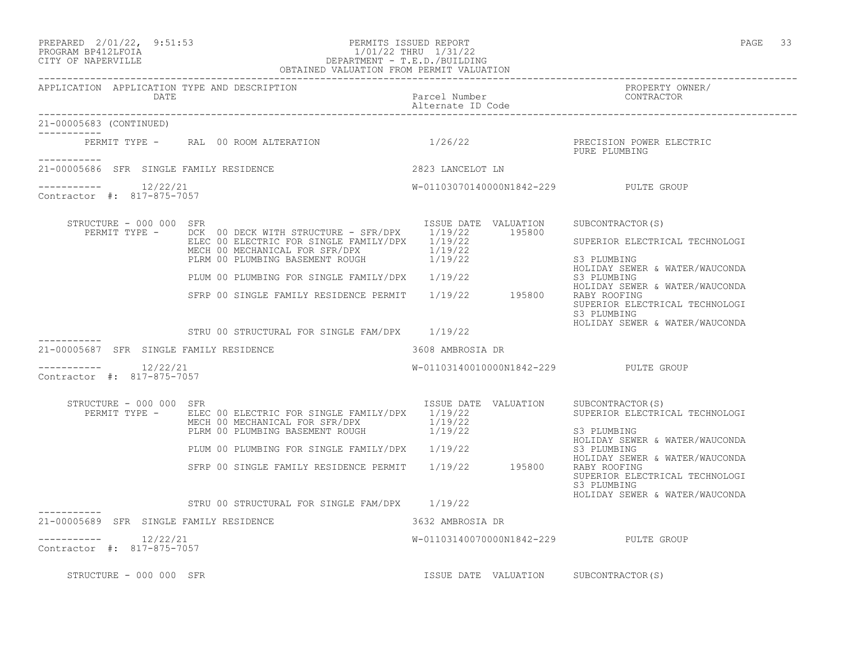## PREPARED 2/01/22, 9:51:53 PERMITS ISSUED REPORT PAGE 33 PROGRAM BP412LFOIA 1/01/22 THRU 1/31/22 CITY OF NAPERVILLE DEPARTMENT - T.E.D./BUILDING

|                                                        | OBTAINED VALUATION FROM PERMIT VALUATION                                                                                                                                   |                                                |                                                                                                 |
|--------------------------------------------------------|----------------------------------------------------------------------------------------------------------------------------------------------------------------------------|------------------------------------------------|-------------------------------------------------------------------------------------------------|
| APPLICATION APPLICATION TYPE AND DESCRIPTION<br>DATE   |                                                                                                                                                                            | Parcel Number<br>Alternate ID Code             | PROPERTY OWNER/<br>CONTRACTOR                                                                   |
| 21-00005683 (CONTINUED)                                |                                                                                                                                                                            |                                                |                                                                                                 |
| -----------                                            | PERMIT TYPE - RAL 00 ROOM ALTERATION 1/26/22                                                                                                                               |                                                | PRECISION POWER ELECTRIC<br>PURE PLUMBING                                                       |
| 21-00005686 SFR SINGLE FAMILY RESIDENCE                |                                                                                                                                                                            | 2823 LANCELOT LN                               |                                                                                                 |
| $--------- 12/22/21$<br>Contractor #: 817-875-7057     |                                                                                                                                                                            | W-01103070140000N1842-229 PULTE GROUP          |                                                                                                 |
| STRUCTURE - 000 000 SFR<br>PERMIT TYPE -               | DCK 00 DECK WITH STRUCTURE - SFR/DPX 1/19/22 195800<br>ELEC 00 ELECTRIC FOR SINGLE FAMILY/DPX 1/19/22<br>MECH 00 MECHANICAL FOR SFR/DPX<br>PLRM 00 PLUMBING BASEMENT ROUGH | ISSUE DATE VALUATION<br>1/19/22<br>1/19/22     | SUBCONTRACTOR (S)<br>SUPERIOR ELECTRICAL TECHNOLOGI<br>S3 PLUMBING                              |
|                                                        |                                                                                                                                                                            |                                                | HOLIDAY SEWER & WATER/WAUCONDA<br>S3 PLUMBING                                                   |
|                                                        | PLUM 00 PLUMBING FOR SINGLE FAMILY/DPX 1/19/22<br>SFRP 00 SINGLE FAMILY RESIDENCE PERMIT 1/19/22 195800                                                                    |                                                | HOLIDAY SEWER & WATER/WAUCONDA<br>RABY ROOFING<br>SUPERIOR ELECTRICAL TECHNOLOGI<br>S3 PLUMBING |
|                                                        | STRU 00 STRUCTURAL FOR SINGLE FAM/DPX 1/19/22                                                                                                                              |                                                | HOLIDAY SEWER & WATER/WAUCONDA                                                                  |
| 21-00005687 SFR SINGLE FAMILY RESIDENCE                |                                                                                                                                                                            | 3608 AMBROSIA DR                               |                                                                                                 |
| 12/22/21<br>Contractor #: 817-875-7057                 |                                                                                                                                                                            | W-01103140010000N1842-229 PULTE GROUP          |                                                                                                 |
| STRUCTURE - 000 000 SFR<br>PERMIT TYPE -               | ELEC 00 ELECTRIC FOR SINGLE FAMILY/DPX 1/19/22<br>MECH 00 MECHANICAL FOR SFR/DPX<br>PLRM 00 PLUMBING BASEMENT ROUGH                                                        | ISSUE DATE VALUATION<br>$1/19/22$<br>$1/19/22$ | SUBCONTRACTOR(S)<br>SUPERIOR ELECTRICAL TECHNOLOGI<br>S3 PLUMBING                               |
|                                                        | PLUM 00 PLUMBING FOR SINGLE FAMILY/DPX 1/19/22                                                                                                                             |                                                | HOLIDAY SEWER & WATER/WAUCONDA<br>S3 PLUMBING                                                   |
|                                                        | SFRP 00 SINGLE FAMILY RESIDENCE PERMIT 1/19/22 195800                                                                                                                      |                                                | HOLIDAY SEWER & WATER/WAUCONDA<br>RABY ROOFING<br>SUPERIOR ELECTRICAL TECHNOLOGI<br>S3 PLUMBING |
|                                                        | STRU 00 STRUCTURAL FOR SINGLE FAM/DPX 1/19/22                                                                                                                              |                                                | HOLIDAY SEWER & WATER/WAUCONDA                                                                  |
| -----------<br>21-00005689 SFR SINGLE FAMILY RESIDENCE |                                                                                                                                                                            | 3632 AMBROSIA DR                               |                                                                                                 |
| 12/22/21<br>Contractor #: 817-875-7057                 |                                                                                                                                                                            | W-01103140070000N1842-229 PULTE GROUP          |                                                                                                 |
| STRUCTURE - 000 000 SFR                                |                                                                                                                                                                            | ISSUE DATE VALUATION SUBCONTRACTOR(S)          |                                                                                                 |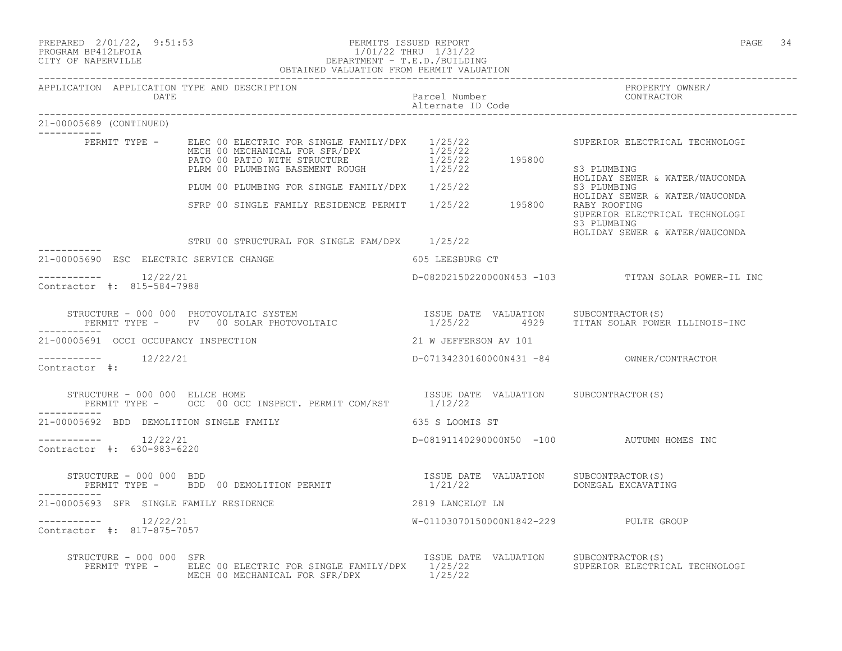|                                                      | PREPARED 2/01/22, 9:51:53<br>PERMITS ISSUED REPORT<br>PROGRAM BP412LFOIA<br>CITY OF NAPERVILLE<br>CITY OF NAPERVILLE<br>CITY OF NAPERVILLE<br>CITY OF NAPERVILLE<br>CITY OF NAPERVILLE<br>OBTAINED VALUATION FROM PERMIT VALUATION |                                    | PAGE 34                                                                                         |
|------------------------------------------------------|------------------------------------------------------------------------------------------------------------------------------------------------------------------------------------------------------------------------------------|------------------------------------|-------------------------------------------------------------------------------------------------|
| APPLICATION APPLICATION TYPE AND DESCRIPTION<br>DATE |                                                                                                                                                                                                                                    | Parcel Number<br>Alternate ID Code | PROPERTY OWNER/<br>CONTRACTOR                                                                   |
| 21-00005689 (CONTINUED)                              |                                                                                                                                                                                                                                    |                                    |                                                                                                 |
|                                                      | ---<br>PERMIT TYPE - ELEC 00 ELECTRIC FOR SINGLE FAMILY/DPX 1/25/22<br>MECH 00 MECHANICAL FOR SFR/DPX 1/25/22<br>PATO 00 PATIO WITH STRUCTURE 1/25/22 195800<br>PLRM 00 PLUMBING BASEMENT ROUGH 1/25/22 195800                     |                                    | SUPERIOR ELECTRICAL TECHNOLOGI<br>S3 PLUMBING<br>HOLIDAY SEWER & WATER/WAUCONDA                 |
|                                                      | PLUM 00 PLUMBING FOR SINGLE FAMILY/DPX 1/25/22                                                                                                                                                                                     |                                    | S3 PLUMBING                                                                                     |
|                                                      | SFRP 00 SINGLE FAMILY RESIDENCE PERMIT 1/25/22 195800                                                                                                                                                                              |                                    | HOLIDAY SEWER & WATER/WAUCONDA<br>RABY ROOFING<br>SUPERIOR ELECTRICAL TECHNOLOGI<br>S3 PLUMBING |
|                                                      | STRU 00 STRUCTURAL FOR SINGLE FAM/DPX 1/25/22                                                                                                                                                                                      |                                    | HOLIDAY SEWER & WATER/WAUCONDA                                                                  |
| 21-00005690 ESC ELECTRIC SERVICE CHANGE              |                                                                                                                                                                                                                                    | 605 LEESBURG CT                    |                                                                                                 |
| $--------- 12/22/21$<br>Contractor #: 815-584-7988   |                                                                                                                                                                                                                                    |                                    | D-08202150220000N453 -103 TITAN SOLAR POWER-IL INC                                              |
|                                                      | STRUCTURE - 000 000 PHOTOVOLTAIC SYSTEM                           ISSUE DATE VALUATION    SUBCONTRACTOR(S)<br>PERMIT TYPE -     PV   00 SOLAR PHOTOVOLTAIC                    1/25/22      4929    TITAN SOLAR POWER ILLINOIS-INC  |                                    |                                                                                                 |
| 21-00005691 OCCI OCCUPANCY INSPECTION                |                                                                                                                                                                                                                                    | 21 W JEFFERSON AV 101              |                                                                                                 |
| $--------$ 12/22/21<br>Contractor #:                 |                                                                                                                                                                                                                                    |                                    |                                                                                                 |
|                                                      | ${\small \begin{tabular}{l} \texttt{STRUCTURE} - UUU UUU & ELLCE HOME \\ PERMIT TYPE - \texttt{OCC 00 OCC INSPECT. PERMIT COM/RST & 1/12/22 \\ \end{tabular}}$                                                                     |                                    |                                                                                                 |
| 21-00005692 BDD DEMOLITION SINGLE FAMILY             |                                                                                                                                                                                                                                    | 635 S LOOMIS ST                    |                                                                                                 |
| $--------- 12/22/21$<br>Contractor #: 630-983-6220   |                                                                                                                                                                                                                                    |                                    | D-08191140290000N50 -100 AUTUMN HOMES INC                                                       |
| -----------                                          | STRUCTURE – 000 000 BDD<br>PERMIT TYPE –   BDD 00 DEMOLITION PERMIT                           1/21/22           DONEGAL EXCAVATII                                                                                                  |                                    | DONEGAL EXCAVATING                                                                              |
| 21-00005693 SFR SINGLE FAMILY RESIDENCE              |                                                                                                                                                                                                                                    | 2819 LANCELOT LN                   |                                                                                                 |
| $--------$ 12/22/21<br>Contractor #: 817-875-7057    |                                                                                                                                                                                                                                    |                                    | W-01103070150000N1842-229 PULTE GROUP                                                           |
| STRUCTURE - 000 000 SFR                              | PERMIT TYPE - ELEC 00 ELECTRIC FOR SINGLE FAMILY/DPX 1/25/22<br>MECH 00 MECHANICAL FOR SFR/DPX 1/25/22                                                                                                                             |                                    | ISSUE DATE VALUATION SUBCONTRACTOR(S)<br>SUPERIOR ELECTRICAL TECHNOLOGI                         |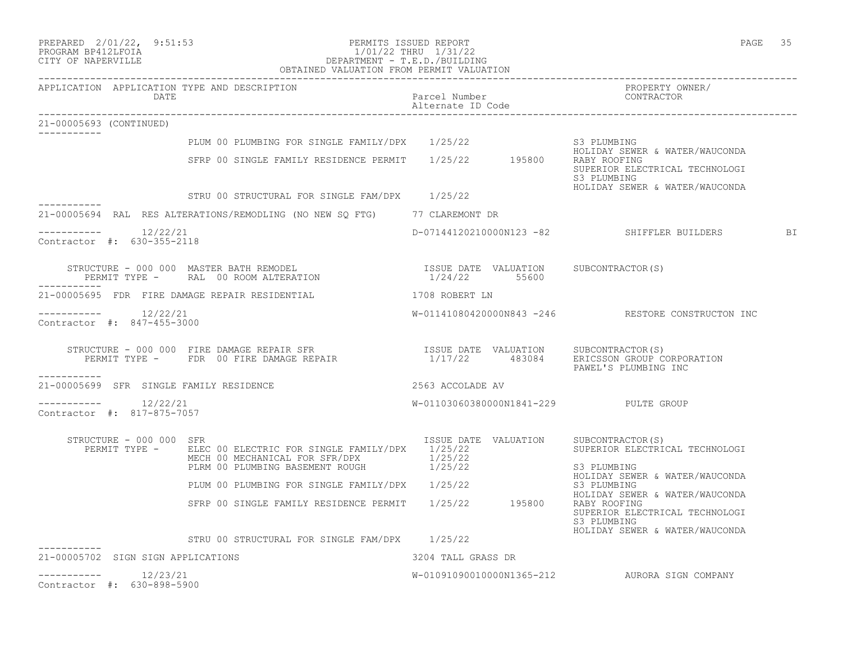| PREPARED | $2/01/22$ , | 9:51:53 |
|----------|-------------|---------|
|          |             |         |

### PREPARED 2/01/22, 9:51:53 PERMITS ISSUED REPORT<br>PROGRAM BP412LFOIA PAGE 35 PROGRAM BP412LFOIA 1/01/22 THRU 1/31/22 CITY OF NAPERVILLE DEPARTMENT - T.E.D./BUILDING OBTAINED VALUATION FROM PERMIT VALUATION

|                                                    | DATE                    | APPLICATION APPLICATION TYPE AND DESCRIPTION                                                                                                                                                                                                                                                                                                            | Parcel Number<br>Alternate ID Code    | PROPERTY OWNER/<br>CONTRACTOR                                                                                                     |
|----------------------------------------------------|-------------------------|---------------------------------------------------------------------------------------------------------------------------------------------------------------------------------------------------------------------------------------------------------------------------------------------------------------------------------------------------------|---------------------------------------|-----------------------------------------------------------------------------------------------------------------------------------|
| 21-00005693 (CONTINUED)                            |                         |                                                                                                                                                                                                                                                                                                                                                         |                                       |                                                                                                                                   |
|                                                    |                         | PLUM 00 PLUMBING FOR SINGLE FAMILY/DPX 1/25/22                                                                                                                                                                                                                                                                                                          |                                       | S3 PLUMBING                                                                                                                       |
|                                                    |                         | SFRP 00 SINGLE FAMILY RESIDENCE PERMIT 1/25/22 195800 RABY ROOFING                                                                                                                                                                                                                                                                                      |                                       | HOLIDAY SEWER & WATER/WAUCONDA<br>SUPERIOR ELECTRICAL TECHNOLOGI<br>S3 PLUMBING                                                   |
|                                                    |                         | STRU 00 STRUCTURAL FOR SINGLE FAM/DPX 1/25/22                                                                                                                                                                                                                                                                                                           |                                       | HOLIDAY SEWER & WATER/WAUCONDA                                                                                                    |
| ------------                                       |                         | 21-00005694 RAL RES ALTERATIONS/REMODLING (NO NEW SQ FTG) 77 CLAREMONT DR                                                                                                                                                                                                                                                                               |                                       |                                                                                                                                   |
| $--------- 12/22/21$<br>Contractor #: 630-355-2118 |                         |                                                                                                                                                                                                                                                                                                                                                         |                                       | D-07144120210000N123 -82 SHIFFLER BUILDERS BI                                                                                     |
| -----------                                        |                         | $\begin{tabular}{lllllllllll} \texttt{STRUCTURE} & - & 000 & 000 & \texttt{MASTER BATH REMODEL} & & & & & & & & & & & & & \\ \texttt{PERMIT TYPE} & - & \texttt{RAL} & 00\texttt{ ROM AITERATION} & & & & & & & & & & \\ \texttt{PERMIT TYPE} & - & \texttt{RAL} & 00\texttt{ ROM AITERATION} & & & & & & & & 1/24/22 & & & 55600 & & \\ \end{tabular}$ |                                       |                                                                                                                                   |
|                                                    |                         | 21-00005695 FDR FIRE DAMAGE REPAIR RESIDENTIAL                                                                                                                                                                                                                                                                                                          | 1708 ROBERT LN                        |                                                                                                                                   |
| $--------- 12/22/21$<br>Contractor #: 847-455-3000 |                         |                                                                                                                                                                                                                                                                                                                                                         |                                       | W-01141080420000N843 -246 RESTORE CONSTRUCTON INC                                                                                 |
| -----------                                        |                         | STRUCTURE - 000 000 FIRE DAMAGE REPAIR SFR<br>PERMIT TYPE -    FDR 00 FIRE DAMAGE REPAIR                       1/17/22      483084    ERICSSON GROUP CORPORATION                                                                                                                                                                                        |                                       | PAWEL'S PLUMBING INC                                                                                                              |
|                                                    |                         | 21-00005699 SFR SINGLE FAMILY RESIDENCE                                                                                                                                                                                                                                                                                                                 | 2563 ACCOLADE AV                      |                                                                                                                                   |
| $--------- 12/22/21$<br>Contractor #: 817-875-7057 |                         |                                                                                                                                                                                                                                                                                                                                                         | W-01103060380000N1841-229 PULTE GROUP |                                                                                                                                   |
|                                                    | STRUCTURE - 000 000 SFR | PERMIT TYPE - ELEC 00 ELECTRIC FOR SINGLE FAMILY/DPX $1/25/22$<br>MECH 00 MECHANICAL FOR SFR/DPX<br>PLRM 00 PLUMBING BASEMENT ROUGH 1/25/22                                                                                                                                                                                                             | ISSUE DATE VALUATION SUBCONTRACTOR(S) | SUPERIOR ELECTRICAL TECHNOLOGI<br>S3 PLUMBING                                                                                     |
|                                                    |                         | PLUM 00 PLUMBING FOR SINGLE FAMILY/DPX 1/25/22                                                                                                                                                                                                                                                                                                          |                                       | HOLIDAY SEWER & WATER/WAUCONDA<br>S3 PLUMBING                                                                                     |
|                                                    |                         | SFRP 00 SINGLE FAMILY RESIDENCE PERMIT 1/25/22 195800                                                                                                                                                                                                                                                                                                   |                                       | HOLIDAY SEWER & WATER/WAUCONDA<br>RABY ROOFING<br>SUPERIOR ELECTRICAL TECHNOLOGI<br>S3 PLUMBING<br>HOLIDAY SEWER & WATER/WAUCONDA |
| ------------                                       |                         | STRU 00 STRUCTURAL FOR SINGLE FAM/DPX 1/25/22                                                                                                                                                                                                                                                                                                           |                                       |                                                                                                                                   |
| 21-00005702 SIGN SIGN APPLICATIONS                 |                         |                                                                                                                                                                                                                                                                                                                                                         | 3204 TALL GRASS DR                    |                                                                                                                                   |
| $--------- 12/23/21$<br>Contractor #: 630-898-5900 |                         |                                                                                                                                                                                                                                                                                                                                                         |                                       | W-01091090010000N1365-212 AURORA SIGN COMPANY                                                                                     |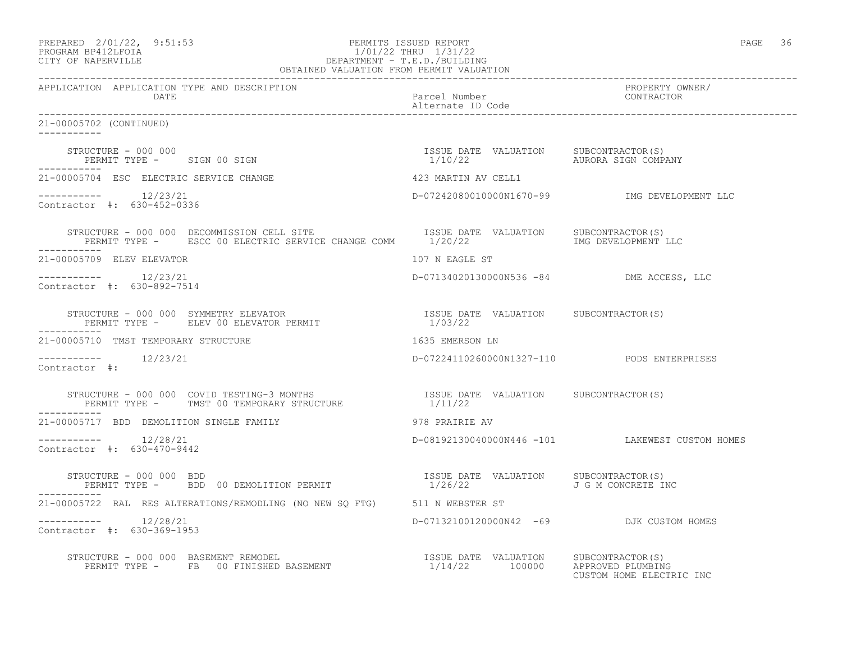| 1/01/22 THRU 1/31/22<br>DEPARTMENT - T.E.D./BUILDING<br>OBTAINED VALUATION FROM PERMIT VALUATION<br>PROGRAM BP412LFOIA<br>CITY OF NAPERVILLE                                                                                                                                                    |                                            |                                                 |
|-------------------------------------------------------------------------------------------------------------------------------------------------------------------------------------------------------------------------------------------------------------------------------------------------|--------------------------------------------|-------------------------------------------------|
| APPLICATION APPLICATION TYPE AND DESCRIPTION<br>DATE                                                                                                                                                                                                                                            | Parcel Number                              | PROPERTY OWNER/<br>CONTRACTOR                   |
| 21-00005702 (CONTINUED)                                                                                                                                                                                                                                                                         |                                            |                                                 |
| STRUCTURE – 000 000<br>PERMIT TYPE – SIGN 00 SIGN 1/10/22 AURORA SIGN COMPA                                                                                                                                                                                                                     |                                            | AURORA SIGN COMPANY                             |
| 21-00005704 ESC ELECTRIC SERVICE CHANGE                                                                                                                                                                                                                                                         | 423 MARTIN AV CELL1                        |                                                 |
| $--------- 12/23/21$<br>Contractor #: 630-452-0336                                                                                                                                                                                                                                              |                                            | D-07242080010000N1670-99 MG DEVELOPMENT LLC     |
| STRUCTURE - 000 000 DECOMMISSION CELL SITE (ISSUE DATE VALUATION SUBCONTRACTOR(S)<br>PERMIT TYPE - ESCC 00 ELECTRIC SERVICE CHANGE COMM 1/20/22 (IMG DEVELOPMENT LLC                                                                                                                            |                                            |                                                 |
| 21-00005709 ELEV ELEVATOR                                                                                                                                                                                                                                                                       | 107 N EAGLE ST                             |                                                 |
| $--------- 12/23/21$<br>Contractor #: 630-892-7514                                                                                                                                                                                                                                              | D-07134020130000N536 -84 DME ACCESS, LLC   |                                                 |
| $\begin{array}{cccccc} \texttt{STRUCTURE} & - & 000 & 000 & \texttt{SYMMETRY} & \texttt{ELEVATOR} & \texttt{SRE} & \texttt{SNE} & \texttt{DATE} & \texttt{VALUATION} & \texttt{SUBCONTRACTOR(S)} \\ \texttt{PERMIT TYPE} & - & \texttt{ELEV 00 ELEVATOR PERMIT} & & & & 1/03/22 \\ \end{array}$ |                                            |                                                 |
| 21-00005710 TMST TEMPORARY STRUCTURE                                                                                                                                                                                                                                                            | 1635 EMERSON LN                            |                                                 |
| 12/23/21<br>Contractor #:                                                                                                                                                                                                                                                                       | D-07224110260000N1327-110 PODS ENTERPRISES |                                                 |
| STRUCTURE - 000 000 COVID TESTING-3 MONTHS                       ISSUE DATE VALUATION   SUBCONTRACTOR(S)<br>PERMIT TYPE -   TMST 00 TEMPORARY STRUCTURE                     1/11/22                                                                                                             |                                            |                                                 |
| 21-00005717 BDD DEMOLITION SINGLE FAMILY                                                                                                                                                                                                                                                        | 978 PRAIRIE AV                             |                                                 |
| $--------- 12/28/21$<br>Contractor #: 630-470-9442                                                                                                                                                                                                                                              |                                            | D-08192130040000N446 -101 LAKEWEST CUSTOM HOMES |
| STRUCTURE - 000 000 BDD<br>PERMIT TYPE -     BDD 00 DEMOLITION PERMIT                         1/26/22           J G M CONCRETE II<br>------------                                                                                                                                               |                                            | J G M CONCRETE INC                              |
| 21-00005722 RAL RES ALTERATIONS/REMODLING (NO NEW SQ FTG) 511 N WEBSTER ST                                                                                                                                                                                                                      |                                            |                                                 |
| $--------$ 12/28/21<br>Contractor #: 630-369-1953                                                                                                                                                                                                                                               | D-07132100120000N42 -69 DJK CUSTOM HOMES   |                                                 |
| STRUCTURE - 000 000 BASEMENT REMODEL<br>PERMIT TYPE - FB 00 FINISHED BASEMENT - 1/14/22 100000 APPROVED PLUMBING                                                                                                                                                                                |                                            | CUSTOM HOME ELECTRIC INC                        |

PREPARED  $2/01/22$ ,  $9:51:53$  PERMITS ISSUED REPORT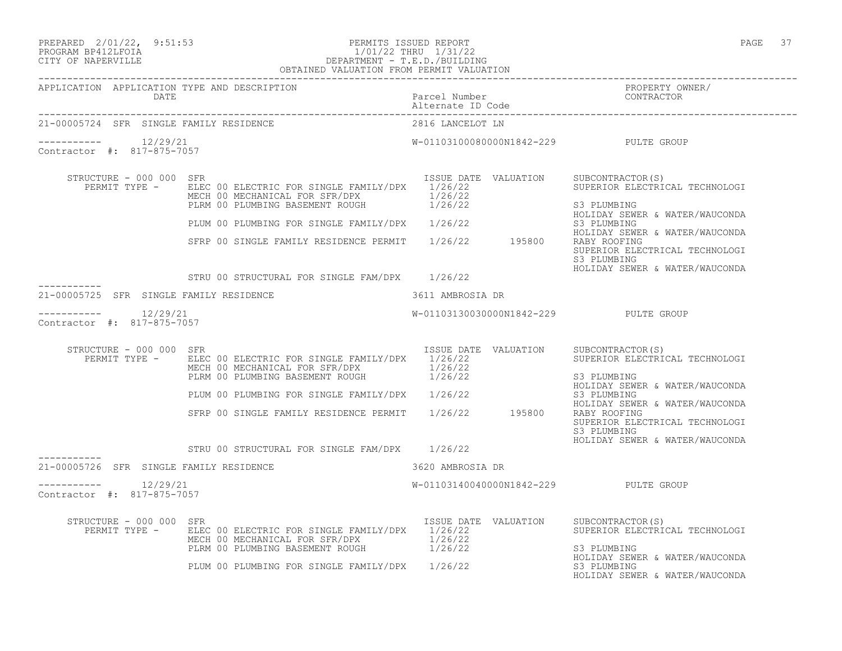## PREPARED 2/01/22, 9:51:53 PERMITS ISSUED REPORT PAGE 37 PROGRAM BP412LFOIA 1/01/22 THRU 1/31/22 CITY OF NAPERVILLE DEPARTMENT - T.E.D./BUILDING

|                                              | OBTAINED VALUATION FROM PERMIT VALUATION                                                                                                              |                                        |                                                                                                 |
|----------------------------------------------|-------------------------------------------------------------------------------------------------------------------------------------------------------|----------------------------------------|-------------------------------------------------------------------------------------------------|
| APPLICATION APPLICATION TYPE AND DESCRIPTION |                                                                                                                                                       |                                        | PROPERTY OWNER/<br>CONTRACTOR                                                                   |
| 21-00005724 SFR SINGLE FAMILY RESIDENCE      |                                                                                                                                                       | 2816 LANCELOT LN                       |                                                                                                 |
| Contractor #: 817-875-7057                   |                                                                                                                                                       | W-01103100080000N1842-229 PULTE GROUP  |                                                                                                 |
| STRUCTURE - 000 000 SFR                      | PERMIT TYPE - ELEC 00 ELECTRIC FOR SINGLE FAMILY/DPX 1/26/22<br>MECH 00 MECHANICAL FOR SFR/DPX 1/26/22<br>PLRM 00 PLUMBING BASEMENT ROUGH 1/26/22     | ISSUE DATE VALUATION SUBCONTRACTOR (S) | SUPERIOR ELECTRICAL TECHNOLOGI<br>S3 PLUMBING<br>HOLIDAY SEWER & WATER/WAUCONDA                 |
|                                              | PLUM 00 PLUMBING FOR SINGLE FAMILY/DPX 1/26/22                                                                                                        |                                        | S3 PLUMBING<br>HOLIDAY SEWER & WATER/WAUCONDA                                                   |
|                                              | SFRP 00 SINGLE FAMILY RESIDENCE PERMIT 1/26/22 195800                                                                                                 |                                        | RABY ROOFING<br>SUPERIOR ELECTRICAL TECHNOLOGI<br>S3 PLUMBING<br>HOLIDAY SEWER & WATER/WAUCONDA |
| -----------                                  | STRU 00 STRUCTURAL FOR SINGLE FAM/DPX 1/26/22                                                                                                         |                                        |                                                                                                 |
| 21-00005725 SFR SINGLE FAMILY RESIDENCE      |                                                                                                                                                       | 3611 AMBROSIA DR                       |                                                                                                 |
| Contractor #: 817-875-7057                   |                                                                                                                                                       | W-01103130030000N1842-229 PULTE GROUP  |                                                                                                 |
| STRUCTURE - 000 000 SFR                      | PERMIT TYPE - ELEC 00 ELECTRIC FOR SINGLE FAMILY/DPX 1/26/22<br>MECH 00 MECHANICAL FOR SFR/DPX 1/26/22<br>PLRM 00 PLUMBING BASEMENT ROUGH 1/26/22     | ISSUE DATE VALUATION SUBCONTRACTOR(S)  | SUPERIOR ELECTRICAL TECHNOLOGI<br>S3 PLUMBING<br>HOLIDAY SEWER & WATER/WAUCONDA<br>S3 PLUMBING  |
|                                              | PLUM 00 PLUMBING FOR SINGLE FAMILY/DPX 1/26/22<br>SFRP 00 SINGLE FAMILY RESIDENCE PERMIT 1/26/22 195800                                               |                                        | HOLIDAY SEWER & WATER/WAUCONDA<br>RABY ROOFING<br>SUPERIOR ELECTRICAL TECHNOLOGI<br>S3 PLUMBING |
|                                              | STRU 00 STRUCTURAL FOR SINGLE FAM/DPX 1/26/22                                                                                                         |                                        | HOLIDAY SEWER & WATER/WAUCONDA                                                                  |
| 21-00005726 SFR SINGLE FAMILY RESIDENCE      | 3620 AMBROSIA DR                                                                                                                                      |                                        |                                                                                                 |
| Contractor #: 817-875-7057                   |                                                                                                                                                       | W-01103140040000N1842-229 PULTE GROUP  |                                                                                                 |
| STRUCTURE - 000 000 SFR                      | PERMIT TYPE - ELEC 00 ELECTRIC FOR SINGLE FAMILY/DPX 1/26/22<br>MECH 00 MECHANICAL FOR SFR/DPX $1/26/22$<br>PLRM 00 PLUMBING BASEMENT ROUGH $1/26/22$ | ISSUE DATE VALUATION SUBCONTRACTOR(S)  | SUPERIOR ELECTRICAL TECHNOLOGI<br>S3 PLUMBING<br>HOLIDAY SEWER & WATER/WAUCONDA                 |
|                                              | PLUM 00 PLUMBING FOR SINGLE FAMILY/DPX 1/26/22                                                                                                        |                                        | S3 PLUMBING                                                                                     |

HOLIDAY SEWER & WATER/WAUCONDA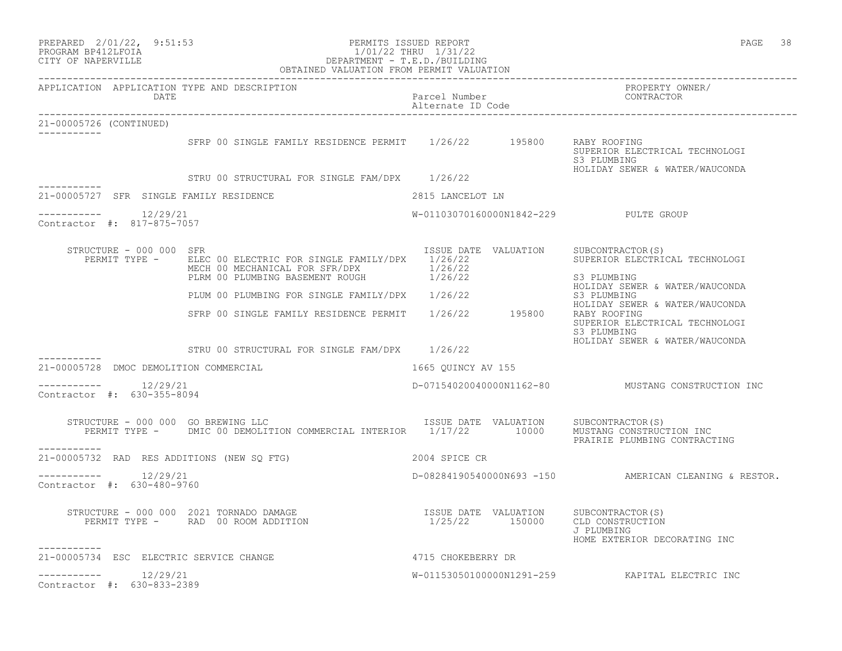|                                                       | PREPARED 2/01/22, 9:51:53<br>PERMITS ISSUED REPORT<br>PROGRAM BP412LFOIA<br>CITY OF NAPERVILLE<br>CITY OF NAPERVILLE<br>CITY OF NAPERVILLE<br>CHERALLY OBTAINED VALUATION FROM PERMIT VALUATION                                                                                            |                                        | PAGE 38                                                                                         |
|-------------------------------------------------------|--------------------------------------------------------------------------------------------------------------------------------------------------------------------------------------------------------------------------------------------------------------------------------------------|----------------------------------------|-------------------------------------------------------------------------------------------------|
| APPLICATION APPLICATION TYPE AND DESCRIPTION<br>DATE  |                                                                                                                                                                                                                                                                                            | Parcel Number<br>Alternate ID Code     | PROPERTY OWNER/<br>CONTRACTOR                                                                   |
| 21-00005726 (CONTINUED)<br>___________                |                                                                                                                                                                                                                                                                                            |                                        |                                                                                                 |
|                                                       | SFRP 00 SINGLE FAMILY RESIDENCE PERMIT 1/26/22 195800                                                                                                                                                                                                                                      |                                        | RABY ROOFING<br>SUPERIOR ELECTRICAL TECHNOLOGI<br>S3 PLUMBING<br>HOLIDAY SEWER & WATER/WAUCONDA |
| -----------                                           | STRU 00 STRUCTURAL FOR SINGLE FAM/DPX 1/26/22                                                                                                                                                                                                                                              |                                        |                                                                                                 |
| 21-00005727 SFR SINGLE FAMILY RESIDENCE               | 2815 LANCELOT LN                                                                                                                                                                                                                                                                           |                                        |                                                                                                 |
| ___________<br>12/29/21<br>Contractor #: 817-875-7057 |                                                                                                                                                                                                                                                                                            | W-01103070160000N1842-229 PULTE GROUP  |                                                                                                 |
| STRUCTURE - 000 000 SFR<br>PERMIT TYPE -              | ELEC 00 ELECTRIC FOR SINGLE FAMILY/DPX 1/26/22<br>ELEC 00 ELECTRIC FOR SINGLE FAMILIZING<br>MECH 00 MECHANICAL FOR SFR/DPX<br>PLEM 00 PLUMBING BASEMENT ROUGH<br>PLUM 00 PLUMBING FOR SINGLE FAMILY/DPX<br>STRP 00 SINGLE FAMILY RESIDENCE PERMIT<br>SFRP 00 SINGLE FAMILY RESIDENCE PERMI | ISSUE DATE VALUATION SUBCONTRACTOR (S) | SUPERIOR ELECTRICAL TECHNOLOGI<br>HOLIDAY SEWER & WATER/WAUCONDA                                |
|                                                       |                                                                                                                                                                                                                                                                                            |                                        | HOLIDAY SEWER & WATER/WAUCONDA<br>SUPERIOR ELECTRICAL TECHNOLOGI<br>S3 PLUMBING                 |
|                                                       | STRU 00 STRUCTURAL FOR SINGLE FAM/DPX 1/26/22                                                                                                                                                                                                                                              |                                        | HOLIDAY SEWER & WATER/WAUCONDA                                                                  |
| 21-00005728 DMOC DEMOLITION COMMERCIAL                |                                                                                                                                                                                                                                                                                            | 1665 OUINCY AV 155                     |                                                                                                 |
| Contractor #: 630-355-8094                            |                                                                                                                                                                                                                                                                                            |                                        | D-07154020040000N1162-80 MUSTANG CONSTRUCTION INC                                               |
| ------------                                          | STRUCTURE - 000 000 GO BREWING LLC<br>$\begin{array}{cccc} \texttt{ISSUE} & \texttt{DATE} & \texttt{VALUATION} & \texttt{SUBCONTRACTOR(S)}\\ \end{array}$<br>PERMIT TYPE - DMIC 00 DEMOLITION COMMERCIAL INTERIOR 1/17/22 10000                                                            |                                        | MUSTANG CONSTRUCTION INC<br>PRAIRIE PLUMBING CONTRACTING                                        |
|                                                       | 21-00005732 RAD RES ADDITIONS (NEW SQ FTG)                                                                                                                                                                                                                                                 | 2004 SPICE CR                          |                                                                                                 |
| $--------- 12/29/21$<br>Contractor #: 630-480-9760    |                                                                                                                                                                                                                                                                                            |                                        | D-08284190540000N693 -150 AMERICAN CLEANING & RESTOR.                                           |
| -----------                                           |                                                                                                                                                                                                                                                                                            |                                        | J PLUMBING<br>HOME EXTERIOR DECORATING INC                                                      |
| 21-00005734 ESC ELECTRIC SERVICE CHANGE               | 4715 CHOKEBERRY DR                                                                                                                                                                                                                                                                         |                                        |                                                                                                 |
| $--------- 12/29/21$<br>Contractor #: 630-833-2389    |                                                                                                                                                                                                                                                                                            |                                        | W-01153050100000N1291-259 KAPITAL ELECTRIC INC                                                  |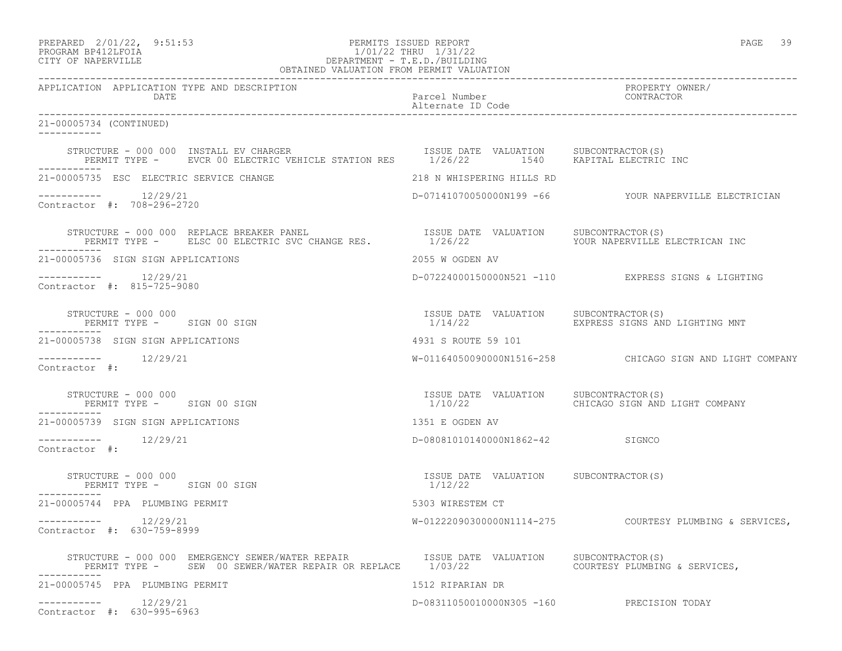| PREPARED    | $2/01/22$ , | 9:51:5 |
|-------------|-------------|--------|
| DD O OD 335 |             |        |

# PREPARED 2/01/22, 9:51:53 PERMITS ISSUED REPORT PAGE 39 PROGRAM BP412LFOIA 1/01/22 THRU 1/31/22 CITY OF NAPERVILLE DEPARTMENT - T.E.D./BUILDING

| OBTAINED VALUATION FROM PERMIT VALUATION                                                                                            |                                                  |                                                          |  |
|-------------------------------------------------------------------------------------------------------------------------------------|--------------------------------------------------|----------------------------------------------------------|--|
| APPLICATION APPLICATION TYPE AND DESCRIPTION<br>DATE                                                                                | Parcel Number<br>Alternate ID Code               | PROPERTY OWNER/<br>CONTRACTOR                            |  |
| 21-00005734 (CONTINUED)                                                                                                             |                                                  |                                                          |  |
| STRUCTURE - 000 000 INSTALL EV CHARGER<br>PERMIT TYPE - CEVCR 00 ELECTRIC VEHICLE STATION RES 1/26/22 540 1540 KAPITAL ELECTRIC INC | ISSUE DATE VALUATION SUBCONTRACTOR(S)            |                                                          |  |
| 21-00005735 ESC ELECTRIC SERVICE CHANGE                                                                                             | 218 N WHISPERING HILLS RD                        |                                                          |  |
| $--------$ 12/29/21<br>Contractor #: 708-296-2720                                                                                   |                                                  | D-07141070050000N199 -66 YOUR NAPERVILLE ELECTRICIAN     |  |
|                                                                                                                                     |                                                  | YOUR NAPERVILLE ELECTRICAN INC                           |  |
| 21-00005736 SIGN SIGN APPLICATIONS                                                                                                  | 2055 W OGDEN AV                                  |                                                          |  |
| 12/29/21<br>___________<br>Contractor #: 815-725-9080                                                                               |                                                  | D-07224000150000N521 -110 EXPRESS SIGNS & LIGHTING       |  |
| STRUCTURE - 000 000<br>PERMIT TYPE - SIGN 00 SIGN                                                                                   | ISSUE DATE VALUATION SUBCONTRACTOR(S)<br>1/14/22 | EXPRESS SIGNS AND LIGHTING MNT                           |  |
| 21-00005738 SIGN SIGN APPLICATIONS                                                                                                  | 4931 S ROUTE 59 101                              |                                                          |  |
| Contractor #:                                                                                                                       |                                                  | W-01164050090000N1516-258 CHICAGO SIGN AND LIGHT COMPANY |  |
| STRUCTURE - 000 000<br>PERMIT TYPE - SIGN 00 SIGN                                                                                   | ISSUE DATE VALUATION SUBCONTRACTOR(S)<br>1/10/22 | CHICAGO SIGN AND LIGHT COMPANY                           |  |
| 21-00005739 SIGN SIGN APPLICATIONS                                                                                                  | 1351 E OGDEN AV                                  |                                                          |  |
| 12/29/21<br>-----------<br>Contractor #:                                                                                            | D-08081010140000N1862-42 SIGNCO                  |                                                          |  |
| STRUCTURE - 000 000<br>PERMIT TYPE - SIGN 00 SIGN<br>----------                                                                     | ISSUE DATE VALUATION SUBCONTRACTOR(S)<br>1/12/22 |                                                          |  |
| 21-00005744 PPA PLUMBING PERMIT                                                                                                     | 5303 WIRESTEM CT                                 |                                                          |  |
| -----------    12/29/21<br>Contractor #: 630-759-8999                                                                               |                                                  | W-01222090300000N1114-275 COURTESY PLUMBING & SERVICES,  |  |
|                                                                                                                                     |                                                  |                                                          |  |
| 21-00005745 PPA PLUMBING PERMIT                                                                                                     | 1512 RIPARIAN DR                                 |                                                          |  |
| -----------    12/29/21<br>Contractor #: 630-995-6963                                                                               | D-08311050010000N305 -160 PRECISION TODAY        |                                                          |  |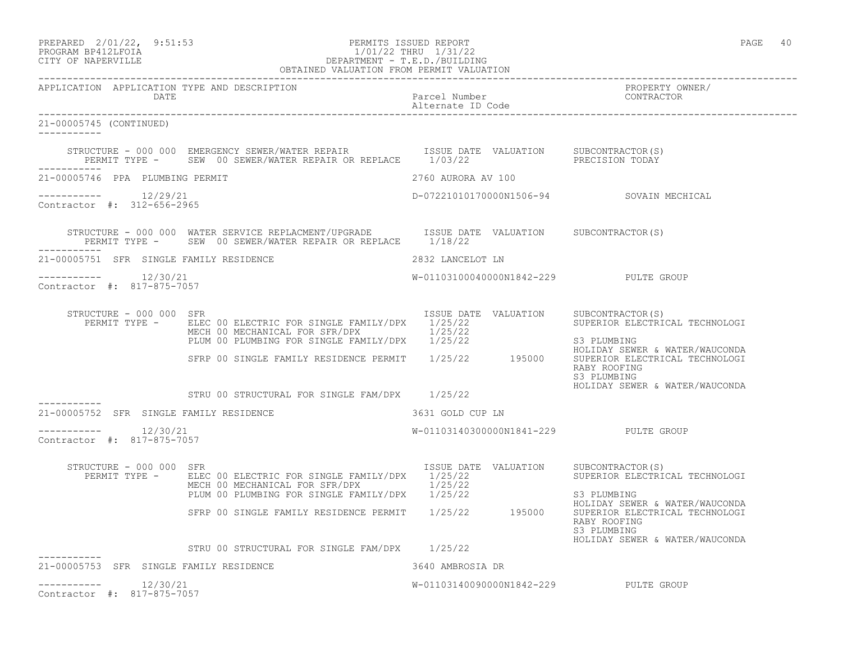| PREPARED            | $2/01/22$ , | 9:51:53 |
|---------------------|-------------|---------|
| DDOCD3M DD410T DOT3 |             |         |

## PREPARED 2/01/22, 9:51:53 PERMITS ISSUED REPORT<br>PROGRAM BP412LFOIA PAGE 40<br>1/01/22 THRU 1/31/22 PROGRAM BP412LFOIA 1/01/22 THRU 1/31/22<br>CITY OF NAPERVILLE DEPARTMENT - T.E.D./BUILDIN CITY OF NAPERVILLE DEPARTMENT - T.E.D./BUILDING

|                                                         | OBTAINED VALUATION FROM PERMIT VALUATION                                                                                                                                                      |                                       |                                                                                                 |
|---------------------------------------------------------|-----------------------------------------------------------------------------------------------------------------------------------------------------------------------------------------------|---------------------------------------|-------------------------------------------------------------------------------------------------|
| APPLICATION APPLICATION TYPE AND DESCRIPTION<br>DATE    |                                                                                                                                                                                               | Parcel Number<br>Alternate ID Code    | PROPERTY OWNER/<br>CONTRACTOR                                                                   |
| 21-00005745 (CONTINUED)<br>-----------                  |                                                                                                                                                                                               |                                       |                                                                                                 |
| ------------                                            | STRUCTURE - 000 000 EMERGENCY SEWER/WATER REPAIR TSSUE DATE VALUATION SUBCONTRACTOR(S)<br>PERMIT TYPE - SEW 00 SEWER/WATER REPAIR OR REPLACE 1/03/22 PRECISION TODAY                          |                                       |                                                                                                 |
| 21-00005746 PPA PLUMBING PERMIT                         |                                                                                                                                                                                               | 2760 AURORA AV 100                    |                                                                                                 |
| Contractor #: 312-656-2965                              |                                                                                                                                                                                               |                                       | D-07221010170000N1506-94 SOVAIN MECHICAL                                                        |
|                                                         | STRUCTURE - 000 000 WATER SERVICE REPLACMENT/UPGRADE<br>ISSUE DATE VALUATION SUBCONTRACTOR(S)<br>PERMIT TYPE - SEW 00 SEWER/WATER REPAIR OR REPLACE 1/18/22                                   |                                       |                                                                                                 |
| 21-00005751 SFR SINGLE FAMILY RESIDENCE                 |                                                                                                                                                                                               | 2832 LANCELOT LN                      |                                                                                                 |
| -----------    12/30/21<br>Contractor #: 817-875-7057   |                                                                                                                                                                                               | W-01103100040000N1842-229 PULTE GROUP |                                                                                                 |
| STRUCTURE - 000 000 SFR<br>PERMIT TYPE -                | ELEC 00 ELECTRIC FOR SINGLE FAMILY/DPX 1/25/22<br>ELEC 00 ELECTRIC FOR SINGLE FAFILLI/DIA 1/25/22<br>MECH 00 MECHANICAL FOR SFR/DPX 1/25/22<br>PLUM 00 PLUMBING FOR SINGLE FAMILY/DPX 1/25/22 | ISSUE DATE VALUATION                  | SUBCONTRACTOR (S)<br>SUPERIOR ELECTRICAL TECHNOLOGI<br>S3 PLUMBING                              |
|                                                         | SFRP 00 SINGLE FAMILY RESIDENCE PERMIT 1/25/22 195000                                                                                                                                         |                                       | HOLIDAY SEWER & WATER/WAUCONDA<br>SUPERIOR ELECTRICAL TECHNOLOGI<br>RABY ROOFING<br>S3 PLUMBING |
|                                                         | STRU 00 STRUCTURAL FOR SINGLE FAM/DPX 1/25/22                                                                                                                                                 |                                       | HOLIDAY SEWER & WATER/WAUCONDA                                                                  |
| ------------<br>21-00005752 SFR SINGLE FAMILY RESIDENCE |                                                                                                                                                                                               | 3631 GOLD CUP LN                      |                                                                                                 |
| -----------    12/30/21<br>Contractor #: 817-875-7057   |                                                                                                                                                                                               | W-01103140300000N1841-229 PULTE GROUP |                                                                                                 |
| STRUCTURE - 000 000 SFR<br>PERMIT TYPE -                | ELEC 00 ELECTRIC FOR SINGLE FAMILY/DPX 1/25/22<br>ELEC OU ELECINIC FOR SINGLE FAMILY/DPX 1/25/22<br>MECH 00 MECHANICAL FOR SFR/DPX 1/25/22<br>PLUM 00 PLUMBING FOR SINGLE FAMILY/DPX 1/25/22  | ISSUE DATE VALUATION SUBCONTRACTOR(S) | SUPERIOR ELECTRICAL TECHNOLOGI<br>S3 PLUMBING                                                   |
|                                                         | SFRP 00 SINGLE FAMILY RESIDENCE PERMIT 1/25/22 195000                                                                                                                                         |                                       | HOLIDAY SEWER & WATER/WAUCONDA<br>SUPERIOR ELECTRICAL TECHNOLOGI<br>RABY ROOFING<br>S3 PLUMBING |
|                                                         | STRU 00 STRUCTURAL FOR SINGLE FAM/DPX 1/25/22                                                                                                                                                 |                                       | HOLIDAY SEWER & WATER/WAUCONDA                                                                  |
| 21-00005753 SFR SINGLE FAMILY RESIDENCE                 |                                                                                                                                                                                               | 3640 AMBROSIA DR                      |                                                                                                 |
| 12/30/21<br>___________<br>Contractor #: 817-875-7057   |                                                                                                                                                                                               | W-01103140090000N1842-229 PULTE GROUP |                                                                                                 |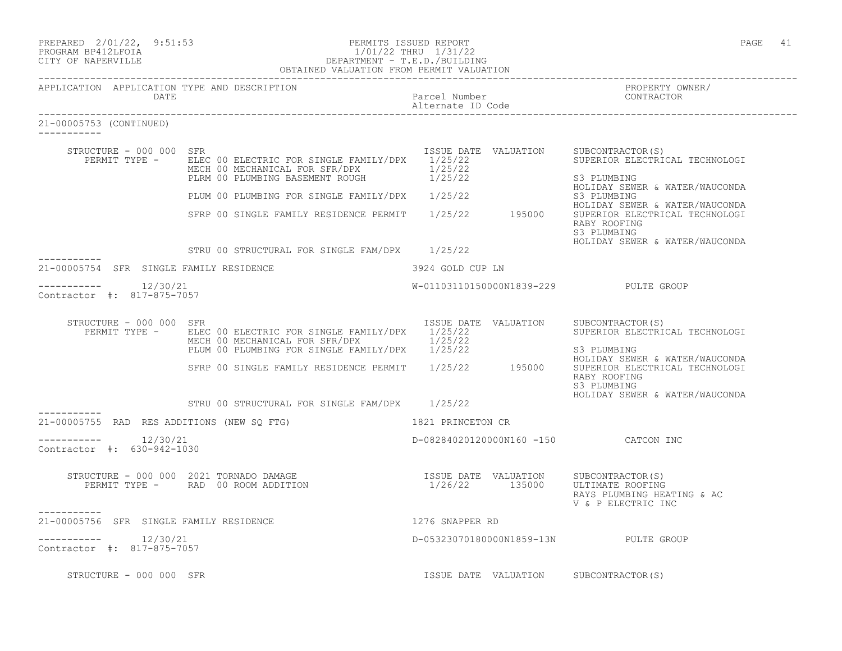| PREPARED 2/01/22, 9:51:53                            | PERMITS ISSUED REPORT                                                                                                                                                                              |                                    | PAGE 41                                                                                                                                          |
|------------------------------------------------------|----------------------------------------------------------------------------------------------------------------------------------------------------------------------------------------------------|------------------------------------|--------------------------------------------------------------------------------------------------------------------------------------------------|
| APPLICATION APPLICATION TYPE AND DESCRIPTION<br>DATE |                                                                                                                                                                                                    | Parcel Number<br>Alternate ID Code | PROPERTY OWNER/<br>CONTRACTOR                                                                                                                    |
| 21-00005753 (CONTINUED)                              |                                                                                                                                                                                                    |                                    |                                                                                                                                                  |
| STRUCTURE - 000 000 SFR<br>PERMIT TYPE -             | ELEC 00 ELECTRIC FOR SINGLE FAMILY/DPX 1/25/22<br>MECH 00 MECHANICAL FOR SFR/DPX 1/25/22<br>PLEM 00 PLUMBING BASEMENT ROUGH 1/25/22                                                                | ISSUE DATE VALUATION               | SUBCONTRACTOR (S)<br>SUPERIOR ELECTRICAL TECHNOLOGI<br>S3 PLUMBING<br>HOLIDAY SEWER & WATER/WAUCONDA                                             |
|                                                      | PLUM 00 PLUMBING FOR SINGLE FAMILY/DPX 1/25/22                                                                                                                                                     |                                    | S3 PLUMBING<br>HOLIDAY SEWER & WATER/WAUCONDA                                                                                                    |
|                                                      | SFRP 00 SINGLE FAMILY RESIDENCE PERMIT 1/25/22 195000                                                                                                                                              |                                    | SUPERIOR ELECTRICAL TECHNOLOGI<br>RABY ROOFING<br>S3 PLUMBING<br>HOLIDAY SEWER & WATER/WAUCONDA                                                  |
|                                                      | STRU 00 STRUCTURAL FOR SINGLE FAM/DPX 1/25/22                                                                                                                                                      |                                    |                                                                                                                                                  |
| 21-00005754 SFR SINGLE FAMILY RESIDENCE              |                                                                                                                                                                                                    | 3924 GOLD CUP LN                   |                                                                                                                                                  |
| $--------- 12/30/21$<br>Contractor #: 817-875-7057   |                                                                                                                                                                                                    |                                    | W-01103110150000N1839-229 PULTE GROUP                                                                                                            |
| STRUCTURE - 000 000 SFR<br>PERMIT TYPE -             | ELEC 00 ELECTRIC FOR SINGLE FAMILY/DPX 1/25/22<br>MECH 00 MECHANICAL FOR SFR/DPX 1/25/22<br>MECH 00 MECHANICAL FOR SINGLE FAMILY/DPX $1/25/22$<br>PLUM 00 PLUMBING FOR SINGLE FAMILY/DPX $1/25/22$ | ISSUE DATE VALUATION               | SUBCONTRACTOR(S)<br>SUPERIOR ELECTRICAL TECHNOLOGI<br>S3 PLUMBING                                                                                |
|                                                      | SFRP 00 SINGLE FAMILY RESIDENCE PERMIT 1/25/22 195000                                                                                                                                              |                                    | HOLIDAY SEWER & WATER/WAUCONDA<br>SUPERIOR ELECTRICAL TECHNOLOGI<br>RABY ROOFING<br>S3 PLUMBING<br>HOLIDAY SEWER & WATER/WAUCONDA                |
|                                                      | STRU 00 STRUCTURAL FOR SINGLE FAM/DPX 1/25/22                                                                                                                                                      |                                    |                                                                                                                                                  |
| 21-00005755 RAD RES ADDITIONS (NEW SQ FTG)           |                                                                                                                                                                                                    | 1821 PRINCETON CR                  |                                                                                                                                                  |
| $--------- 12/30/21$<br>Contractor #: 630-942-1030   |                                                                                                                                                                                                    |                                    | D-08284020120000N160 -150 CATCON INC                                                                                                             |
| -----------                                          | STRUCTURE - 000 000 2021 TORNADO DAMAGE<br>PERMIT TYPE - RAD 00 ROOM ADDITION                                                                                                                      | 1/26/22 135000                     | ISSUE DATE VALUATION SUBCONTRACTOR(S)<br>1/26/22 135000 ULTIMATE ROOFING<br>ULTIMATE ROOFING<br>RAYS PLUMBING HEATING & AC<br>V & P ELECTRIC INC |
| 21-00005756 SFR SINGLE FAMILY RESIDENCE              |                                                                                                                                                                                                    | 1276 SNAPPER RD                    |                                                                                                                                                  |
| $-------- 12/30/21$<br>Contractor #: 817-875-7057    |                                                                                                                                                                                                    |                                    | D-05323070180000N1859-13N PULTE GROUP                                                                                                            |
| STRUCTURE - 000 000 SFR                              |                                                                                                                                                                                                    |                                    | ISSUE DATE VALUATION SUBCONTRACTOR(S)                                                                                                            |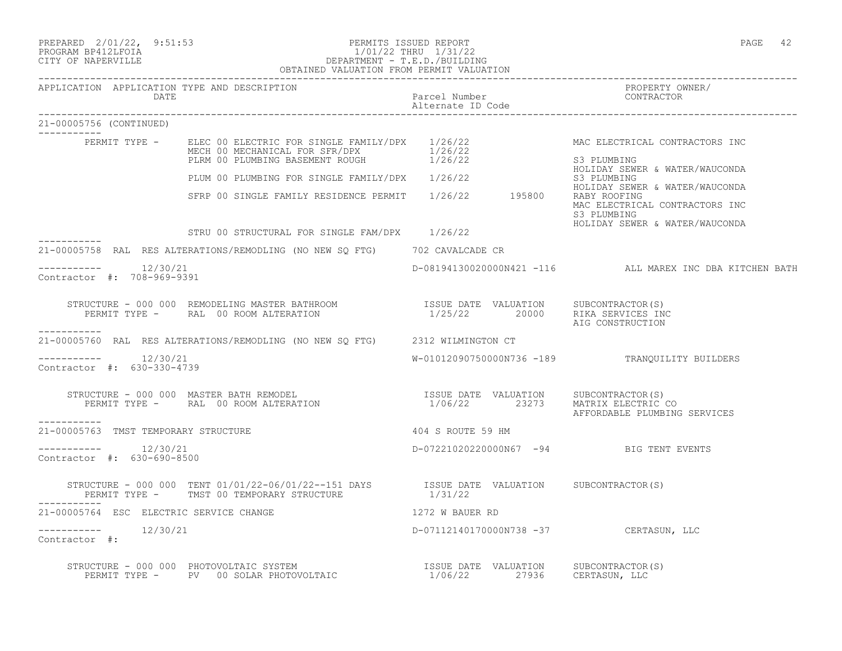|                                                      |                                                                                                                                                                                                                                                                                                                                                                                  |                                                        | PAGE 42                                                                                         |
|------------------------------------------------------|----------------------------------------------------------------------------------------------------------------------------------------------------------------------------------------------------------------------------------------------------------------------------------------------------------------------------------------------------------------------------------|--------------------------------------------------------|-------------------------------------------------------------------------------------------------|
| APPLICATION APPLICATION TYPE AND DESCRIPTION<br>DATE |                                                                                                                                                                                                                                                                                                                                                                                  | Parcel Number<br>Alternate ID Code                     | PROPERTY OWNER/<br>CONTRACTOR                                                                   |
| 21-00005756 (CONTINUED)                              |                                                                                                                                                                                                                                                                                                                                                                                  |                                                        |                                                                                                 |
|                                                      | PERMIT TYPE - ELEC 00 ELECTRIC FOR SINGLE FAMILY/DPX 1/26/22<br>MECH 00 MECHANICAL FOR SFR/DPX 1/26/22<br>PLRM 00 PLUMBING BASEMENT ROUGH 1/26/22                                                                                                                                                                                                                                |                                                        | MAC ELECTRICAL CONTRACTORS INC<br>S3 PLUMBING<br>HOLIDAY SEWER & WATER/WAUCONDA                 |
|                                                      | PLUM 00 PLUMBING FOR SINGLE FAMILY/DPX 1/26/22<br>SFRP 00 SINGLE FAMILY RESIDENCE PERMIT 1/26/22 195800                                                                                                                                                                                                                                                                          |                                                        | S3 PLUMBING<br>HOLIDAY SEWER & WATER/WAUCONDA                                                   |
|                                                      |                                                                                                                                                                                                                                                                                                                                                                                  |                                                        | RABY ROOFING<br>MAC ELECTRICAL CONTRACTORS INC<br>S3 PLUMBING<br>HOLIDAY SEWER & WATER/WAUCONDA |
|                                                      | STRU 00 STRUCTURAL FOR SINGLE FAM/DPX 1/26/22                                                                                                                                                                                                                                                                                                                                    |                                                        |                                                                                                 |
|                                                      | 21-00005758 RAL RES ALTERATIONS/REMODLING (NO NEW SQ FTG) 702 CAVALCADE CR                                                                                                                                                                                                                                                                                                       |                                                        |                                                                                                 |
| 12/30/21<br>Contractor #: 708-969-9391               |                                                                                                                                                                                                                                                                                                                                                                                  |                                                        | D-08194130020000N421 -116 ALL MAREX INC DBA KITCHEN BATH                                        |
|                                                      | STRUCTURE - 000 000 REMODELING MASTER BATHROOM                   ISSUE DATE VALUATION     SUBCONTRACTOR(S)<br>PERMIT TYPE -      RAL 00 ROOM ALTERATION                            1/25/22        20000     RIKA SERVICES IN                                                                                                                                                     |                                                        | RIKA SERVICES INC<br>AIG CONSTRUCTION                                                           |
| -----------                                          | 21-00005760 RAL RES ALTERATIONS/REMODLING (NO NEW SQ FTG) 2312 WILMINGTON CT                                                                                                                                                                                                                                                                                                     |                                                        |                                                                                                 |
| ---------    12/30/21<br>Contractor #: 630-330-4739  |                                                                                                                                                                                                                                                                                                                                                                                  |                                                        | W-01012090750000N736 -189 TRANQUILITY BUILDERS                                                  |
| -----------                                          | RUCTURE - 000 000 MASTER BATH REMODEL<br>PERMIT TYPE -     RAL 00 ROOM ALTERATION<br>STRUCTURE - 000 000 MASTER BATH REMODEL                                                                                                                                                                                                                                                     | ISSUE DATE VALUATION SUBCONTRACTOR(S)<br>1/06/22 23273 | MATRIX ELECTRIC CO<br>AFFORDABLE PLUMBING SERVICES                                              |
| 21-00005763 TMST TEMPORARY STRUCTURE                 |                                                                                                                                                                                                                                                                                                                                                                                  | 404 S ROUTE 59 HM                                      |                                                                                                 |
| $--------$ 12/30/21<br>Contractor #: 630-690-8500    |                                                                                                                                                                                                                                                                                                                                                                                  |                                                        | D-07221020220000N67 -94 BIG TENT EVENTS                                                         |
|                                                      | STRUCTURE - 000 000 TENT $01/01/22-06/01/22-151$ DAYS ISSUE DATE VALUATION SUBCONTRACTOR(S)<br>PERMIT TYPE - TMST 00 TEMPORARY STRUCTURE                                                                                                                                                                                                                                         | 1/31/22                                                |                                                                                                 |
| 21-00005764 ESC ELECTRIC SERVICE CHANGE              |                                                                                                                                                                                                                                                                                                                                                                                  | 1272 W BAUER RD                                        |                                                                                                 |
| 12/30/21<br>Contractor #:                            |                                                                                                                                                                                                                                                                                                                                                                                  | D-07112140170000N738 -37 CERTASUN, LLC                 |                                                                                                 |
|                                                      | $\begin{tabular}{lclclclcl} \texttt{STRUCTURE} & - & 000 & 000 & \texttt{PhOTOVOLTAIC} & \texttt{SYSTEM} & & & & & & & & \texttt{ISSUE} & \texttt{DATE} & \texttt{VALUATION} & & & & \texttt{SUBCONTRACTOR} \\ & & & & & & \texttt{PENMIT TYPE} & - & & \texttt{PV} & 00 & \texttt{SOLAR PHOTOVOLTAIC} & & & & & & 1/06/22 & & & 27936 & & \texttt{CERTASUN, LLC} \end{tabular}$ |                                                        | SUBCONTRACTOR(S)                                                                                |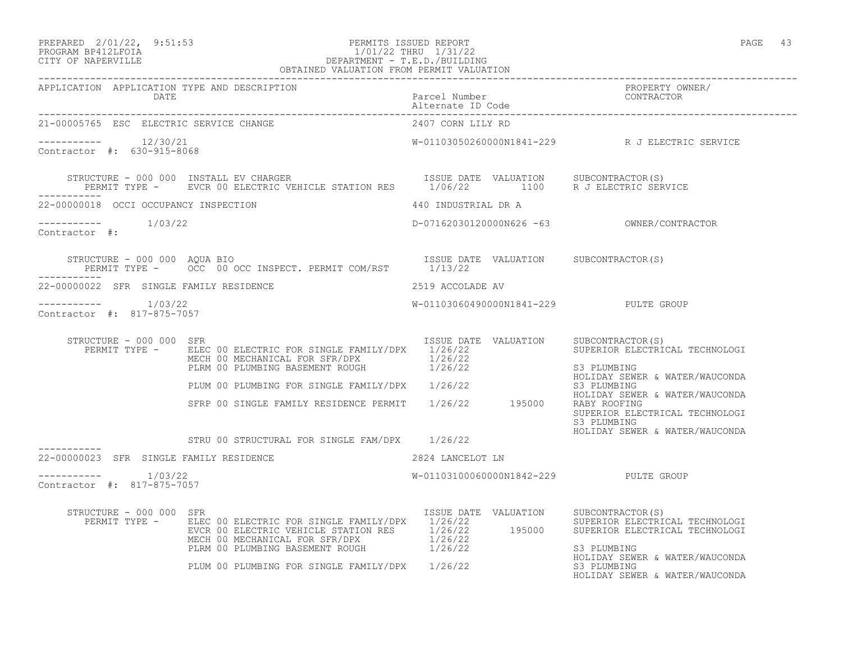### PREPARED 2/01/22, 9:51:53 PERMITS ISSUED REPORT PAGE 43 PROGRAM BP412LFOIA 1/01/22 THRU 1/31/22 CITY OF NAPERVILLE DEPARTMENT - T.E.D./BUILDING OBTAINED VALUATION FROM PERMIT VALUATION

| APPLICATION APPLICATION TYPE AND DESCRIPTION           |                                                                                                                                                                                                                                                                                                                          |                                       | PROPERTY OWNER/<br>CONTRACTOR                                                   |
|--------------------------------------------------------|--------------------------------------------------------------------------------------------------------------------------------------------------------------------------------------------------------------------------------------------------------------------------------------------------------------------------|---------------------------------------|---------------------------------------------------------------------------------|
| 21-00005765 ESC ELECTRIC SERVICE CHANGE                |                                                                                                                                                                                                                                                                                                                          | 2407 CORN LILY RD                     |                                                                                 |
| $--------- 12/30/21$<br>Contractor #: 630-915-8068     |                                                                                                                                                                                                                                                                                                                          |                                       | W-01103050260000N1841-229 R J ELECTRIC SERVICE                                  |
|                                                        |                                                                                                                                                                                                                                                                                                                          |                                       |                                                                                 |
| 22-00000018 OCCI OCCUPANCY INSPECTION                  |                                                                                                                                                                                                                                                                                                                          | 440 INDUSTRIAL DR A                   |                                                                                 |
| $---------$ 1/03/22<br>Contractor #:                   |                                                                                                                                                                                                                                                                                                                          |                                       |                                                                                 |
|                                                        | STRUCTURE - 000 000 AQUA BIO<br>PERMIT TYPE - OCC 00 OCC INSPECT. PERMIT COM/RST 1/13/22                                                                                                                                                                                                                                 |                                       |                                                                                 |
| 22-00000022 SFR SINGLE FAMILY RESIDENCE                |                                                                                                                                                                                                                                                                                                                          | 2519 ACCOLADE AV                      |                                                                                 |
| -----------    1/03/22<br>Contractor #: 817-875-7057   |                                                                                                                                                                                                                                                                                                                          | W-01103060490000N1841-229 PULTE GROUP |                                                                                 |
| STRUCTURE - 000 000 SFR                                | PERMIT TYPE - ELEC 00 ELECTRIC FOR SINGLE FAMILY/DPX 1/26/22                                                                                                                                                                                                                                                             | ISSUE DATE VALUATION SUBCONTRACTOR(S) | SUPERIOR ELECTRICAL TECHNOLOGI<br>S3 PLUMBING<br>HOLIDAY SEWER & WATER/WAUCONDA |
|                                                        | PLUM 00 PLUMBING FOR SINGLE FAMILY/DPX 1/26/22                                                                                                                                                                                                                                                                           |                                       | S3 PLUMBING<br>HOLIDAY SEWER & WATER/WAUCONDA                                   |
|                                                        | SFRP 00 SINGLE FAMILY RESIDENCE PERMIT 1/26/22 195000 RABY ROOFING                                                                                                                                                                                                                                                       |                                       | SUPERIOR ELECTRICAL TECHNOLOGI<br>S3 PLUMBING                                   |
|                                                        | STRU 00 STRUCTURAL FOR SINGLE FAM/DPX 1/26/22                                                                                                                                                                                                                                                                            |                                       | HOLIDAY SEWER & WATER/WAUCONDA                                                  |
| ___________<br>22-00000023 SFR SINGLE FAMILY RESIDENCE |                                                                                                                                                                                                                                                                                                                          | 2824 LANCELOT LN                      |                                                                                 |
| $--------- 1/03/22$<br>Contractor #: 817-875-7057      |                                                                                                                                                                                                                                                                                                                          | W-01103100060000N1842-229 PULTE GROUP |                                                                                 |
| STRUCTURE - 000 000 SFR                                | PERMIT TYPE - ELEC 00 ELECTRIC FOR SINGLE FAMILY/DPX 1/26/22 SUPERIOR ELECTRICAL TECHNOLOGI<br>EVCR 00 ELECTRIC VEHICLE STATION RES 1/26/22 195000 SUPERIOR ELECTRICAL TECHNOLOGI<br>MECH 00 MECHANICAL FOR SFR/DPX 1/26/22<br>PLRM 00 PLUMBING BASEMENT ROUGH 1/26/22<br>PLUM 00 PLUMBING FOR SINGLE FAMILY/DPX 1/26/22 | ISSUE DATE VALUATION SUBCONTRACTOR(S) | S3 PLUMBING<br>HOLIDAY SEWER & WATER/WAUCONDA<br>S3 PLUMBING                    |
|                                                        |                                                                                                                                                                                                                                                                                                                          |                                       | HOLIDAY SEWER & WATER/WAUCONDA                                                  |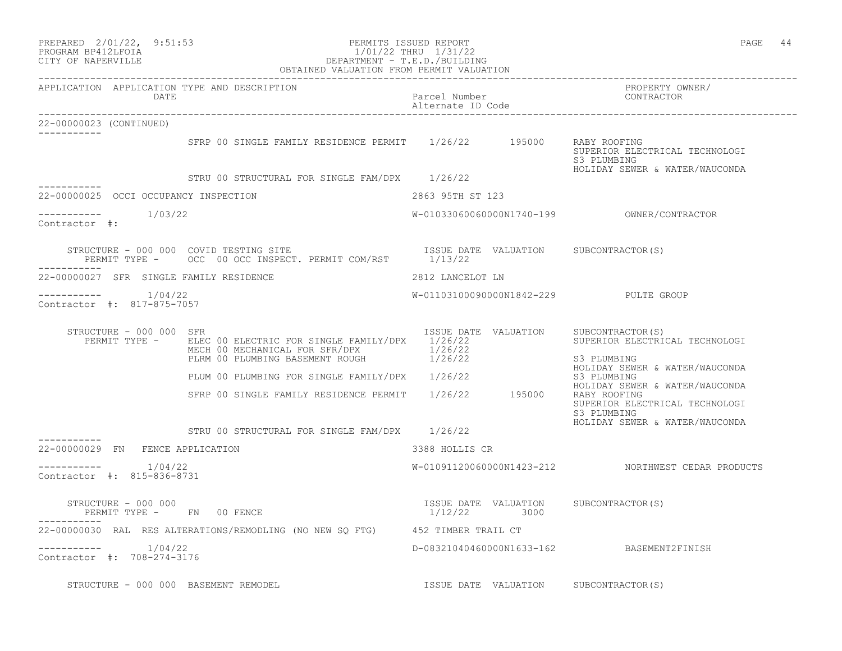| PREPARED 2/01/22, 9:51:53<br>PROGRAM BP412LFOIA<br>CITY OF NAPERVILLE | FERMITS ISSUED NELL.<br>1/01/22 THRU 1/31/22<br>DEPARTMENT - T.E.D./BUILDING<br>OBTAINED VALUATION FROM PERMIT VALUATION                          |                                    | PAGE 44                                                                         |
|-----------------------------------------------------------------------|---------------------------------------------------------------------------------------------------------------------------------------------------|------------------------------------|---------------------------------------------------------------------------------|
| APPLICATION APPLICATION TYPE AND DESCRIPTION<br>DATE                  |                                                                                                                                                   | Parcel Number<br>Alternate ID Code | PROPERTY OWNER/<br>CONTRACTOR                                                   |
| 22-00000023 (CONTINUED)                                               |                                                                                                                                                   |                                    |                                                                                 |
| -----------                                                           | SFRP 00 SINGLE FAMILY RESIDENCE PERMIT 1/26/22 195000                                                                                             |                                    | RABY ROOFING<br>SUPERIOR ELECTRICAL TECHNOLOGI<br>S3 PLUMBING                   |
|                                                                       | STRU 00 STRUCTURAL FOR SINGLE FAM/DPX 1/26/22                                                                                                     |                                    | HOLIDAY SEWER & WATER/WAUCONDA                                                  |
| 22-00000025 OCCI OCCUPANCY INSPECTION                                 |                                                                                                                                                   | 2863 95TH ST 123                   |                                                                                 |
| $--------- 1/03/22$<br>Contractor #:                                  |                                                                                                                                                   |                                    |                                                                                 |
|                                                                       |                                                                                                                                                   |                                    |                                                                                 |
| 22-00000027 SFR SINGLE FAMILY RESIDENCE                               |                                                                                                                                                   | 2812 LANCELOT LN                   |                                                                                 |
| Contractor #: 817-875-7057                                            |                                                                                                                                                   |                                    | W-01103100090000N1842-229 PULTE GROUP                                           |
| STRUCTURE - 000 000 SFR                                               | PERMIT TYPE - ELEC 00 ELECTRIC FOR SINGLE FAMILY/DPX 1/26/22<br>MECH 00 MECHANICAL FOR SFR/DPX 1/26/22<br>PLRM 00 PLUMBING BASEMENT ROUGH 1/26/22 | ISSUE DATE VALUATION               | SUBCONTRACTOR(S)<br>SUPERIOR ELECTRICAL TECHNOLOGI<br>S3 PLUMBING               |
|                                                                       | PLUM 00 PLUMBING FOR SINGLE FAMILY/DPX 1/26/22                                                                                                    |                                    | HOLIDAY SEWER & WATER/WAUCONDA<br>S3 PLUMBING                                   |
|                                                                       | SFRP 00 SINGLE FAMILY RESIDENCE PERMIT 1/26/22 195000 RABY ROOFING                                                                                |                                    | HOLIDAY SEWER & WATER/WAUCONDA<br>SUPERIOR ELECTRICAL TECHNOLOGI<br>S3 PLUMBING |
| ------------                                                          | STRU 00 STRUCTURAL FOR SINGLE FAM/DPX 1/26/22                                                                                                     |                                    | HOLIDAY SEWER & WATER/WAUCONDA                                                  |
| 22-00000029 FN FENCE APPLICATION                                      |                                                                                                                                                   | 3388 HOLLIS CR                     |                                                                                 |
| $--------- 1/04/22$<br>Contractor #: 815-836-8731                     |                                                                                                                                                   |                                    | W-01091120060000N1423-212 NORTHWEST CEDAR PRODUCTS                              |
| STRUCTURE - 000 000<br>PERMIT TYPE - FN 00 FENCE                      |                                                                                                                                                   | 1/12/22 3000                       | ISSUE DATE VALUATION SUBCONTRACTOR(S)                                           |
|                                                                       | 22-00000030 RAL RES ALTERATIONS/REMODLING (NO NEW SO FTG) 452 TIMBER TRAIL CT                                                                     |                                    |                                                                                 |
| Contractor #: 708-274-3176                                            |                                                                                                                                                   |                                    | D-08321040460000N1633-162 BASEMENT2FINISH                                       |
| STRUCTURE - 000 000 BASEMENT REMODEL                                  |                                                                                                                                                   |                                    | ISSUE DATE VALUATION SUBCONTRACTOR(S)                                           |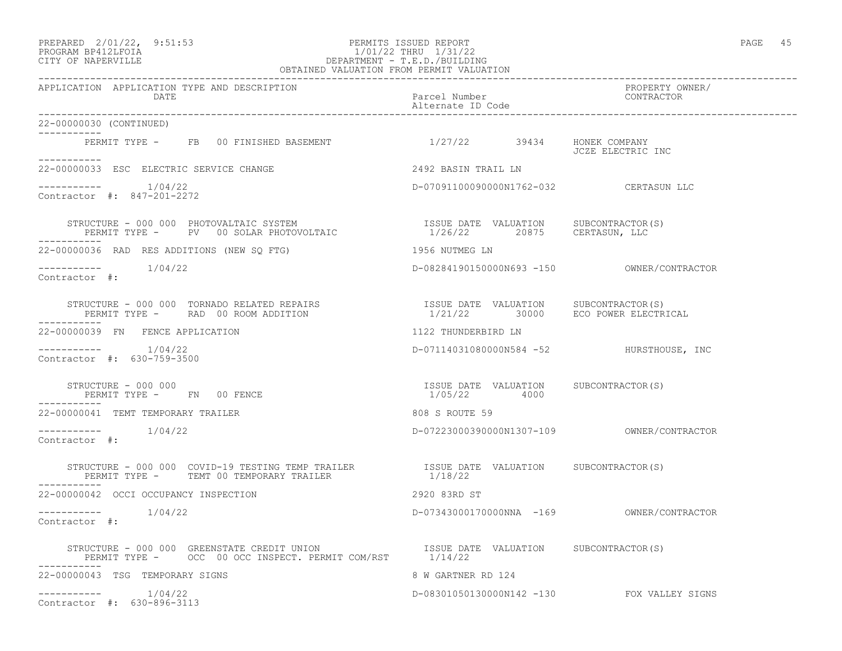## PREPARED 2/01/22, 9:51:53 PERMITS ISSUED REPORT PAGE 45 PROGRAM BP412LFOIA 1/01/22 THRU 1/31/22 CITY OF NAPERVILLE DEPARTMENT - T.E.D./BUILDING

|                                                                                                                                                                                                                                                                                   | OBTAINED VALUATION FROM PERMIT VALUATION              |                                            |
|-----------------------------------------------------------------------------------------------------------------------------------------------------------------------------------------------------------------------------------------------------------------------------------|-------------------------------------------------------|--------------------------------------------|
| APPLICATION APPLICATION TYPE AND DESCRIPTION<br>DATE                                                                                                                                                                                                                              | Parcel Number<br>Alternate ID Code                    | PROPERTY OWNER/<br>CONTRACTOR              |
| 22-00000030 (CONTINUED)                                                                                                                                                                                                                                                           |                                                       |                                            |
| PERMIT TYPE - FB 00 FINISHED BASEMENT 1/27/22 39434 HONEK COMPANY<br>----------                                                                                                                                                                                                   |                                                       | JCZE ELECTRIC INC                          |
| 22-00000033 ESC ELECTRIC SERVICE CHANGE                                                                                                                                                                                                                                           | 2492 BASIN TRAIL LN                                   |                                            |
| $--------$ 1/04/22<br>Contractor #: 847-201-2272                                                                                                                                                                                                                                  | D-07091100090000N1762-032 CERTASUN LLC                |                                            |
| $\begin{array}{cccc} \texttt{STRUCTURE} & - & 000 & 000 & \texttt{PHOTOVALTAIC} & \texttt{SYSTEM} \end{array} \qquad \begin{array}{cccc} \texttt{ISSUE} & \texttt{DATE} & \texttt{VALUATION} & \texttt{SUBCONTRACTOR(S)} \\ 1/26/22 & 20875 & \texttt{CERTASUN, LLC} \end{array}$ |                                                       |                                            |
| 22-00000036 RAD RES ADDITIONS (NEW SQ FTG)                                                                                                                                                                                                                                        | 1956 NUTMEG LN                                        |                                            |
| $--------- 1/04/22$<br>Contractor #:                                                                                                                                                                                                                                              |                                                       |                                            |
|                                                                                                                                                                                                                                                                                   |                                                       |                                            |
| 22-00000039 FN FENCE APPLICATION                                                                                                                                                                                                                                                  | 1122 THUNDERBIRD LN                                   |                                            |
| $---------$ 1/04/22<br>Contractor #: 630-759-3500                                                                                                                                                                                                                                 | D-07114031080000N584 -52 HURSTHOUSE, INC              |                                            |
| STRUCTURE - 000 000<br>PERMIT TYPE - FN 00 FENCE<br>------------                                                                                                                                                                                                                  | ISSUE DATE VALUATION SUBCONTRACTOR(S)<br>1/05/22 4000 |                                            |
| 22-00000041 TEMT TEMPORARY TRAILER                                                                                                                                                                                                                                                | 808 S ROUTE 59                                        |                                            |
| Contractor #:                                                                                                                                                                                                                                                                     |                                                       |                                            |
|                                                                                                                                                                                                                                                                                   |                                                       |                                            |
| 22-00000042 OCCI OCCUPANCY INSPECTION                                                                                                                                                                                                                                             | 2920 83RD ST                                          |                                            |
| $--------- 1/04/22$<br>Contractor #:                                                                                                                                                                                                                                              | D-07343000170000NNA -169 OWNER/CONTRACTOR             |                                            |
|                                                                                                                                                                                                                                                                                   |                                                       |                                            |
| 22-00000043 TSG TEMPORARY SIGNS                                                                                                                                                                                                                                                   | 8 W GARTNER RD 124                                    |                                            |
| $--------- 1/04/22$<br>Contractor #: 630-896-3113                                                                                                                                                                                                                                 |                                                       | D-08301050130000N142 -130 FOX VALLEY SIGNS |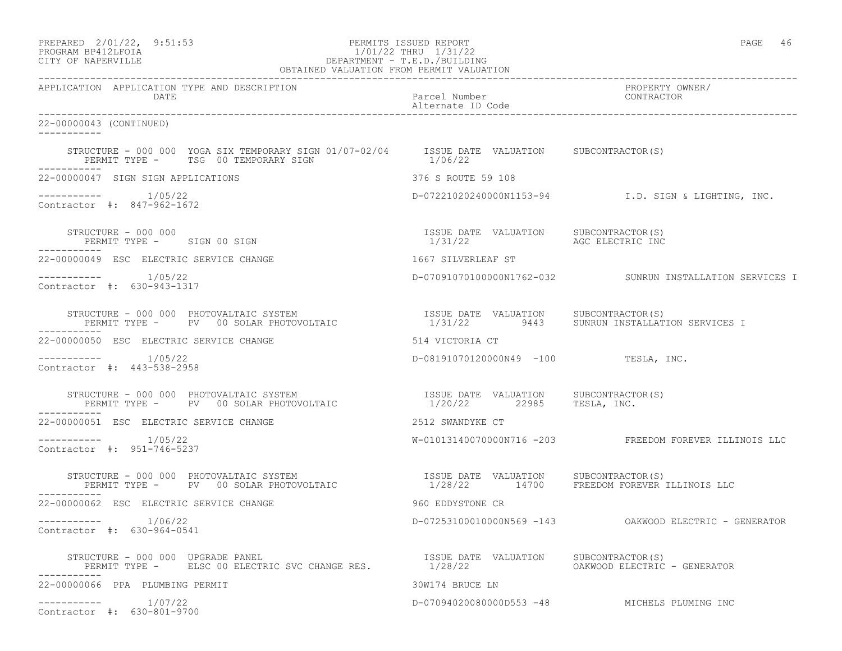| PREPARED | $2/01/22$ ,                             | 9:51:53 |
|----------|-----------------------------------------|---------|
|          | $\begin{array}{c}\n\hline\n\end{array}$ |         |

# PREPARED 2/01/22, 9:51:53 PERMITS ISSUED REPORT<br>PROGRAM BP412LFOIA PAGE 46 PROGRAM PROGRAM PROGRAM PROGRAM PAGE 46 PROGRAM BP412LFOIA 1/01/22 THRU 1/31/22 CITY OF NAPERVILLE DEPARTMENT - T.E.D./BUILDING

| OBTAINED VALUATION FROM PERMIT VALUATION                                                                                                                                                                                                      |                                                   |                                                          |  |  |
|-----------------------------------------------------------------------------------------------------------------------------------------------------------------------------------------------------------------------------------------------|---------------------------------------------------|----------------------------------------------------------|--|--|
| APPLICATION APPLICATION TYPE AND DESCRIPTION<br>DATE                                                                                                                                                                                          | Parcel Number<br>Alternate ID Code                | PROPERTY OWNER/<br>CONTRACTOR                            |  |  |
| 22-00000043 (CONTINUED)<br>-----------                                                                                                                                                                                                        |                                                   |                                                          |  |  |
| STRUCTURE - 000 000 YOGA SIX TEMPORARY SIGN 01/07-02/04 ISSUE DATE VALUATION SUBCONTRACTOR(S)<br>PERMIT TYPE - TSG 00 TEMPORARY SIGN                                                                                                          | 1/06/22                                           |                                                          |  |  |
| 22-00000047 SIGN SIGN APPLICATIONS                                                                                                                                                                                                            | 376 S ROUTE 59 108                                |                                                          |  |  |
| $--------- 1/05/22$<br>Contractor #: 847-962-1672                                                                                                                                                                                             |                                                   | D-07221020240000N1153-94<br>I.D. SIGN & LIGHTING, INC.   |  |  |
| STRUCTURE - 000 000<br>PERMIT TYPE - SIGN 00 SIGN                                                                                                                                                                                             | ISSUE DATE VALUATION SUBCONTRACTOR (S)<br>1/31/22 | AGC ELECTRIC INC                                         |  |  |
| 22-00000049 ESC ELECTRIC SERVICE CHANGE                                                                                                                                                                                                       | 1667 SILVERLEAF ST                                |                                                          |  |  |
| $--------- 1/05/22$<br>Contractor #: 630-943-1317                                                                                                                                                                                             |                                                   | D-0709107010000001762-032 SUNRUN INSTALLATION SERVICES I |  |  |
| STRUCTURE - 000 000 PHOTOVALTAIC SYSTEM<br>PERMIT TYPE - PV 00 SOLAR PHOTOVOLTAIC                                                                                                                                                             | ISSUE DATE VALUATION SUBCONTRACTOR(S)             | 1/31/22 9443 SUNRUN INSTALLATION SERVICES I              |  |  |
| 22-00000050 ESC ELECTRIC SERVICE CHANGE                                                                                                                                                                                                       | 514 VICTORIA CT                                   |                                                          |  |  |
| ---------- 1/05/22<br>Contractor #: 443-538-2958                                                                                                                                                                                              | D-08191070120000N49 -100 TESLA, INC.              |                                                          |  |  |
| STRUCTURE - 000 000 PHOTOVALTAIC SYSTEM                             ISSUE DATE VALUATION     SUBCONTRACTOR(S)<br>PERMIT TYPE -     PV   00 SOLAR PHOTOVOLTAIC                       1/20/22       22985     TESLA, INC.                       |                                                   |                                                          |  |  |
| 22-00000051 ESC ELECTRIC SERVICE CHANGE                                                                                                                                                                                                       | 2512 SWANDYKE CT                                  |                                                          |  |  |
| ----------- 1/05/22<br>Contractor #: 951-746-5237                                                                                                                                                                                             |                                                   | W-01013140070000N716 -203 FREEDOM FOREVER ILLINOIS LLC   |  |  |
| STRUCTURE – 000 000 PHOTOVALTAIC SYSTEM                                ISSUE DATE VALUATION     SUBCONTRACTOR(S)<br>PERMIT TYPE –     PV   00 SOLAR PHOTOVOLTAIC                       1/28/22      14700     FREEDOM FOREVER I<br>---------- |                                                   | 1/28/22 14700 FREEDOM FOREVER ILLINOIS LLC               |  |  |
| 22-00000062 ESC ELECTRIC SERVICE CHANGE                                                                                                                                                                                                       | 960 EDDYSTONE CR                                  |                                                          |  |  |
| Contractor #: 630-964-0541                                                                                                                                                                                                                    |                                                   | D-07253100010000N569 -143 OAKWOOD ELECTRIC - GENERATOR   |  |  |
|                                                                                                                                                                                                                                               |                                                   |                                                          |  |  |
| 22-00000066 PPA PLUMBING PERMIT                                                                                                                                                                                                               | 30W174 BRUCE LN                                   |                                                          |  |  |
| $--------- 1/07/22$<br>Contractor #: 630-801-9700                                                                                                                                                                                             |                                                   | D-07094020080000D553 -48 MICHELS PLUMING INC             |  |  |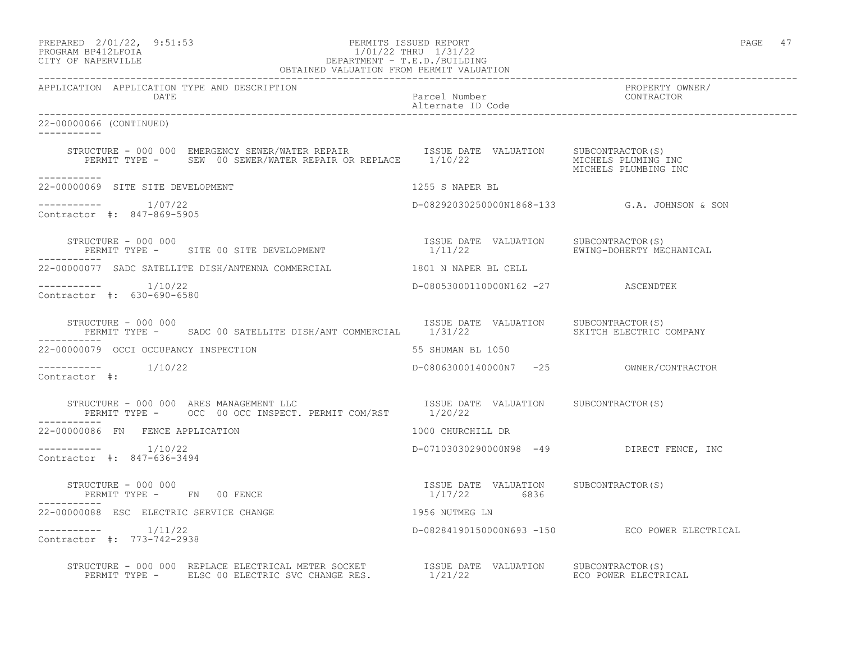| PREPARED            | $2/01/22$ , | 9:51:53 |
|---------------------|-------------|---------|
| DDOCD3M DD410T DOT3 |             |         |

## PREPARED 2/01/22, 9:51:53 PERMITS ISSUED REPORT PAGE 47 PROGRAM BP412LFOIA 1/01/22 THRU 1/31/22 CITY OF NAPERVILLE DEPARTMENT - T.E.D./BUILDING

 OBTAINED VALUATION FROM PERMIT VALUATION ------------------------------------------------------------------------------------------------------------------------------------ APPLICATION APPLICATION TYPE AND DESCRIPTION PROPERTY OWNER/ DATE DATE Parcel Number<br>
Alternate ID Code Alternate ID Code ------------------------------------------------------------------------------------------------------------------------------------ 22-00000066 (CONTINUED) ----------- STRUCTURE - 000 000 EMERGENCY SEWER/WATER REPAIR ISSUE DATE VALUATION SUBCONTRACTOR(S) PERMIT TYPE - SEW 00 SEWER/WATER REPAIR OR REPLACE 1/10/22 MICHELS PLUMING INC MICHELS PLUMBING INC ----------- 22-00000069 SITE SITE DEVELOPMENT 1255 S NAPER BL  $--------- 1/07/22$ ----------- 1/07/22 D-08292030250000N1868-133 G.A. JOHNSON & SON Contractor #: 847-869-5905 STRUCTURE - 000 000<br>PERMIT TYPE - SITE 00 SITE DEVELOPMENT - 1/11/22 BRING-DOHERTY MECHANICAL PERMIT TYPE - SITE 00 SITE DEVELOPMENT ----------- 22-00000077 SADC SATELLITE DISH/ANTENNA COMMERCIAL 1801 N NAPER BL CELL ----------- 1/10/22 D-08053000110000N162 -27 ASCENDTEK Contractor #: 630-690-6580 STRUCTURE - 000 000<br>PERMIT TYPE - SADC 00 SATELLITE DISH/ANT COMMERCIAL 1/31/22 2 SKITCH ELECTRIC COMPANY PERMIT TYPE - SADC 00 SATELLITE DISH/ANT COMMERCIAL 1/31/22 ----------- 22-00000079 OCCI OCCUPANCY INSPECTION 55 SHUMAN BL 1050 ----------- 1/10/22 D-08063000140000N7 -25 OWNER/CONTRACTOR Contractor #: STRUCTURE - 000 000 ARES MANAGEMENT LLC ISSUE DATE VALUATION SUBCONTRACTOR(S) PERMIT TYPE - OCC 00 OCC INSPECT. PERMIT COM/RST 1/20/22 ----------- 22-00000086 FN FENCE APPLICATION 1000 CHURCHILL DR ----------- 1/10/22 D-07103030290000N98 -49 DIRECT FENCE, INC Contractor #: 847-636-3494 STRUCTURE - 000 000 ISSUE DATE VALUATION SUBCONTRACTOR(S) PERMIT TYPE - FN 00 FENCE ----------- 22-00000088 ESC ELECTRIC SERVICE CHANGE 1956 NUTMEG LN ----------- 1/11/22 D-08284190150000N693 -150 ECO POWER ELECTRICAL Contractor #: 773-742-2938 STRUCTURE - 000 000 REPLACE ELECTRICAL METER SOCKET ISSUE DATE VALUATION SUBCONTRACTOR(S) PERMIT TYPE - ELSC 00 ELECTRIC SVC CHANGE RES.  $1/21/22$  ECO POWER ELECTRICAL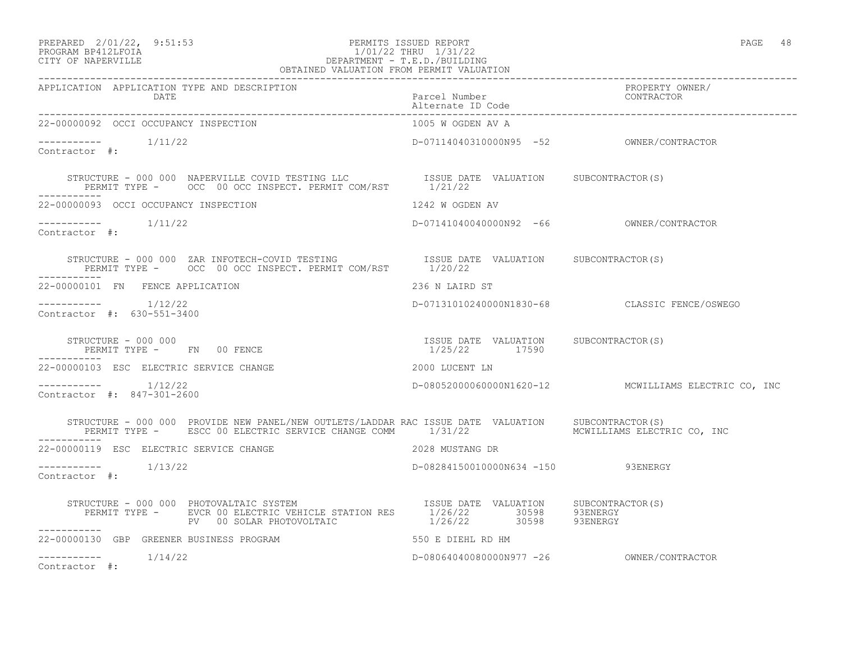### PREPARED 2/01/22, 9:51:53 PERMITS ISSUED REPORT PAGE 48 PROGRAM BP412LFOIA 1/01/22 THRU 1/31/22 CITY OF NAPERVILLE DEPARTMENT - T.E.D./BUILDING

| OBTAINED VALUATION FROM PERMIT VALUATION                                                                                                                                                                                                     |                                          |                                                      |  |  |
|----------------------------------------------------------------------------------------------------------------------------------------------------------------------------------------------------------------------------------------------|------------------------------------------|------------------------------------------------------|--|--|
| APPLICATION APPLICATION TYPE AND DESCRIPTION<br>DATE<br>Parcel Number<br>22-0000093 occt occupancy therefore:                                                                                                                                |                                          | PROPERTY OWNER/<br>CONTRACTOR                        |  |  |
| 22-00000092 OCCI OCCUPANCY INSPECTION                                                                                                                                                                                                        | 1005 W OGDEN AV A                        |                                                      |  |  |
| $--------- 1/11/22$<br>Contractor #:                                                                                                                                                                                                         | D-07114040310000N95 -52 OWNER/CONTRACTOR |                                                      |  |  |
| STRUCTURE - 000 000 NAPERVILLE COVID TESTING LLC              ISSUE DATE VALUATION      SUBCONTRACTOR(S)<br>PERMIT TYPE -       OCC  00 OCC INSPECT. PERMIT COM/RST        1/21/22                                                           |                                          |                                                      |  |  |
| 22-00000093 OCCI OCCUPANCY INSPECTION 1242 W OGDEN AV                                                                                                                                                                                        |                                          |                                                      |  |  |
| $---------$ 1/11/22<br>Contractor #:                                                                                                                                                                                                         |                                          |                                                      |  |  |
| STRUCTURE - 000 000 ZAR INFOTECH-COVID TESTING               ISSUE DATE VALUATION   SUBCONTRACTOR(S)<br>PERMIT TYPE -     OCC  00 OCC INSPECT. PERMIT COM/RST       1/20/22                                                                  |                                          |                                                      |  |  |
| 22-00000101 FN FENCE APPLICATION                                                                                                                                                                                                             | 236 N LAIRD ST                           |                                                      |  |  |
| $--------- 1/12/22$<br>Contractor #: 630-551-3400                                                                                                                                                                                            |                                          | D-07131010240000N1830-68 CLASSIC FENCE/OSWEGO        |  |  |
|                                                                                                                                                                                                                                              |                                          |                                                      |  |  |
| 22-00000103 ESC ELECTRIC SERVICE CHANGE<br>2000 LUCENT LN                                                                                                                                                                                    |                                          |                                                      |  |  |
| $--------- 1/12/22$<br>Contractor #: 847-301-2600                                                                                                                                                                                            |                                          | D-08052000060000N1620-12 MCWILLIAMS ELECTRIC CO, INC |  |  |
| STRUCTURE - 000 000 PROVIDE NEW PANEL/NEW OUTLETS/LADDAR RAC ISSUE DATE VALUATION SUBCONTRACTOR(S)<br>PERMIT TYPE - ESCC 00 ELECTRIC SERVICE CHANGE COMM 1/31/22                                                                             |                                          | MCWILLIAMS ELECTRIC CO, INC                          |  |  |
| 22-00000119 ESC ELECTRIC SERVICE CHANGE <b>And SERVICE</b> 2028 MUSTANG DR                                                                                                                                                                   |                                          |                                                      |  |  |
| $--------- 1/13/22$<br>Contractor #:                                                                                                                                                                                                         | D-08284150010000N634 -150 93ENERGY       |                                                      |  |  |
| STRUCTURE - 000 000 PHOTOVALTAIC SYSTEM [ISSUE DATE VALUATION SUBCONTRACTOR(S)<br>PERMIT TYPE - EVCR 00 ELECTRIC VEHICLE STATION RES [1/26/22 ] 30598 93ENERGY<br>-------- PV 00 SOLAR PHOTOVOLTAIC [1/26/22 ] 30598 93ENERGY<br>----------- |                                          |                                                      |  |  |
| 22-00000130 GBP GREENER BUSINESS PROGRAM                                                                                                                                                                                                     | 550 E DIEHL RD HM                        |                                                      |  |  |
| $--------- 1/14/22$<br>Contractor #:                                                                                                                                                                                                         |                                          |                                                      |  |  |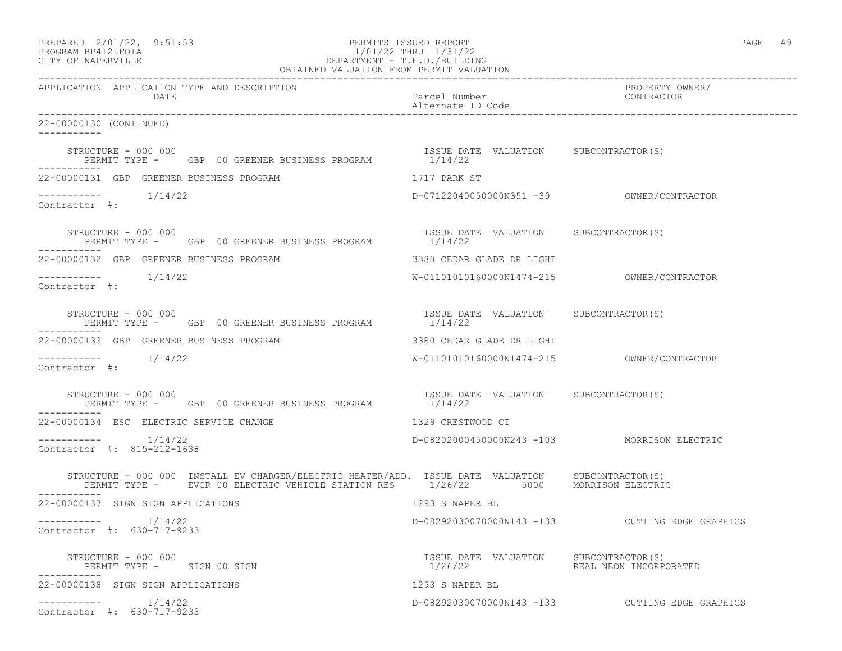| PREPARED | $2/01/22$ , | 9:51:5 |
|----------|-------------|--------|
|          |             |        |

## PREPARED 2/01/22, 9:51:53 PERMITS ISSUED REPORT<br>PROGRAM BP412LFOIA PAGE 49 PROGRAM BP412LFOIA 1/01/22 THRU 1/31/22<br>CITY OF NAPERVILLE DEPARTMENT - T.E.D./BUILDIN CITY OF NAPERVILLE DEPARTMENT - T.E.D./BUILDING

| OBTAINED VALUATION FROM PERMIT VALUATION                                                                                                                                               |                                                                                                     |                                                 |  |
|----------------------------------------------------------------------------------------------------------------------------------------------------------------------------------------|-----------------------------------------------------------------------------------------------------|-------------------------------------------------|--|
| APPLICATION APPLICATION TYPE AND DESCRIPTION<br>DATE                                                                                                                                   | Parcel Number<br>Alternate ID Code                                                                  | PROPERTY OWNER/<br>CONTRACTOR                   |  |
| 22-00000130 (CONTINUED)<br>-----------                                                                                                                                                 |                                                                                                     |                                                 |  |
| STRUCTURE - 000 000<br>PERMIT TYPE - GBP 00 GREENER BUSINESS PROGRAM                                                                                                                   | ISSUE DATE VALUATION SUBCONTRACTOR(S)<br>1/14/22                                                    |                                                 |  |
| 22-00000131 GBP GREENER BUSINESS PROGRAM                                                                                                                                               | 1717 PARK ST                                                                                        |                                                 |  |
| $--------- 1/14/22$<br>Contractor #:                                                                                                                                                   |                                                                                                     |                                                 |  |
| STRUCTURE – 000 000<br>PERMIT TYPE - GBP 00 GREENER BUSINESS PROGRAM 1/14/22                                                                                                           | ISSUE DATE VALUATION SUBCONTRACTOR (S)                                                              |                                                 |  |
| 22-00000132 GBP GREENER BUSINESS PROGRAM                                                                                                                                               | 3380 CEDAR GLADE DR LIGHT                                                                           |                                                 |  |
| $--------- 1/14/22$<br>Contractor #:                                                                                                                                                   |                                                                                                     |                                                 |  |
| STRUCTURE - 000 000<br>PERMIT TYPE - GBP 00 GREENER BUSINESS PROGRAM                                                                                                                   | ISSUE DATE VALUATION SUBCONTRACTOR(S)<br>1/14/22                                                    |                                                 |  |
| 22-00000133 GBP GREENER BUSINESS PROGRAM                                                                                                                                               | 3380 CEDAR GLADE DR LIGHT                                                                           |                                                 |  |
| $--------$ 1/14/22<br>Contractor #:                                                                                                                                                    |                                                                                                     |                                                 |  |
| STRUCTURE - 000 000 GREENER BUSINESS PROGRAM TSSUE DATE VALUATION SUBCONTRACTOR(S)                                                                                                     |                                                                                                     |                                                 |  |
| 22-00000134 ESC ELECTRIC SERVICE CHANGE                                                                                                                                                | 1329 CRESTWOOD CT                                                                                   |                                                 |  |
| -----------    1/14/22<br>Contractor #: 815-212-1638                                                                                                                                   | D-08202000450000N243 -103 MORRISON ELECTRIC                                                         |                                                 |  |
| STRUCTURE - 000 000 INSTALL EV CHARGER/ELECTRIC HEATER/ADD. ISSUE DATE VALUATION SUBCONTRACTOR(S)<br>PERMIT TYPE - EVCR 00 ELECTRIC VEHICLE STATION RES 1/26/22 5000 MORRISON ELECTRIC |                                                                                                     |                                                 |  |
| 22-00000137 SIGN SIGN APPLICATIONS                                                                                                                                                     | 1293 S NAPER BL                                                                                     |                                                 |  |
| -----------     1/14/22<br>Contractor #: 630-717-9233                                                                                                                                  |                                                                                                     | D-08292030070000N143 -133 CUTTING EDGE GRAPHICS |  |
| STRUCTURE - 000 000<br>PERMIT TYPE - SIGN 00 SIGN                                                                                                                                      | ISSUE DATE VALUATION SUBCONTRACTOR(S)<br>1/26/22                             REAL NEON INCORPORATED |                                                 |  |
| 22-00000138 SIGN SIGN APPLICATIONS                                                                                                                                                     | 1293 S NAPER BL                                                                                     |                                                 |  |
| $--------- 1/14/22$<br>Contractor #: 630-717-9233                                                                                                                                      |                                                                                                     | D-08292030070000N143 -133 CUTTING EDGE GRAPHICS |  |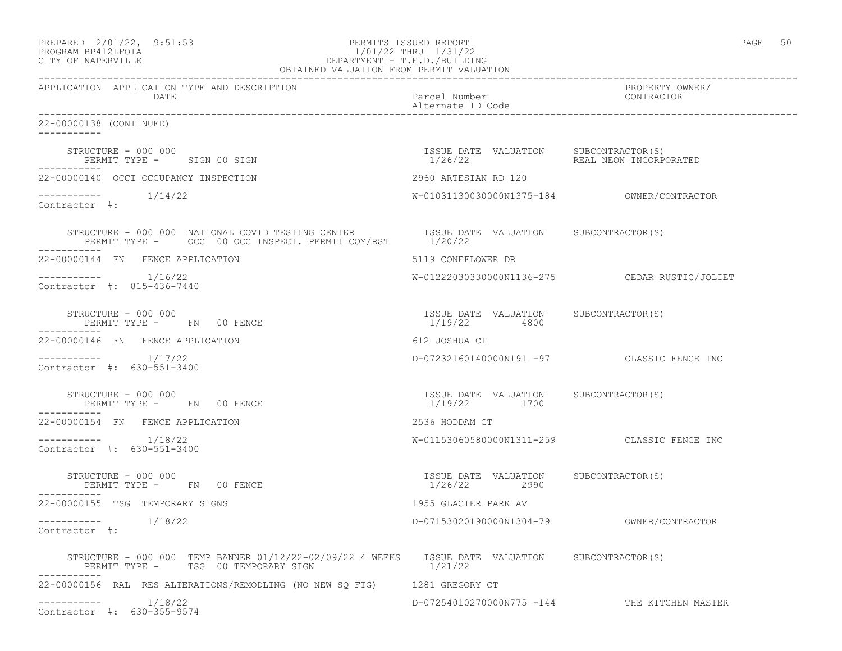| PREPARED | $2/01/22$ ,         | 9:51:53 |
|----------|---------------------|---------|
|          | DDOCDAM DD410T POTA |         |

### PERMITS ISSUED REPORT FOR THE PAGE 50:53 PAGE 50:53 PAGE 50:53 PAGE 50:53 PAGE 50:53 PAGE 50:53 PAGE 50:53 PAGE 50:53 PAGE 50:53 PAGE 50:53 PAGE 50:53 PAGE 50:53 PAGE 50:53 PAGE 50:53 PAGE 50:53 PAGE 50:53 PAGE 50:53 PAGE PROGRAM BP412LFOIA 1/01/22 THRU 1/31/22 CITY OF NAPERVILLE DEPARTMENT - T.E.D./BUILDING OBTAINED VALUATION FROM PERMIT VALUATION

------------------------------------------------------------------------------------------------------------------------------------ APPLICATION APPLICATION TYPE AND DESCRIPTION PROPERTY OWNER/ DATE **Parcel Number** Parcel Number Alternate ID Code ------------------------------------------------------------------------------------------------------------------------------------ 22-00000138 (CONTINUED) ----------- STRUCTURE - 000 000 ISSUE DATE VALUATION SUBCONTRACTOR(S) PERMIT TYPE - SIGN 00 SIGN 1/26/22 REAL NEON INCORPORATED ----------- 22-00000140 OCCI OCCUPANCY INSPECTION 2960 ARTESIAN RD 120 ----------- 1/14/22 W-01031130030000N1375-184 OWNER/CONTRACTOR Contractor #: STRUCTURE - 000 000 NATIONAL COVID TESTING CENTER ISSUE DATE VALUATION SUBCONTRACTOR(S) PERMIT TYPE - OCC 00 OCC INSPECT. PERMIT COM/RST 1/20/22 ----------- 22-00000144 FN FENCE APPLICATION 5119 CONEFLOWER DR ----------- 1/16/22 W-01222030330000N1136-275 CEDAR RUSTIC/JOLIET Contractor #: 815-436-7440 STRUCTURE - 000 000 ISSUE DATE VALUATION SUBCONTRACTOR(S) PERMIT TYPE - FN 00 FENCE ----------- 22-00000146 FN FENCE APPLICATION 612 JOSHUA CT ----------- 1/17/22 D-07232160140000N191 -97 CLASSIC FENCE INC Contractor #: 630-551-3400 STRUCTURE - 000 000 ISSUE DATE VALUATION SUBCONTRACTOR(S) PERMIT TYPE - FN 00 FENCE ----------- 22-00000154 FN FENCE APPLICATION 2536 HODDAM CT ----------- 1/18/22 W-01153060580000N1311-259 CLASSIC FENCE INC Contractor #: 630-551-3400 STRUCTURE - 000 000 ISSUE DATE VALUATION SUBCONTRACTOR(S) PERMIT TYPE - FN 00 FENCE ----------- 22-00000155 TSG TEMPORARY SIGNS 1955 GLACIER PARK AV ----------- 1/18/22 D-07153020190000N1304-79 OWNER/CONTRACTOR Contractor #: STRUCTURE - 000 000 TEMP BANNER 01/12/22-02/09/22 4 WEEKS ISSUE DATE VALUATION SUBCONTRACTOR(S)<br>PERMIT TYPE - TSG 00 TEMPORARY SIGN 1/21/22 PERMIT TYPE - TSG 00 TEMPORARY SIGN ----------- 22-00000156 RAL RES ALTERATIONS/REMODLING (NO NEW SQ FTG) 1281 GREGORY CT ----------- 1/18/22 D-07254010270000N775 -144 THE KITCHEN MASTER Contractor #: 630-355-9574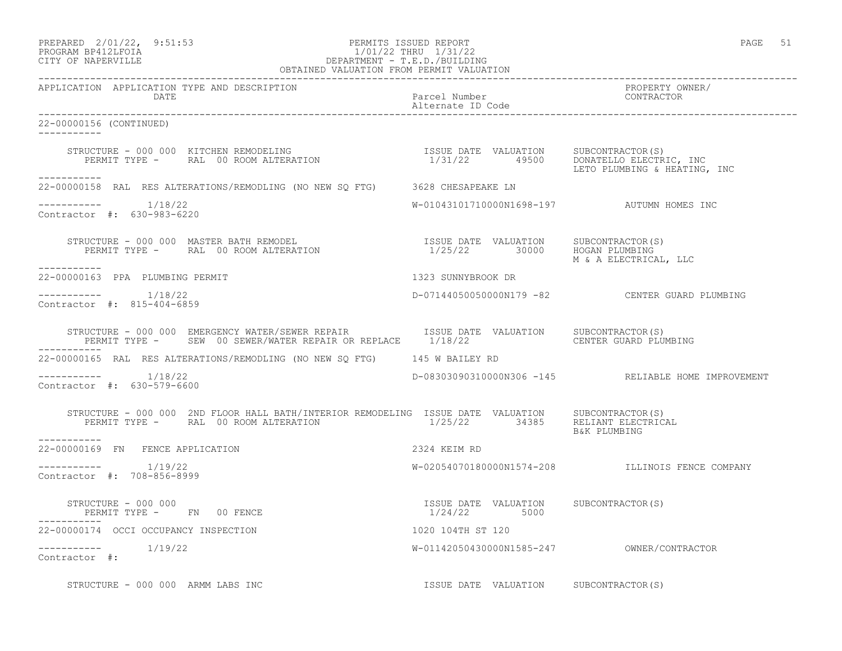### PREPARED 2/01/22, 9:51:53 PERMITS ISSUED REPORT PAGE 51 PROGRAM BP412LFOIA 1/01/22 THRU 1/31/22 CITY OF NAPERVILLE DEPARTMENT - T.E.D./BUILDING

| OBTAINED VALUATION FROM PERMIT VALUATION                                                                                                                                   |                                                        |                                                     |
|----------------------------------------------------------------------------------------------------------------------------------------------------------------------------|--------------------------------------------------------|-----------------------------------------------------|
| APPLICATION APPLICATION TYPE AND DESCRIPTION<br>DATE                                                                                                                       | Parcel Number<br>Alternate ID Code                     | PROPERTY OWNER/<br>CONTRACTOR                       |
| 22-00000156 (CONTINUED)<br>$- - - - - - - - - - -$                                                                                                                         |                                                        |                                                     |
| STRUCTURE - 000 000 KITCHEN REMODELING<br>PERMIT TYPE -       RAL 00 ROOM ALTERATION                                    1/31/22        49500      DONATELLO ELECTRIC, INC  |                                                        | LETO PLUMBING & HEATING, INC                        |
| 22-00000158 RAL RES ALTERATIONS/REMODLING (NO NEW SQ FTG) 3628 CHESAPEAKE LN                                                                                               |                                                        |                                                     |
| Contractor #: 630-983-6220                                                                                                                                                 | W-01043101710000N1698-197 AUTUMN HOMES INC             |                                                     |
| STRUCTURE – 000 000 MASTER BATH REMODEL<br>PERMIT TYPE – RAL 00 ROOM ALTERATION 1/25/22 30000 HOGAN PLUMBING<br>------------                                               |                                                        | M & A ELECTRICAL, LLC                               |
| 22-00000163 PPA PLUMBING PERMIT                                                                                                                                            | 1323 SUNNYBROOK DR                                     |                                                     |
| $---------$ 1/18/22<br>Contractor #: 815-404-6859                                                                                                                          |                                                        | D-07144050050000N179 -82 CENTER GUARD PLUMBING      |
|                                                                                                                                                                            |                                                        |                                                     |
| 22-00000165 RAL RES ALTERATIONS/REMODLING (NO NEW SQ FTG) 145 W BAILEY RD                                                                                                  |                                                        |                                                     |
| $--------- 1/18/22$<br>Contractor #: 630-579-6600                                                                                                                          |                                                        | D-08303090310000N306 -145 RELIABLE HOME IMPROVEMENT |
| STRUCTURE - 000 000 2ND FLOOR HALL BATH/INTERIOR REMODELING ISSUE DATE VALUATION SUBCONTRACTOR(S)<br>PERMIT TYPE - RAL 00 ROOM ALTERATION 1/25/22 34385 RELIANT ELECTRICAL |                                                        | B&K PLUMBING                                        |
| -----------<br>22-00000169 FN FENCE APPLICATION                                                                                                                            | 2324 KEIM RD                                           |                                                     |
| $--------- 1/19/22$<br>Contractor #: 708-856-8999                                                                                                                          |                                                        | W-02054070180000N1574-208 ILLINOIS FENCE COMPANY    |
| $\texttt{STRUCTURE}$ - 000 000<br>PERMIT TYPE - FN 00 FENCE                                                                                                                | ISSUE DATE VALUATION SUBCONTRACTOR (S)<br>1/24/22 5000 |                                                     |
| 22-00000174 OCCI OCCUPANCY INSPECTION                                                                                                                                      | 1020 104TH ST 120                                      |                                                     |
| $--------$ 1/19/22<br>Contractor #:                                                                                                                                        |                                                        |                                                     |
| STRUCTURE - 000 000 ARMM LABS INC STRUCK STRUCK STRUCTURE SUBCONTRACTOR(S)                                                                                                 |                                                        |                                                     |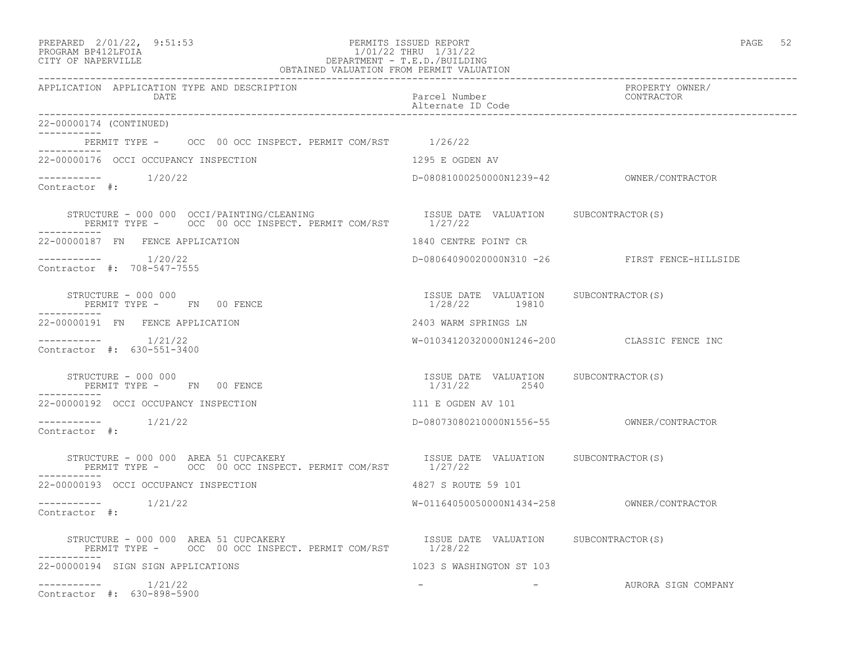| PREPARED | $2/01/22$ , | 9:51:5 |
|----------|-------------|--------|
|          |             |        |

### PREPARED 2/01/22, 9:51:53 PERMITS ISSUED REPORT PAGE 52 PROGRAM BP412LFOIA 1/01/22 THRU 1/31/22 CITY OF NAPERVILLE DEPARTMENT - T.E.D./BUILDING OBTAINED VALUATION FROM PERMIT VALUATION

| APPLICATION APPLICATION TYPE AND DESCRIPTION<br>DATE                                                                                                     | Parcel Number<br>Alternate ID Code                     | PROPERTY OWNER/<br>CONTRACTOR                 |
|----------------------------------------------------------------------------------------------------------------------------------------------------------|--------------------------------------------------------|-----------------------------------------------|
| 22-00000174 (CONTINUED)                                                                                                                                  |                                                        |                                               |
| PERMIT TYPE - OCC 00 OCC INSPECT. PERMIT COM/RST 1/26/22<br>___________                                                                                  |                                                        |                                               |
| 22-00000176 OCCI OCCUPANCY INSPECTION                                                                                                                    | 1295 E OGDEN AV                                        |                                               |
| Contractor #:                                                                                                                                            |                                                        |                                               |
| STRUCTURE - 000 000 OCCI/PAINTING/CLEANING TSSUE DATE VALUATION SUBCONTRACTOR(S) PERMIT TYPE - OCC 00 OCC INSPECT. PERMIT COM/RST 1/27/22<br>___________ |                                                        |                                               |
| 22-00000187 FN FENCE APPLICATION                                                                                                                         | 1840 CENTRE POINT CR                                   |                                               |
| Contractor #: 708-547-7555                                                                                                                               |                                                        | D-08064090020000N310 -26 FIRST FENCE-HILLSIDE |
| STRUCTURE - 000 000<br>PERMIT TYPE - FN 00 FENCE                                                                                                         | ISSUE DATE VALUATION SUBCONTRACTOR(S)<br>1/28/22 19810 |                                               |
| 22-00000191 FN FENCE APPLICATION                                                                                                                         | 2403 WARM SPRINGS LN                                   |                                               |
| Contractor #: 630-551-3400                                                                                                                               |                                                        | W-01034120320000N1246-200 CLASSIC FENCE INC   |
| STRUCTURE - 000 000<br>PERMIT TYPE - FN 00 FENCE                                                                                                         | ISSUE DATE VALUATION SUBCONTRACTOR(S)<br>1/31/22 2540  |                                               |
| 22-00000192 OCCI OCCUPANCY INSPECTION                                                                                                                    | 111 E OGDEN AV 101                                     |                                               |
| Contractor #:                                                                                                                                            |                                                        |                                               |
| STRUCTURE - 000 000 AREA 51 CUPCAKERY CONTRACTOR SUBCONTRACTOR (S)<br>PERMIT TYPE - OCC 00 OCC INSPECT. PERMIT COM/RST                                   | 1/27/22                                                |                                               |
| 22-00000193 OCCI OCCUPANCY INSPECTION                                                                                                                    | 4827 S ROUTE 59 101                                    |                                               |
| -----------    1/21/22<br>Contractor #:                                                                                                                  |                                                        |                                               |
|                                                                                                                                                          |                                                        |                                               |
| 22-00000194 SIGN SIGN APPLICATIONS                                                                                                                       | 1023 S WASHINGTON ST 103                               |                                               |
| $--------- 1/21/22$<br>Contractor #: 630-898-5900                                                                                                        | the company of the company of the                      | AURORA SIGN COMPANY                           |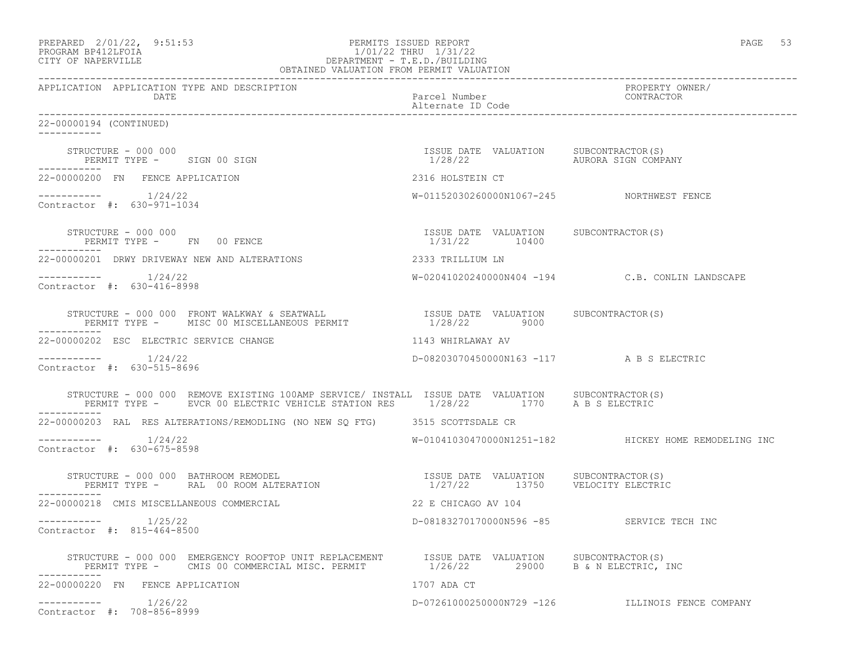| PREPARED 2/01/22, 9:51:53<br>FERMITS ISSUED REFURI<br>1/01/22 THRU 1/31/22<br>DEPARTMENT - T.E.D./BUILDING<br>OBTAINED VALUATION FROM PERMIT VALUATION<br>PROGRAM BP412LFOIA<br>CITY OF NAPERVILLE                                                                               | PERMITS ISSUED REPORT                                           | PAGE<br>53                                           |
|----------------------------------------------------------------------------------------------------------------------------------------------------------------------------------------------------------------------------------------------------------------------------------|-----------------------------------------------------------------|------------------------------------------------------|
| APPLICATION APPLICATION TYPE AND DESCRIPTION<br>DATE                                                                                                                                                                                                                             | -------------------------<br>Parcel Number<br>Alternate ID Code | PROPERTY OWNER/<br>CONTRACTOR                        |
| 22-00000194 (CONTINUED)                                                                                                                                                                                                                                                          |                                                                 |                                                      |
| STRUCTURE - 000 000<br>PERMIT TYPE - SIGN 00 SIGN                                                                                                                                                                                                                                | ISSUE DATE VALUATION SUBCONTRACTOR(S)                           |                                                      |
| 22-00000200 FN FENCE APPLICATION                                                                                                                                                                                                                                                 | 2316 HOLSTEIN CT                                                |                                                      |
| $--------- 1/24/22$<br>Contractor #: 630-971-1034                                                                                                                                                                                                                                | W-01152030260000N1067-245 NORTHWEST FENCE                       |                                                      |
| STRUCTURE - 000 000<br>PERMIT TYPE - FN 00 FENCE                                                                                                                                                                                                                                 | ISSUE DATE VALUATION SUBCONTRACTOR(S)<br>1/31/22 10400          |                                                      |
| 22-00000201 DRWY DRIVEWAY NEW AND ALTERATIONS                                                                                                                                                                                                                                    | 2333 TRILLIUM LN                                                |                                                      |
| Contractor #: 630-416-8998                                                                                                                                                                                                                                                       |                                                                 | W-02041020240000N404 -194 C.B. CONLIN LANDSCAPE      |
| $\begin{tabular}{lllllllllllll} \texttt{STRUCTURE} & - & 000 & 000 & \texttt{FRONT} & \texttt{WALKWAY} & \texttt{SEATWALL} & & & & & & & & & & & \\ \texttt{PERMIT TYPE} & - & \texttt{MISC} & 00 & \texttt{MISCELLANEOUS} & \texttt{PERMIT} & & & & & & & & & \\ \end{tabular}$ |                                                                 |                                                      |
| 22-00000202 ESC ELECTRIC SERVICE CHANGE                                                                                                                                                                                                                                          | 1143 WHIRLAWAY AV                                               |                                                      |
| $--------- 1/24/22$<br>Contractor #: 630-515-8696                                                                                                                                                                                                                                | D-08203070450000N163 -117 A B S ELECTRIC                        |                                                      |
| STRUCTURE - 000 000 REMOVE EXISTING 100AMP SERVICE/ INSTALL ISSUE DATE VALUATION SUBCONTRACTOR(S)<br>PERMIT TYPE - EVCR 00 ELECTRIC VEHICLE STATION RES 1/28/22 1770 A B S ELECTRIC                                                                                              |                                                                 |                                                      |
| 22-00000203 RAL RES ALTERATIONS/REMODLING (NO NEW SQ FTG) 3515 SCOTTSDALE CR                                                                                                                                                                                                     |                                                                 |                                                      |
| $---------$ 1/24/22<br>Contractor #: 630-675-8598                                                                                                                                                                                                                                |                                                                 | W-01041030470000N1251-182 HICKEY HOME REMODELING INC |
| STRUCTURE - 000 000 BATHROOM REMODEL                                                                                                                                                                                                                                             | 1/27/22 13750 VELOCITY ELECTRIC                                 |                                                      |
| 22-00000218 CMIS MISCELLANEOUS COMMERCIAL                                                                                                                                                                                                                                        | 22 E CHICAGO AV 104                                             |                                                      |
| $--------- 1/25/22$<br>Contractor #: 815-464-8500                                                                                                                                                                                                                                | D-08183270170000N596 -85 SERVICE TECH INC                       |                                                      |
| STRUCTURE - 000 000 EMERGENCY ROOFTOP UNIT REPLACEMENT ISSUE DATE VALUATION SUBCONTRACTOR(S)<br>PERMIT TYPE - CMIS 00 COMMERCIAL MISC. PERMIT 1/26/22 29000 B & N ELECTRIC,                                                                                                      |                                                                 | B & N ELECTRIC, INC                                  |
| 22-00000220 FN FENCE APPLICATION                                                                                                                                                                                                                                                 | 1707 ADA CT                                                     |                                                      |
| Contractor #: 708-856-8999                                                                                                                                                                                                                                                       |                                                                 | D-07261000250000N729 -126 ILLINOIS FENCE COMPANY     |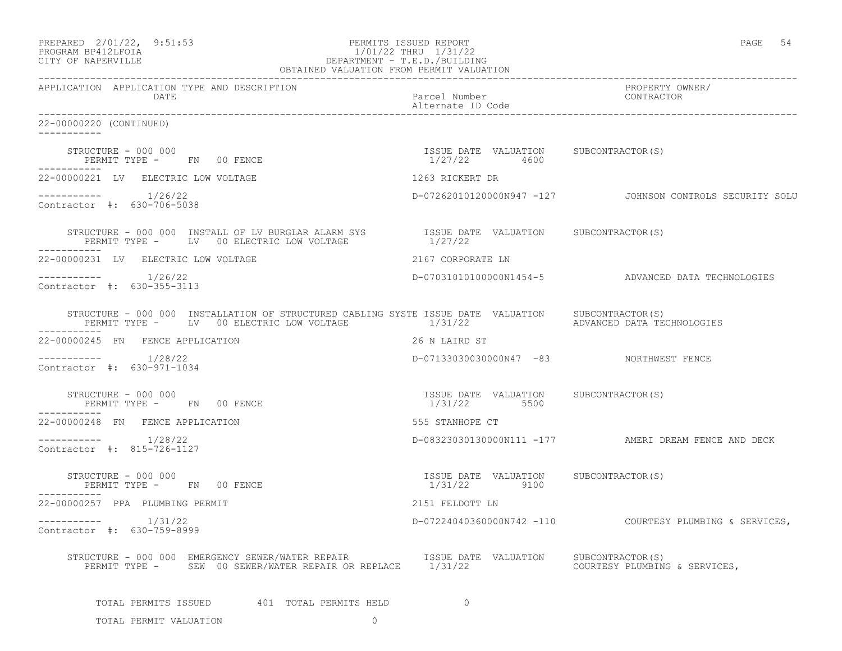| PREPARED 2/01/22, 9:51:53<br>PERMITS ISSUED REPORT<br>PROGRAM BP412LFOIA<br>1/01/22 THRU 1/31/22<br>1/01/22 THRU 1/31/22<br>DEPARTMENT - T.E.D./BUILDING<br>OBTAINED VALUATION FROM PERMIT VALUATION<br>CITY OF NAPERVILLE |                                                         | PAGE 54                                                  |  |
|----------------------------------------------------------------------------------------------------------------------------------------------------------------------------------------------------------------------------|---------------------------------------------------------|----------------------------------------------------------|--|
| APPLICATION APPLICATION TYPE AND DESCRIPTION<br>DATE                                                                                                                                                                       | Parcel Number<br>Alternate ID Code                      | PROPERTY OWNER/<br>CONTRACTOR                            |  |
| 22-00000220 (CONTINUED)                                                                                                                                                                                                    |                                                         |                                                          |  |
| STRUCTURE - 000 000<br>PERMIT TYPE - FN 00 FENCE<br>-----------                                                                                                                                                            | ISSUE DATE VALUATION SUBCONTRACTOR(S)<br>$1/27/22$ 4600 |                                                          |  |
| 22-00000221 LV ELECTRIC LOW VOLTAGE                                                                                                                                                                                        | 1263 RICKERT DR                                         |                                                          |  |
| $--------- 1/26/22$<br>Contractor #: 630-706-5038                                                                                                                                                                          |                                                         | D-07262010120000N947 -127 JOHNSON CONTROLS SECURITY SOLU |  |
| STRUCTURE – 000 000 INSTALL OF LV BURGLAR ALARM SYS TSSUE DATE VALUATION SUBCONTRACTOR(S) PERMIT TYPE – LV 00 ELECTRIC LOW VOLTAGE $1/27/22$                                                                               |                                                         |                                                          |  |
| 22-00000231 LV ELECTRIC LOW VOLTAGE                                                                                                                                                                                        | 2167 CORPORATE LN                                       |                                                          |  |
| $--------- 1/26/22$<br>Contractor #: 630-355-3113                                                                                                                                                                          |                                                         | D-070310101000000N1454-5 ADVANCED DATA TECHNOLOGIES      |  |
| STRUCTURE - 000 000 INSTALLATION OF STRUCTURED CABLING SYSTE ISSUE DATE VALUATION SUBCONTRACTOR(S)<br>PERMIT TYPE - LV 00 ELECTRIC LOW VOLTAGE<br>-----------                                                              | 1/31/22                                                 | ADVANCED DATA TECHNOLOGIES                               |  |
| 22-00000245 FN FENCE APPLICATION                                                                                                                                                                                           | 26 N LAIRD ST                                           |                                                          |  |
| $--------- 1/28/22$<br>Contractor #: 630-971-1034                                                                                                                                                                          | D-07133030030000N47 -83 NORTHWEST FENCE                 |                                                          |  |
| PERMIT TYPE - FN 00 FENCE<br>-----------                                                                                                                                                                                   | ISSUE DATE VALUATION SUBCONTRACTOR(S)<br>1/31/22 5500   |                                                          |  |
| 22-00000248 FN FENCE APPLICATION                                                                                                                                                                                           | 555 STANHOPE CT                                         |                                                          |  |
| $--------- 1/28/22$<br>Contractor #: 815-726-1127                                                                                                                                                                          |                                                         | D-08323030130000N111 -177 AMERI DREAM FENCE AND DECK     |  |
| STRUCTURE - 000 000<br>PERMIT TYPE - FN 00 FENCE                                                                                                                                                                           | ISSUE DATE VALUATION SUBCONTRACTOR(S)<br>1/31/22 9100   |                                                          |  |
| 22-00000257 PPA PLUMBING PERMIT                                                                                                                                                                                            | 2151 FELDOTT LN                                         |                                                          |  |
| 1/31/22<br>------------<br>Contractor #: 630-759-8999                                                                                                                                                                      | D-07224040360000N742 -110                               | COURTESY PLUMBING & SERVICES,                            |  |
| STRUCTURE - 000 000 EMERGENCY SEWER/WATER REPAIR $\,$ $\,$ $\,$ ISSUE DATE VALUATION PERMIT TYPE - $\,$ SEW 00 SEWER/WATER REPAIR OR REPLACE $\,$ $\,$ 1/31/22                                                             |                                                         | SUBCONTRACTOR(S)<br>COURTESY PLUMBING & SERVICES,        |  |
| TOTAL PERMITS ISSUED 601 TOTAL PERMITS HELD                                                                                                                                                                                | $\overline{0}$                                          |                                                          |  |
| TOTAL PERMIT VALUATION<br>$\circ$                                                                                                                                                                                          |                                                         |                                                          |  |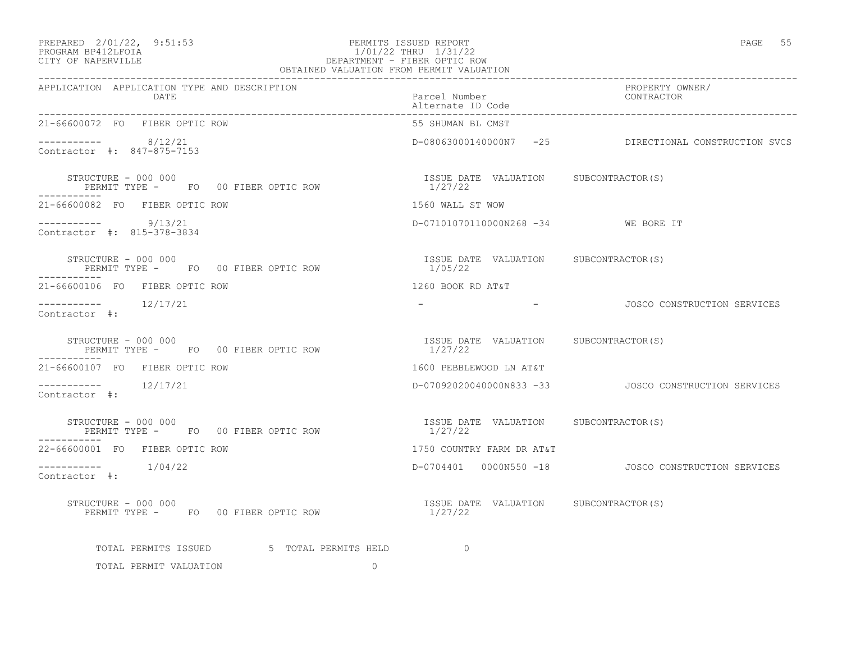# PREPARED 2/01/22, 9:51:53 PERMITS ISSUED REPORT<br>PROGRAM BP412LFOIA PAGE 55 PROGRAM BP412LFOIA PROGRAM BP412LFOIA 1/01/22 THRU 1/31/22 CITY OF NAPERVILLE DEPARTMENT - FIBER OPTIC ROW

| OBTAINED VALUATION FROM PERMIT VALUATION                                                                                                  |                                                  |                                                       |  |
|-------------------------------------------------------------------------------------------------------------------------------------------|--------------------------------------------------|-------------------------------------------------------|--|
| APPLICATION APPLICATION TYPE AND DESCRIPTION<br>DATE                                                                                      | Parcel Number<br>Alternate ID Code               | PROPERTY OWNER/<br>CONTRACTOR                         |  |
| 21-66600072 FO FIBER OPTIC ROW                                                                                                            | 55 SHUMAN BL CMST                                |                                                       |  |
| $--------- 8/12/21$<br>Contractor #: 847-875-7153                                                                                         |                                                  | D-08063000140000N7 -25 DIRECTIONAL CONSTRUCTION SVCS  |  |
| STRUCTURE - 000 000<br>FO 00 FIBER OPTIC ROW TAND SUBLE DATE VALUATION SUBCONTRACTOR(S)<br>STRUCTURE - 000 000                            |                                                  |                                                       |  |
| 21-66600082 FO FIBER OPTIC ROW                                                                                                            | 1560 WALL ST WOW                                 |                                                       |  |
| $--------- 9/13/21$<br>Contractor #: 815-378-3834                                                                                         | D-07101070110000N268 -34 WE BORE IT              |                                                       |  |
| SIRUCTURE - 000 000<br>PERMIT TYPE -    FO  00 FIBER OPTIC ROW                                  1/05/22<br>-------<br>STRUCTURE – 000 000 |                                                  |                                                       |  |
| 21-66600106 FO FIBER OPTIC ROW                                                                                                            | 1260 BOOK RD AT&T                                |                                                       |  |
| $--------- 12/17/21$<br>Contractor #:                                                                                                     |                                                  | - CONSTRUCTION SERVICES                               |  |
| STRUCTURE - 000 000<br>PERMIT TYPE - FO 00 FIBER OPTIC ROW                                                                                | ISSUE DATE VALUATION SUBCONTRACTOR(S)<br>1/27/22 |                                                       |  |
| 21-66600107 FO FIBER OPTIC ROW                                                                                                            | 1600 PEBBLEWOOD LN AT&T                          |                                                       |  |
| Contractor #:                                                                                                                             |                                                  |                                                       |  |
| STRUCTURE - 000 000<br>PERMIT TYPE - FO 00 FIBER OPTIC ROW<br>-----------                                                                 | ISSUE DATE VALUATION SUBCONTRACTOR(S)<br>1/27/22 |                                                       |  |
| 22-66600001 FO FIBER OPTIC ROW                                                                                                            | 1750 COUNTRY FARM DR AT&T                        |                                                       |  |
| $--------- 1/04/22$<br>Contractor #:                                                                                                      |                                                  | D-0704401  0000N550 -18   JOSCO CONSTRUCTION SERVICES |  |
| STRUCTURE - 000 000<br>PERMIT TYPE - FO 00 FIBER OPTIC ROW 1/27/22                                                                        | ISSUE DATE VALUATION SUBCONTRACTOR(S)            |                                                       |  |
| TOTAL PERMITS ISSUED 5 TOTAL PERMITS HELD                                                                                                 | $\overline{a}$                                   |                                                       |  |
| TOTAL PERMIT VALUATION<br>$\Omega$                                                                                                        |                                                  |                                                       |  |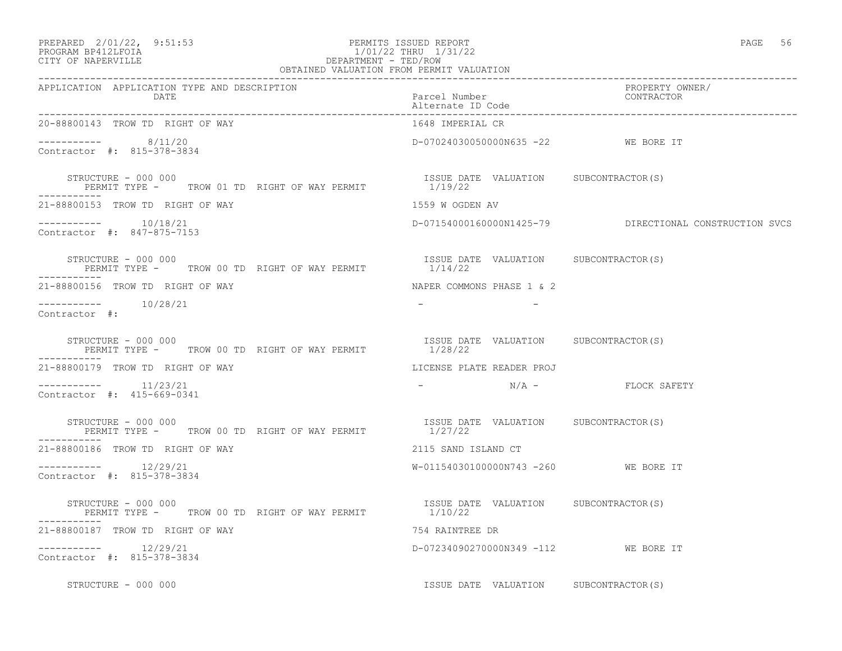| PREPARED 2/01/22, 9:51:53 | PERMITS ISSUED REPORT | PAGE | 56 |
|---------------------------|-----------------------|------|----|
|                           |                       |      |    |

# PROGRAM BP412LFOIA 1/01/22 THRU 1/31/22 CITY OF NAPERVILLE CONTROLLER CITY OF NAPERVILLE

| . .<br>۰. | ×<br>v |
|-----------|--------|

| OBTAINED VALUATION FROM PERMIT VALUATION                                                          |                                                                                                                 |                                                        |  |
|---------------------------------------------------------------------------------------------------|-----------------------------------------------------------------------------------------------------------------|--------------------------------------------------------|--|
| APPLICATION APPLICATION TYPE AND DESCRIPTION<br>DATE                                              | Parcel Number<br>Alternate ID Code                                                                              | PROPERTY OWNER/<br>CONTRACTOR                          |  |
| 20-88800143 TROW TD RIGHT OF WAY                                                                  | 1648 IMPERIAL CR                                                                                                |                                                        |  |
| $--------$ 8/11/20<br>Contractor #: 815-378-3834                                                  | D-07024030050000N635 -22 WE BORE IT                                                                             |                                                        |  |
| STRUCTURE - 000 000<br>STRUCTURE - 000 000<br>PERMIT TYPE - TROW 01 TD RIGHT OF WAY PERMIT 119/22 | ISSUE DATE VALUATION SUBCONTRACTOR(S)                                                                           |                                                        |  |
| 21-88800153 TROW TD RIGHT OF WAY                                                                  | 1559 W OGDEN AV                                                                                                 |                                                        |  |
| $--------- 10/18/21$<br>Contractor #: 847-875-7153                                                |                                                                                                                 | D-07154000160000N1425-79 DIRECTIONAL CONSTRUCTION SVCS |  |
| STRUCTURE - 000 000<br>PERMIT TYPE - TROW 00 TD RIGHT OF WAY PERMIT                               | ISSUE DATE VALUATION SUBCONTRACTOR(S)<br>1/14/22                                                                |                                                        |  |
| 21-88800156 TROW TD RIGHT OF WAY                                                                  | NAPER COMMONS PHASE 1 & 2                                                                                       |                                                        |  |
| -----------    10/28/21<br>Contractor #:                                                          |                                                                                                                 |                                                        |  |
| STRUCTURE - 000 000<br>PERMIT TYPE - TROW 00 TD RIGHT OF WAY PERMIT                               | ISSUE DATE VALUATION SUBCONTRACTOR(S)<br>1/28/22                                                                |                                                        |  |
| 21-88800179 TROW TD RIGHT OF WAY                                                                  | LICENSE PLATE READER PROJ                                                                                       |                                                        |  |
| Contractor #: 415-669-0341                                                                        | $\mathcal{L} = \mathcal{L} \times \mathcal{L}$ . The contract of $\mathcal{L} = \mathcal{L} \times \mathcal{L}$ | N/A - FLOCK SAFETY                                     |  |
| STRUCTURE - 000 000<br>PERMIT TYPE - TROW 00 TD RIGHT OF WAY PERMIT $1/27/22$                     | ISSUE DATE VALUATION SUBCONTRACTOR(S)                                                                           |                                                        |  |
| 21-88800186 TROW TD RIGHT OF WAY                                                                  | 2115 SAND ISLAND CT                                                                                             |                                                        |  |
| $--------$ 12/29/21<br>Contractor #: 815-378-3834                                                 | W-01154030100000N743 -260 WE BORE IT                                                                            |                                                        |  |
| STRUCTURE - 000 000<br>PERMIT TYPE - TROW 00 TD RIGHT OF WAY PERMIT 1/10/22                       | ISSUE DATE VALUATION SUBCONTRACTOR (S)                                                                          |                                                        |  |
| 21-88800187 TROW TD RIGHT OF WAY                                                                  | 754 RAINTREE DR                                                                                                 |                                                        |  |
| Contractor #: 815-378-3834                                                                        | D-07234090270000N349 -112 WE BORE IT                                                                            |                                                        |  |
| STRUCTURE - 000 000                                                                               | ISSUE DATE VALUATION SUBCONTRACTOR(S)                                                                           |                                                        |  |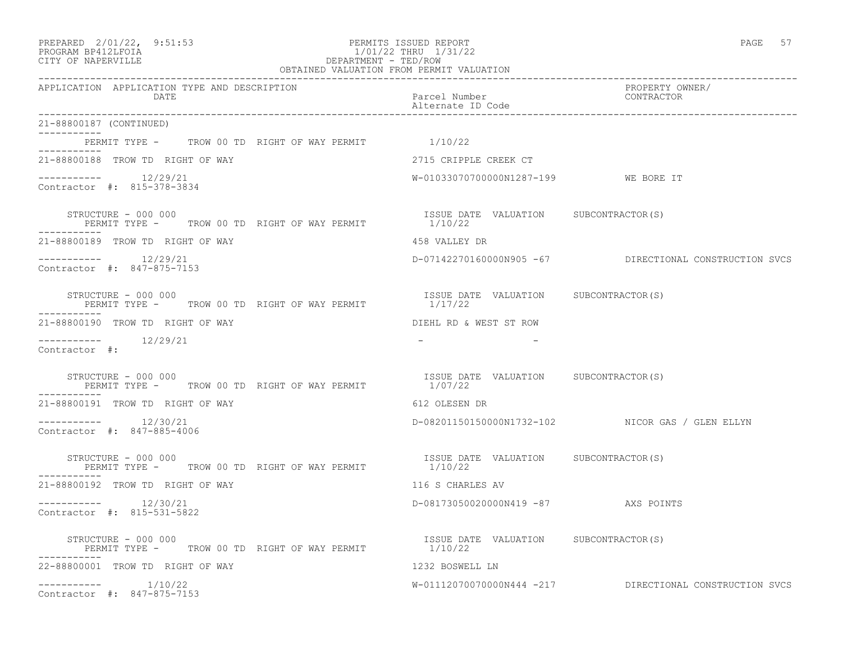| PREPARED 2/01/22, 9:51:53<br>PERMITS ISSUED REPORT<br>PROGRAM BP412LFOIA<br>1/01/22 THRU 1/31/22<br>DEPARTMENT - TED/ROW<br>OBTAINED VALUATION FROM PERMIT VALUATION<br>CITY OF NAPERVILLE |                                                  | PAGE 57                                                 |
|--------------------------------------------------------------------------------------------------------------------------------------------------------------------------------------------|--------------------------------------------------|---------------------------------------------------------|
| APPLICATION APPLICATION TYPE AND DESCRIPTION<br>DATE                                                                                                                                       | Parcel Number<br>Alternate ID Code               | PROPERTY OWNER/<br>CONTRACTOR                           |
| 21-88800187 (CONTINUED)                                                                                                                                                                    |                                                  |                                                         |
| PERMIT TYPE - TROW 00 TD RIGHT OF WAY PERMIT 1/10/22                                                                                                                                       |                                                  |                                                         |
| 21-88800188 TROW TD RIGHT OF WAY                                                                                                                                                           | 2715 CRIPPLE CREEK CT                            |                                                         |
| $-------- 12/29/21$<br>Contractor #: 815-378-3834                                                                                                                                          |                                                  |                                                         |
| STRUCTURE - 000 000<br>PERMIT TYPE - TROW 00 TD RIGHT OF WAY PERMIT 1/10/22<br>-----------                                                                                                 | ISSUE DATE VALUATION SUBCONTRACTOR(S)            |                                                         |
| 21-88800189 TROW TD RIGHT OF WAY                                                                                                                                                           | 458 VALLEY DR                                    |                                                         |
| $--------- 12/29/21$<br>Contractor #: 847-875-7153                                                                                                                                         |                                                  | D-07142270160000N905 -67 DIRECTIONAL CONSTRUCTION SVCS  |
| STRUCTURE - 000 000<br>PERMIT TYPE - TROW 00 TD RIGHT OF WAY PERMIT                                                                                                                        | ISSUE DATE VALUATION SUBCONTRACTOR(S)<br>1/17/22 |                                                         |
| 21-88800190 TROW TD RIGHT OF WAY                                                                                                                                                           | DIEHL RD & WEST ST ROW                           |                                                         |
| $--------$ 12/29/21<br>Contractor #:                                                                                                                                                       |                                                  |                                                         |
| STRUCTURE - 000 000<br>PERMIT TYPE - TROW 00 TD RIGHT OF WAY PERMIT                                                                                                                        | ISSUE DATE VALUATION SUBCONTRACTOR(S)<br>1/07/22 |                                                         |
| 21-88800191 TROW TD RIGHT OF WAY                                                                                                                                                           | 612 OLESEN DR                                    |                                                         |
| $--------- 12/30/21$<br>Contractor #: 847-885-4006                                                                                                                                         |                                                  | D-08201150150000N1732-102 NICOR GAS / GLEN ELLYN        |
| STRUCTURE - 000 000<br>PERMIT TYPE - TROW 00 TD RIGHT OF WAY PERMIT $1/10/22$                                                                                                              |                                                  |                                                         |
| 21-88800192 TROW TD RIGHT OF WAY                                                                                                                                                           | 116 S CHARLES AV                                 |                                                         |
| $--------- 12/30/21$<br>Contractor #: 815-531-5822                                                                                                                                         | D-08173050020000N419 -87 AXS POINTS              |                                                         |
| STRUCTURE - 000 000<br>PERMIT TYPE - TROW 00 TD RIGHT OF WAY PERMIT<br>-----------                                                                                                         | ISSUE DATE VALUATION SUBCONTRACTOR(S)<br>1/10/22 |                                                         |
| 22-88800001 TROW TD RIGHT OF WAY                                                                                                                                                           | 1232 BOSWELL LN                                  |                                                         |
| Contractor #: 847-875-7153                                                                                                                                                                 |                                                  | W-01112070070000N444 -217 DIRECTIONAL CONSTRUCTION SVCS |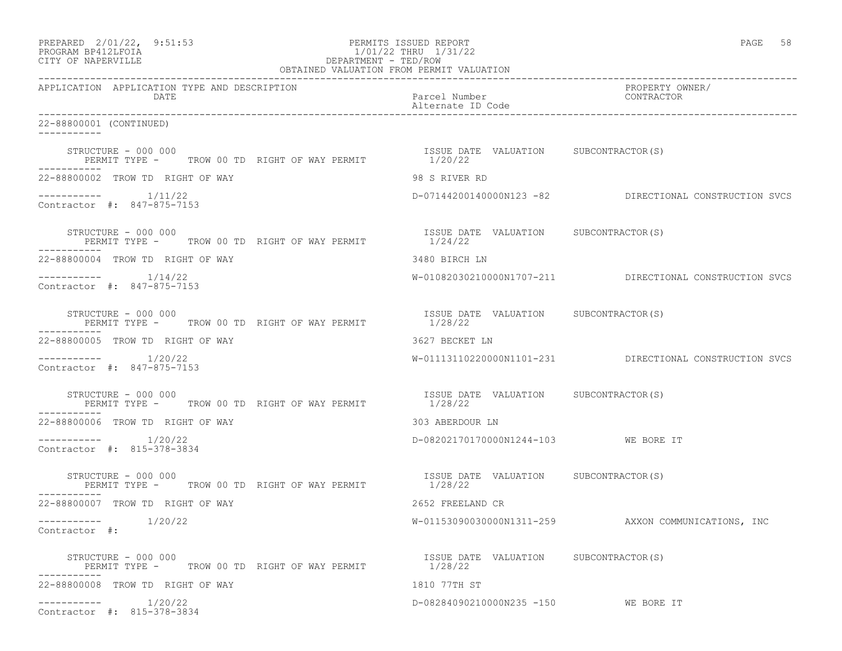| PREPARED 2/01/22, 9:51:53<br>PERMITS ISSUED REPORT<br>1/01/22 THRU 1/31/22<br>DEPARTMENT - TED/ROW<br>OBTAINED VALUATION FROM PERMIT VALUATION<br>PROGRAM BP412LFOIA<br>CITY OF NAPERVILLE |                                                  | PAGE 58                                                 |  |
|--------------------------------------------------------------------------------------------------------------------------------------------------------------------------------------------|--------------------------------------------------|---------------------------------------------------------|--|
| APPLICATION APPLICATION TYPE AND DESCRIPTION<br>DATE                                                                                                                                       | Parcel Number<br>Alternate ID Code               | PROPERTY OWNER/<br>CONTRACTOR                           |  |
| 22-88800001 (CONTINUED)                                                                                                                                                                    |                                                  |                                                         |  |
| STRUCTURE - 000 000<br>PERMIT TYPE - TROW 00 TD RIGHT OF WAY PERMIT 1/20/22<br>-----------                                                                                                 | ISSUE DATE VALUATION SUBCONTRACTOR(S)            |                                                         |  |
| 22-88800002 TROW TD RIGHT OF WAY                                                                                                                                                           | 98 S RIVER RD                                    |                                                         |  |
| $--------- 1/11/22$<br>Contractor #: 847-875-7153                                                                                                                                          |                                                  | D-07144200140000N123 -82 DIRECTIONAL CONSTRUCTION SVCS  |  |
| STRUCTURE - 000 000<br>PERMIT TYPE - TROW 00 TD RIGHT OF WAY PERMIT 1/24/22                                                                                                                | ISSUE DATE VALUATION SUBCONTRACTOR(S)            |                                                         |  |
| 22-88800004 TROW TD RIGHT OF WAY                                                                                                                                                           | 3480 BIRCH LN                                    |                                                         |  |
| $--------- 1/14/22$<br>Contractor #: 847-875-7153                                                                                                                                          |                                                  | W-01082030210000N1707-211 DIRECTIONAL CONSTRUCTION SVCS |  |
| STRUCTURE - 000 000<br>PERMIT TYPE - TROW 00 TD RIGHT OF WAY PERMIT                                                                                                                        | ISSUE DATE VALUATION SUBCONTRACTOR(S)<br>1/28/22 |                                                         |  |
| 22-88800005 TROW TD RIGHT OF WAY                                                                                                                                                           | 3627 BECKET LN                                   |                                                         |  |
| $--------- 1/20/22$<br>Contractor #: 847-875-7153                                                                                                                                          |                                                  | W-01113110220000N1101-231 DIRECTIONAL CONSTRUCTION SVCS |  |
| STRUCTURE - 000 000<br>PERMIT TYPE - TROW 00 TD RIGHT OF WAY PERMIT 1/28/22                                                                                                                | ISSUE DATE VALUATION SUBCONTRACTOR(S)            |                                                         |  |
| 22-88800006 TROW TD RIGHT OF WAY                                                                                                                                                           | 303 ABERDOUR LN                                  |                                                         |  |
| $--------- 1/20/22$<br>Contractor #: 815-378-3834                                                                                                                                          | D-08202170170000N1244-103 WE BORE IT             |                                                         |  |
| STRUCTURE - 000 000<br>PERMIT TYPE - TROW 00 TD RIGHT OF WAY PERMIT 1/28/22                                                                                                                | ISSUE DATE VALUATION SUBCONTRACTOR(S)            |                                                         |  |
| 22-88800007 TROW TD RIGHT OF WAY                                                                                                                                                           | 2652 FREELAND CR                                 |                                                         |  |
| 1/20/22<br>------------<br>Contractor #:                                                                                                                                                   | W-01153090030000N1311-259                        | AXXON COMMUNICATIONS, INC                               |  |
| STRUCTURE - 000 000<br>PERMIT TYPE - TROW 00 TD RIGHT OF WAY PERMIT                                                                                                                        | ISSUE DATE VALUATION SUBCONTRACTOR(S)<br>1/28/22 |                                                         |  |
| 22-88800008 TROW TD RIGHT OF WAY                                                                                                                                                           | 1810 77TH ST                                     |                                                         |  |
| $--------- 1/20/22$<br>Contractor #: 815-378-3834                                                                                                                                          | D-08284090210000N235 -150                        | WE BORE IT                                              |  |